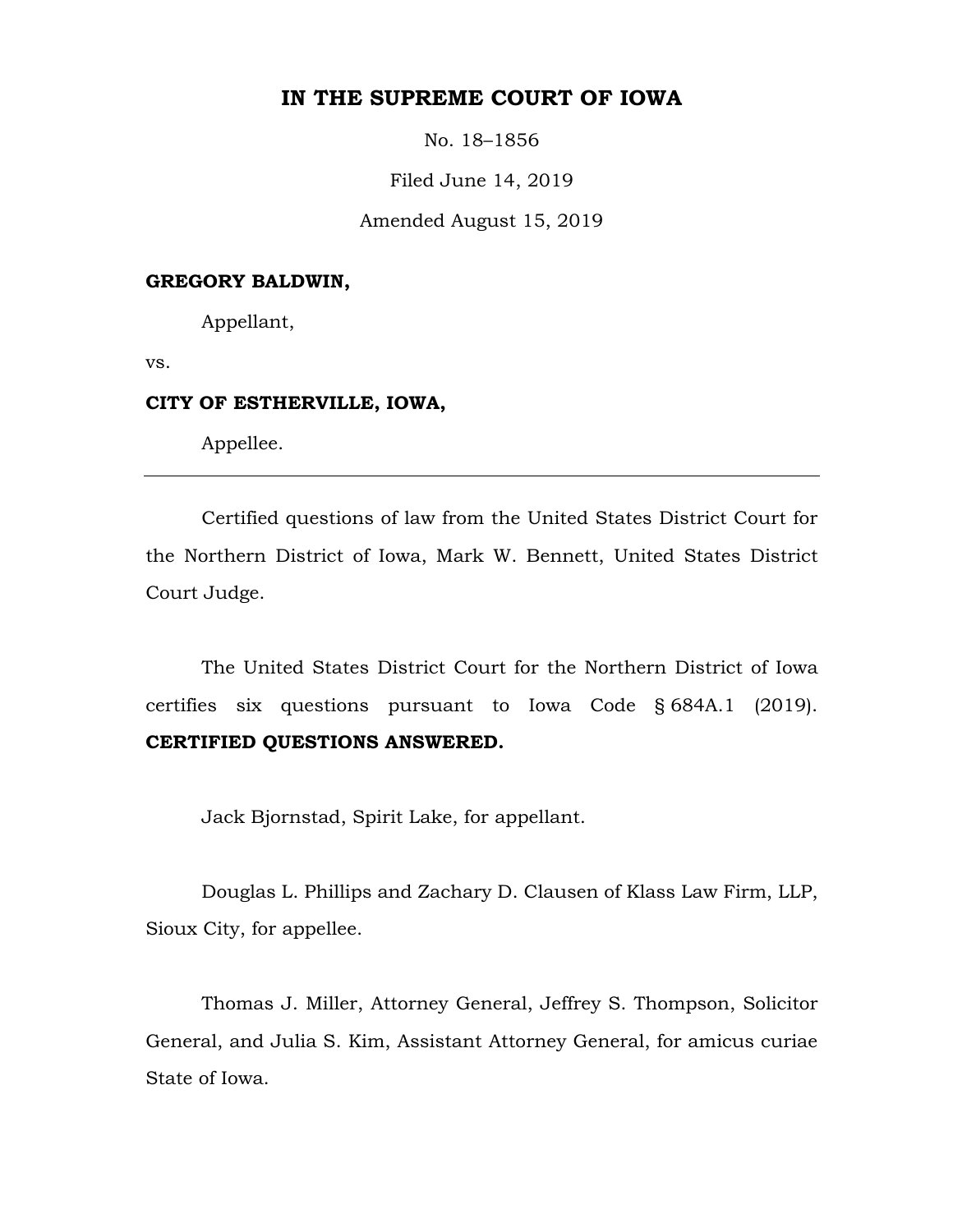# **IN THE SUPREME COURT OF IOWA**

No. 18–1856

Filed June 14, 2019

Amended August 15, 2019

# **GREGORY BALDWIN,**

Appellant,

vs.

## **CITY OF ESTHERVILLE, IOWA,**

Appellee.

Certified questions of law from the United States District Court for the Northern District of Iowa, Mark W. Bennett, United States District Court Judge.

The United States District Court for the Northern District of Iowa certifies six questions pursuant to Iowa Code § 684A.1 (2019). **CERTIFIED QUESTIONS ANSWERED.**

Jack Bjornstad, Spirit Lake, for appellant.

Douglas L. Phillips and Zachary D. Clausen of Klass Law Firm, LLP, Sioux City, for appellee.

Thomas J. Miller, Attorney General, Jeffrey S. Thompson, Solicitor General, and Julia S. Kim, Assistant Attorney General, for amicus curiae State of Iowa.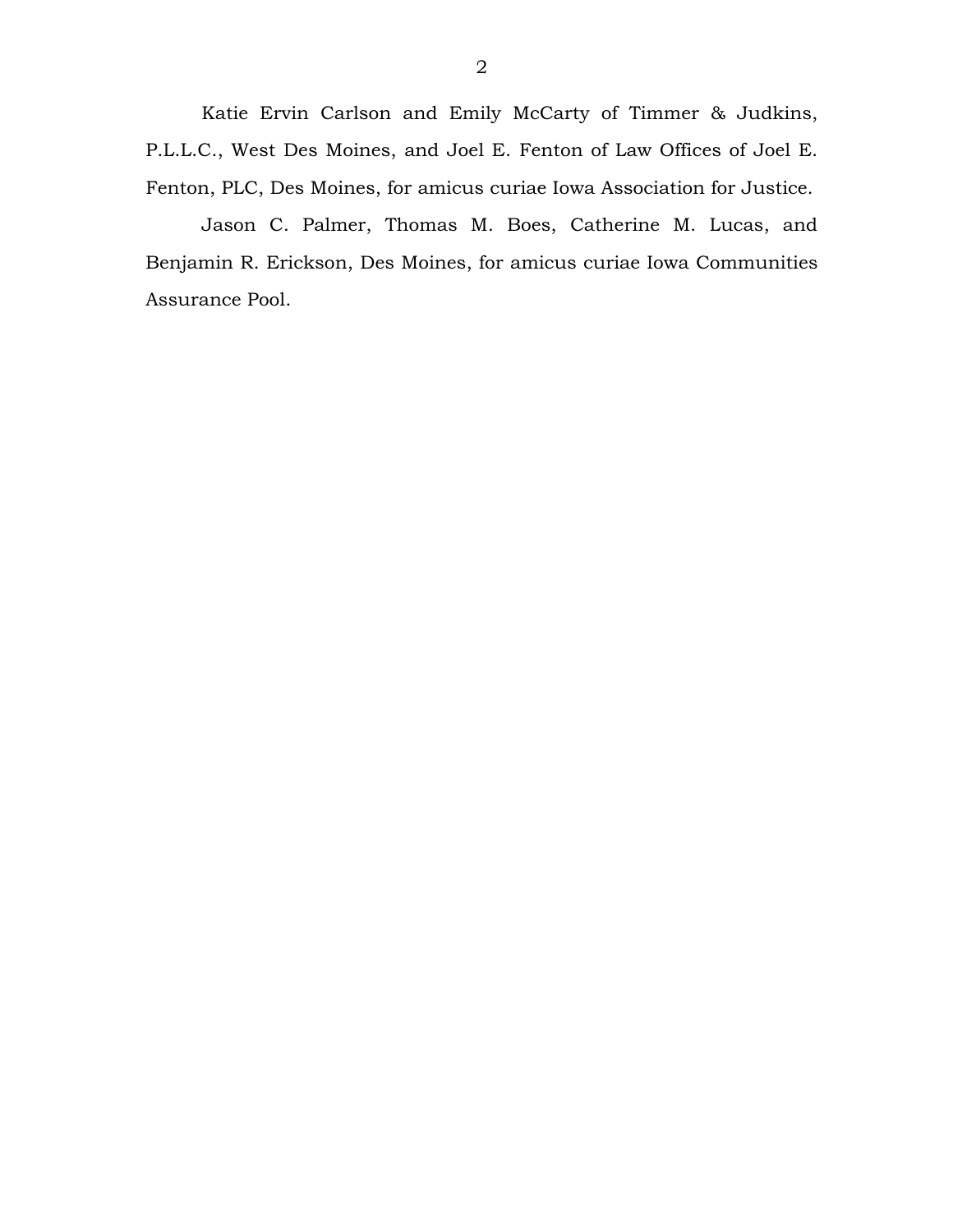Katie Ervin Carlson and Emily McCarty of Timmer & Judkins, P.L.L.C., West Des Moines, and Joel E. Fenton of Law Offices of Joel E. Fenton, PLC, Des Moines, for amicus curiae Iowa Association for Justice.

Jason C. Palmer, Thomas M. Boes, Catherine M. Lucas, and Benjamin R. Erickson, Des Moines, for amicus curiae Iowa Communities Assurance Pool.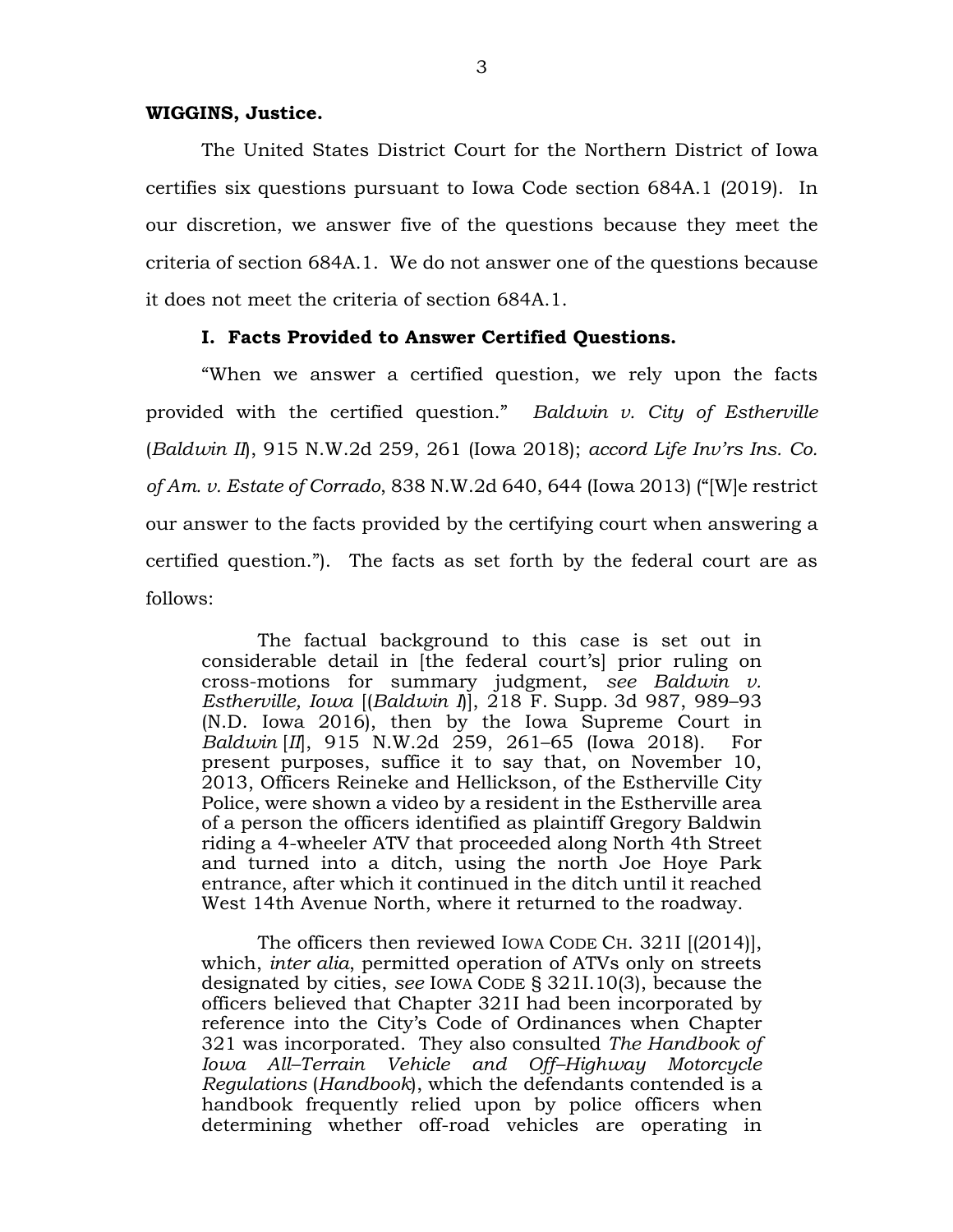#### **WIGGINS, Justice.**

The United States District Court for the Northern District of Iowa certifies six questions pursuant to Iowa Code section 684A.1 (2019). In our discretion, we answer five of the questions because they meet the criteria of section 684A.1. We do not answer one of the questions because it does not meet the criteria of section 684A.1.

### **I. Facts Provided to Answer Certified Questions.**

"When we answer a certified question, we rely upon the facts provided with the certified question." *Baldwin v. City of Estherville*  (*Baldwin II*), 915 N.W.2d 259, 261 (Iowa 2018); *accord Life Inv'rs Ins. Co. of Am. v. Estate of Corrado*, 838 N.W.2d 640, 644 (Iowa 2013) ("[W]e restrict our answer to the facts provided by the certifying court when answering a certified question."). The facts as set forth by the federal court are as follows:

The factual background to this case is set out in considerable detail in [the federal court's] prior ruling on cross-motions for summary judgment, *see Baldwin v. Estherville, Iowa* [(*Baldwin I*)], 218 F. Supp. 3d 987, 989–93 (N.D. Iowa 2016), then by the Iowa Supreme Court in *Baldwin* [*II*], 915 N.W.2d 259, 261–65 (Iowa 2018). For present purposes, suffice it to say that, on November 10, 2013, Officers Reineke and Hellickson, of the Estherville City Police, were shown a video by a resident in the Estherville area of a person the officers identified as plaintiff Gregory Baldwin riding a 4-wheeler ATV that proceeded along North 4th Street and turned into a ditch, using the north Joe Hoye Park entrance, after which it continued in the ditch until it reached West 14th Avenue North, where it returned to the roadway.

The officers then reviewed IOWA CODE CH. 321I [(2014)], which, *inter alia*, permitted operation of ATVs only on streets designated by cities, *see* IOWA CODE § 321I.10(3), because the officers believed that Chapter 321I had been incorporated by reference into the City's Code of Ordinances when Chapter 321 was incorporated. They also consulted *The Handbook of Iowa All–Terrain Vehicle and Off–Highway Motorcycle Regulations* (*Handbook*), which the defendants contended is a handbook frequently relied upon by police officers when determining whether off-road vehicles are operating in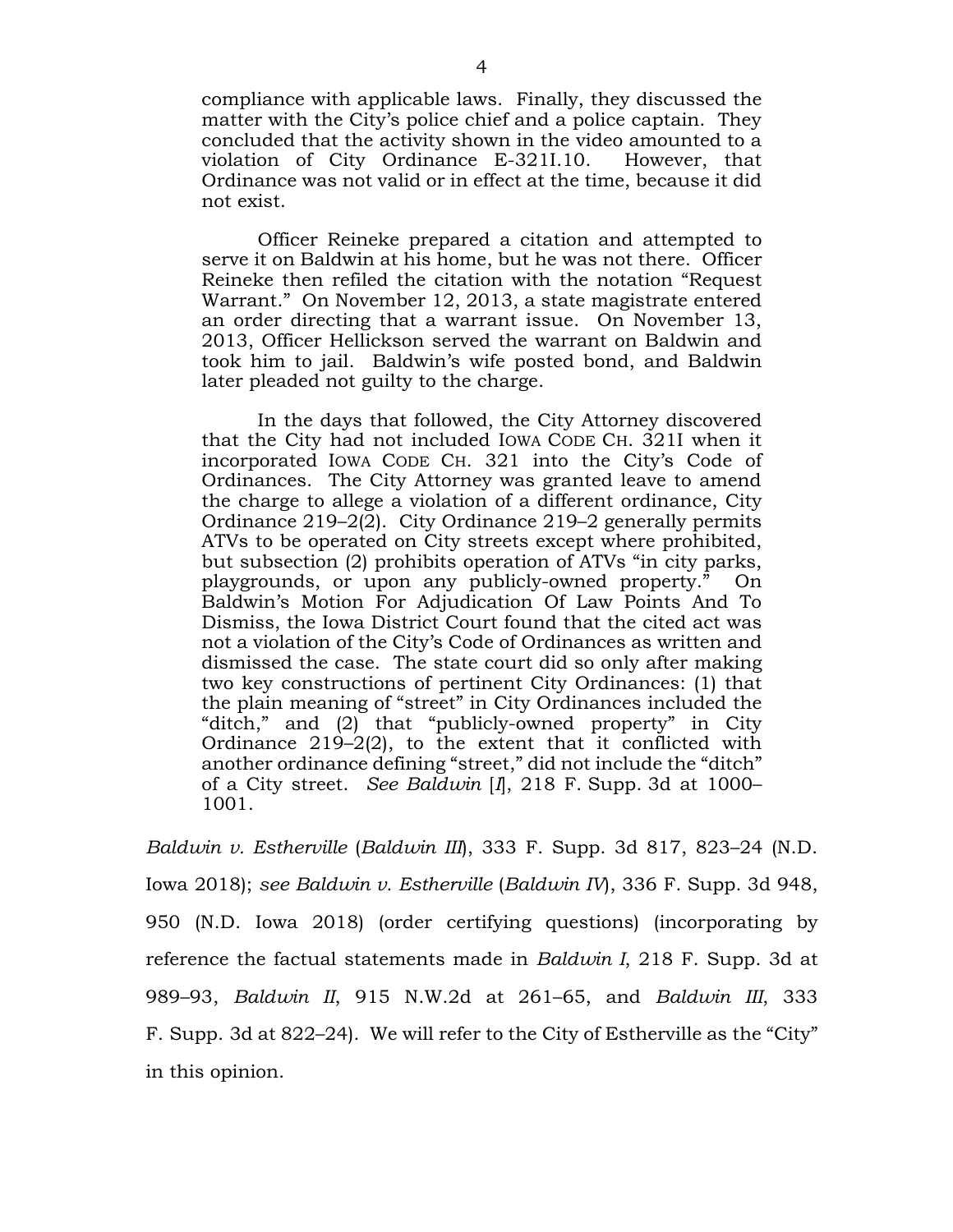compliance with applicable laws. Finally, they discussed the matter with the City's police chief and a police captain. They concluded that the activity shown in the video amounted to a violation of City Ordinance E-321I.10. However, that Ordinance was not valid or in effect at the time, because it did not exist.

Officer Reineke prepared a citation and attempted to serve it on Baldwin at his home, but he was not there. Officer Reineke then refiled the citation with the notation "Request Warrant." On November 12, 2013, a state magistrate entered an order directing that a warrant issue. On November 13, 2013, Officer Hellickson served the warrant on Baldwin and took him to jail. Baldwin's wife posted bond, and Baldwin later pleaded not guilty to the charge.

In the days that followed, the City Attorney discovered that the City had not included IOWA CODE CH. 321I when it incorporated IOWA CODE CH. 321 into the City's Code of Ordinances. The City Attorney was granted leave to amend the charge to allege a violation of a different ordinance, City Ordinance 219–2(2). City Ordinance 219–2 generally permits ATVs to be operated on City streets except where prohibited, but subsection (2) prohibits operation of ATVs "in city parks, playgrounds, or upon any publicly-owned property." On Baldwin's Motion For Adjudication Of Law Points And To Dismiss, the Iowa District Court found that the cited act was not a violation of the City's Code of Ordinances as written and dismissed the case. The state court did so only after making two key constructions of pertinent City Ordinances: (1) that the plain meaning of "street" in City Ordinances included the "ditch," and (2) that "publicly-owned property" in City Ordinance 219–2(2), to the extent that it conflicted with another ordinance defining "street," did not include the "ditch" of a City street. *See Baldwin* [*I*], 218 F. Supp. 3d at 1000– 1001.

*Baldwin v. Estherville* (*Baldwin III*), 333 F. Supp. 3d 817, 823–24 (N.D. Iowa 2018); *see Baldwin v. Estherville* (*Baldwin IV*), 336 F. Supp. 3d 948, 950 (N.D. Iowa 2018) (order certifying questions) (incorporating by reference the factual statements made in *Baldwin I*, 218 F. Supp. 3d at 989–93, *Baldwin II*, 915 N.W.2d at 261–65, and *Baldwin III*, 333 F. Supp. 3d at 822–24). We will refer to the City of Estherville as the "City" in this opinion.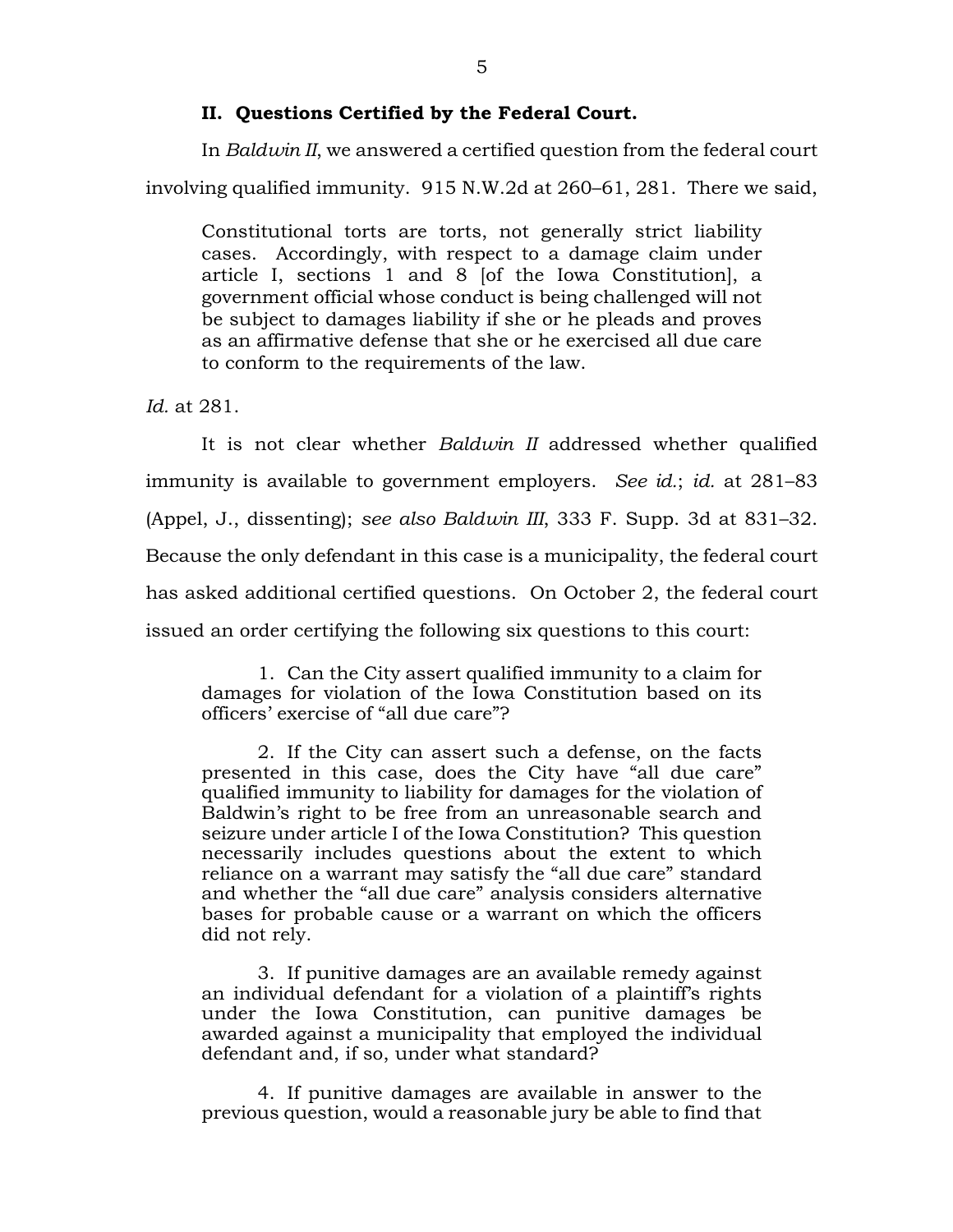## **II. Questions Certified by the Federal Court.**

In *Baldwin II*, we answered a certified question from the federal court involving qualified immunity. 915 N.W.2d at 260–61, 281. There we said,

Constitutional torts are torts, not generally strict liability cases. Accordingly, with respect to a damage claim under article I, sections 1 and 8 [of the Iowa Constitution], a government official whose conduct is being challenged will not be subject to damages liability if she or he pleads and proves as an affirmative defense that she or he exercised all due care to conform to the requirements of the law.

*Id.* at 281.

It is not clear whether *Baldwin II* addressed whether qualified immunity is available to government employers. *See id.*; *id.* at 281–83 (Appel, J., dissenting); *see also Baldwin III*, 333 F. Supp. 3d at 831–32. Because the only defendant in this case is a municipality, the federal court has asked additional certified questions. On October 2, the federal court issued an order certifying the following six questions to this court:

1. Can the City assert qualified immunity to a claim for damages for violation of the Iowa Constitution based on its officers' exercise of "all due care"?

2. If the City can assert such a defense, on the facts presented in this case, does the City have "all due care" qualified immunity to liability for damages for the violation of Baldwin's right to be free from an unreasonable search and seizure under article I of the Iowa Constitution? This question necessarily includes questions about the extent to which reliance on a warrant may satisfy the "all due care" standard and whether the "all due care" analysis considers alternative bases for probable cause or a warrant on which the officers did not rely.

3. If punitive damages are an available remedy against an individual defendant for a violation of a plaintiff's rights under the Iowa Constitution, can punitive damages be awarded against a municipality that employed the individual defendant and, if so, under what standard?

4. If punitive damages are available in answer to the previous question, would a reasonable jury be able to find that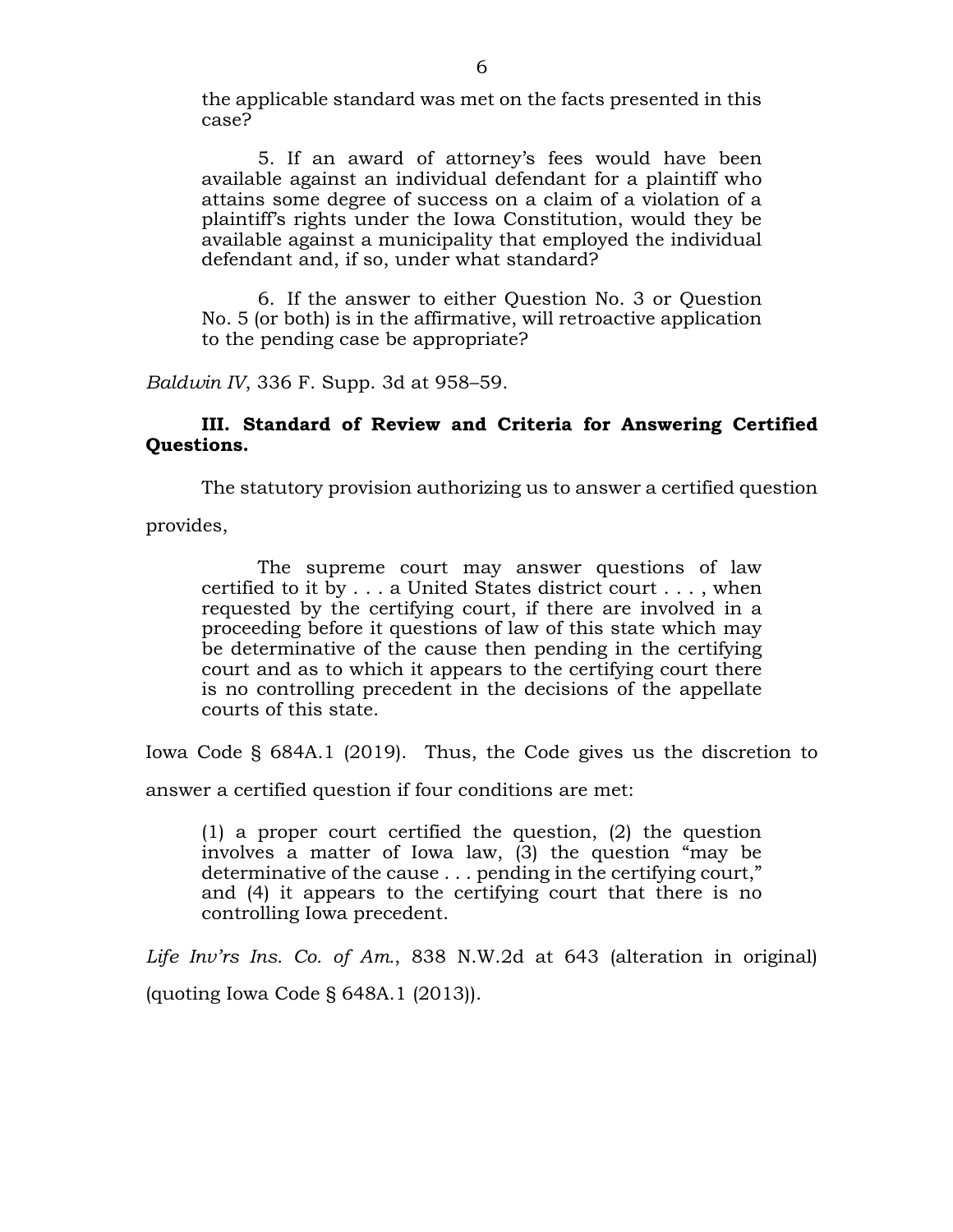the applicable standard was met on the facts presented in this case?

5. If an award of attorney's fees would have been available against an individual defendant for a plaintiff who attains some degree of success on a claim of a violation of a plaintiff's rights under the Iowa Constitution, would they be available against a municipality that employed the individual defendant and, if so, under what standard?

6. If the answer to either Question No. 3 or Question No. 5 (or both) is in the affirmative, will retroactive application to the pending case be appropriate?

*Baldwin IV*, 336 F. Supp. 3d at 958–59.

## **III. Standard of Review and Criteria for Answering Certified Questions.**

The statutory provision authorizing us to answer a certified question

provides,

The supreme court may answer questions of law certified to it by . . . a United States district court . . . , when requested by the certifying court, if there are involved in a proceeding before it questions of law of this state which may be determinative of the cause then pending in the certifying court and as to which it appears to the certifying court there is no controlling precedent in the decisions of the appellate courts of this state.

Iowa Code § 684A.1 (2019). Thus, the Code gives us the discretion to

answer a certified question if four conditions are met:

(1) a proper court certified the question, (2) the question involves a matter of Iowa law, (3) the question "may be determinative of the cause . . . pending in the certifying court," and (4) it appears to the certifying court that there is no controlling Iowa precedent.

*Life Inv'rs Ins. Co. of Am.*, 838 N.W.2d at 643 (alteration in original) (quoting Iowa Code § 648A.1 (2013)).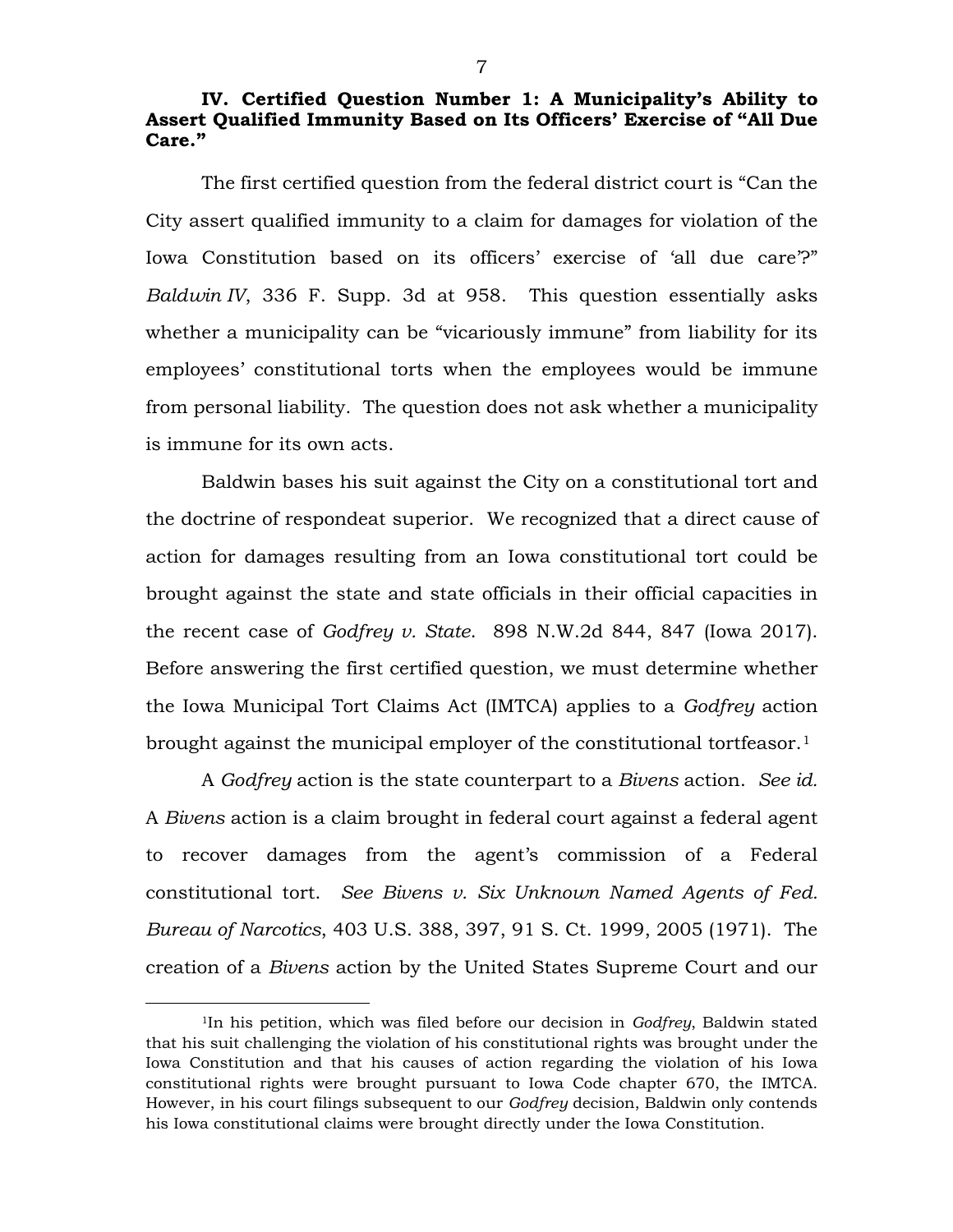## **IV. Certified Question Number 1: A Municipality's Ability to Assert Qualified Immunity Based on Its Officers' Exercise of "All Due Care."**

The first certified question from the federal district court is "Can the City assert qualified immunity to a claim for damages for violation of the Iowa Constitution based on its officers' exercise of 'all due care'?" *Baldwin IV*, 336 F. Supp. 3d at 958. This question essentially asks whether a municipality can be "vicariously immune" from liability for its employees' constitutional torts when the employees would be immune from personal liability. The question does not ask whether a municipality is immune for its own acts.

Baldwin bases his suit against the City on a constitutional tort and the doctrine of respondeat superior. We recognized that a direct cause of action for damages resulting from an Iowa constitutional tort could be brought against the state and state officials in their official capacities in the recent case of *Godfrey v. State*. 898 N.W.2d 844, 847 (Iowa 2017). Before answering the first certified question, we must determine whether the Iowa Municipal Tort Claims Act (IMTCA) applies to a *Godfrey* action brought against the municipal employer of the constitutional tortfeasor.<sup>1</sup>

A *Godfrey* action is the state counterpart to a *Bivens* action. *See id.* A *Bivens* action is a claim brought in federal court against a federal agent to recover damages from the agent's commission of a Federal constitutional tort. *See Bivens v. Six Unknown Named Agents of Fed. Bureau of Narcotics*, 403 U.S. 388, 397, 91 S. Ct. 1999, 2005 (1971). The creation of a *Bivens* action by the United States Supreme Court and our

<span id="page-6-0"></span> <sup>1</sup>In his petition, which was filed before our decision in *Godfrey*, Baldwin stated that his suit challenging the violation of his constitutional rights was brought under the Iowa Constitution and that his causes of action regarding the violation of his Iowa constitutional rights were brought pursuant to Iowa Code chapter 670, the IMTCA. However, in his court filings subsequent to our *Godfrey* decision, Baldwin only contends his Iowa constitutional claims were brought directly under the Iowa Constitution.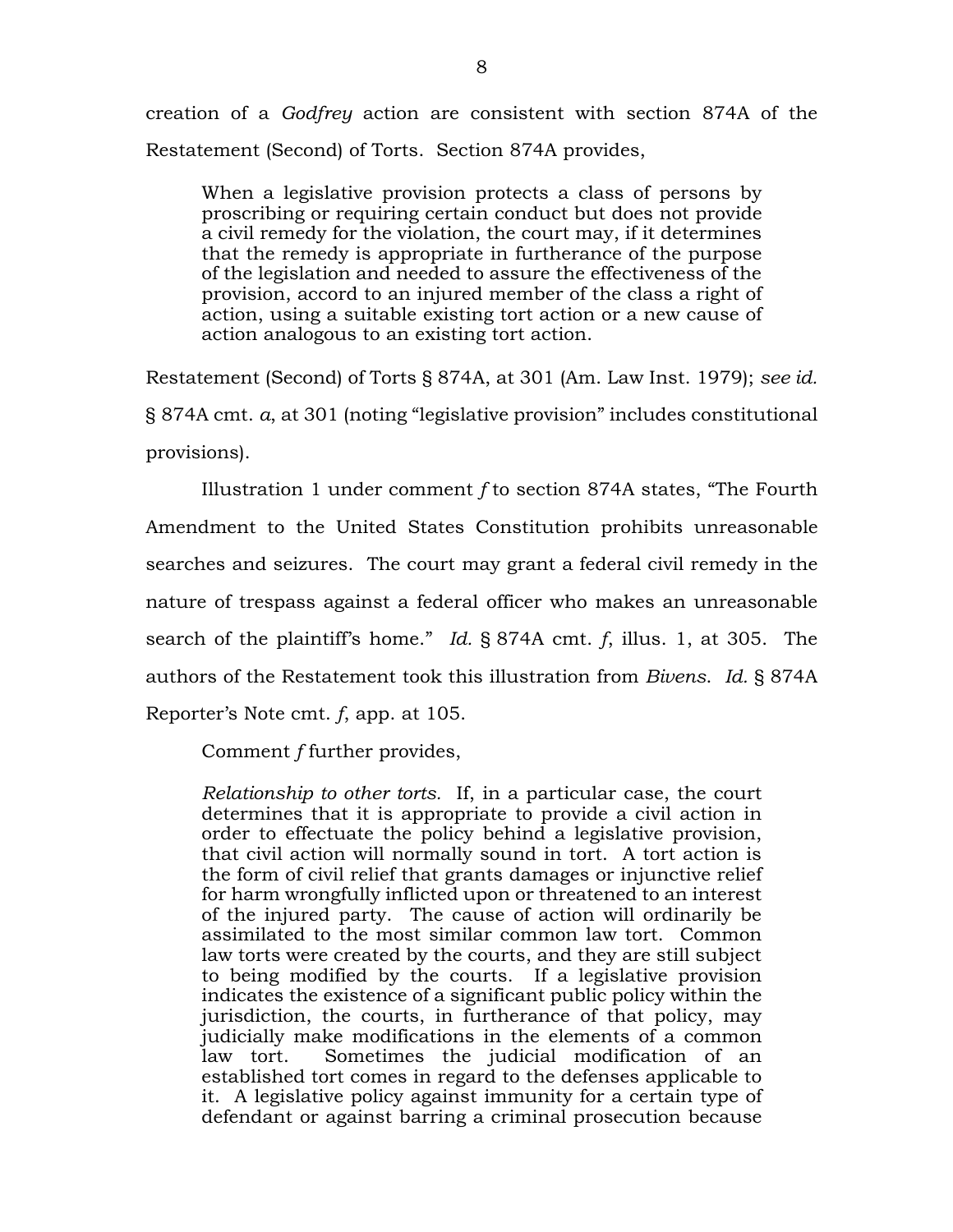creation of a *Godfrey* action are consistent with section 874A of the Restatement (Second) of Torts. Section 874A provides,

When a legislative provision protects a class of persons by proscribing or requiring certain conduct but does not provide a civil remedy for the violation, the court may, if it determines that the remedy is appropriate in furtherance of the purpose of the legislation and needed to assure the effectiveness of the provision, accord to an injured member of the class a right of action, using a suitable existing tort action or a new cause of action analogous to an existing tort action.

Restatement (Second) of Torts § 874A, at 301 (Am. Law Inst. 1979); *see id.*  § 874A cmt. *a*, at 301 (noting "legislative provision" includes constitutional provisions).

Illustration 1 under comment *f* to section 874A states, "The Fourth Amendment to the United States Constitution prohibits unreasonable searches and seizures. The court may grant a federal civil remedy in the nature of trespass against a federal officer who makes an unreasonable search of the plaintiff's home." *Id.* § 874A cmt. *f*, illus. 1, at 305. The authors of the Restatement took this illustration from *Bivens*. *Id.* § 874A Reporter's Note cmt. *f*, app. at 105.

Comment *f* further provides,

*Relationship to other torts.* If, in a particular case, the court determines that it is appropriate to provide a civil action in order to effectuate the policy behind a legislative provision, that civil action will normally sound in tort. A tort action is the form of civil relief that grants damages or injunctive relief for harm wrongfully inflicted upon or threatened to an interest of the injured party. The cause of action will ordinarily be assimilated to the most similar common law tort. Common law torts were created by the courts, and they are still subject to being modified by the courts. If a legislative provision indicates the existence of a significant public policy within the jurisdiction, the courts, in furtherance of that policy, may judicially make modifications in the elements of a common law tort. Sometimes the judicial modification of an established tort comes in regard to the defenses applicable to it. A legislative policy against immunity for a certain type of defendant or against barring a criminal prosecution because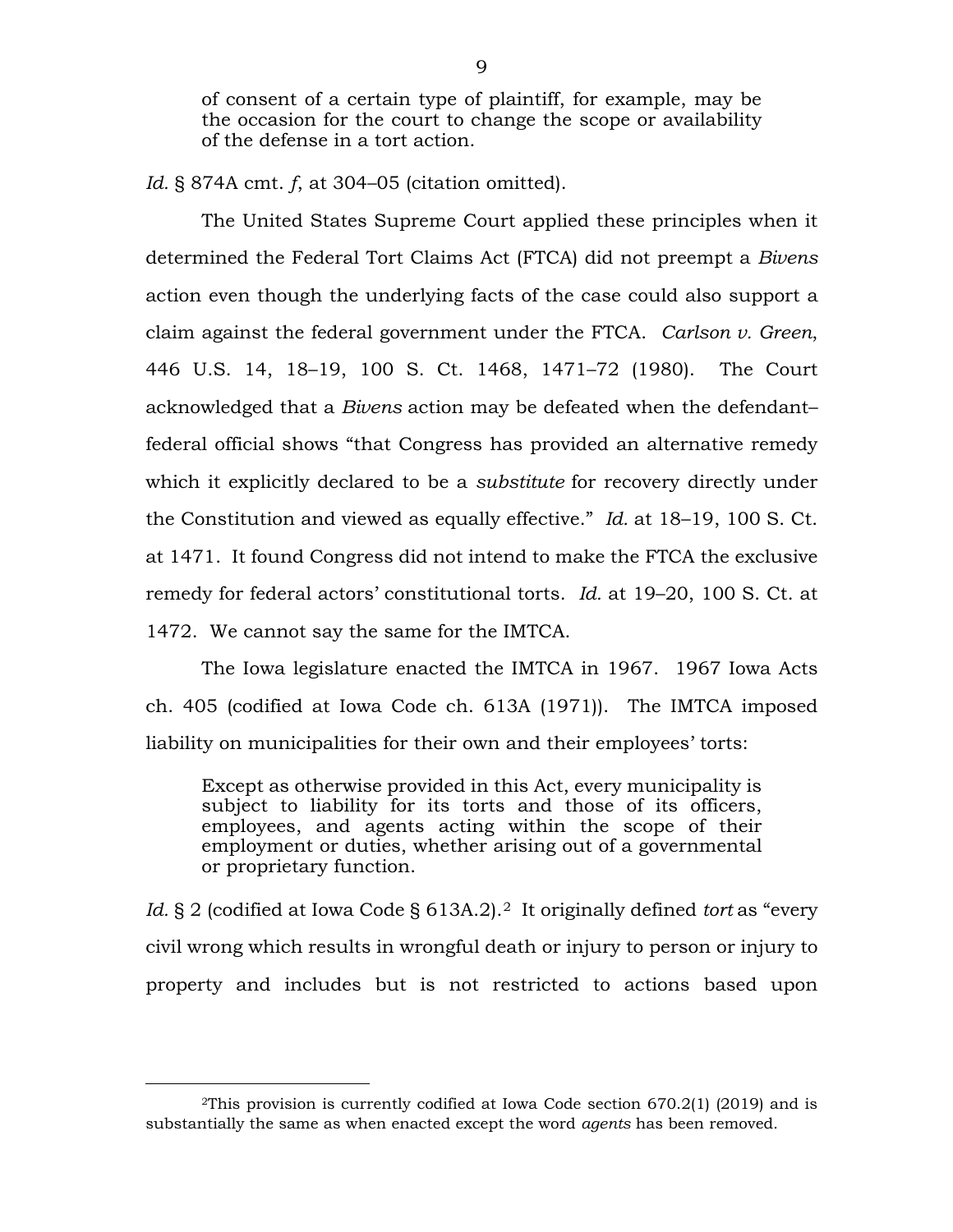of consent of a certain type of plaintiff, for example, may be the occasion for the court to change the scope or availability of the defense in a tort action.

*Id.* § 874A cmt. *f*, at 304–05 (citation omitted).

The United States Supreme Court applied these principles when it determined the Federal Tort Claims Act (FTCA) did not preempt a *Bivens*  action even though the underlying facts of the case could also support a claim against the federal government under the FTCA. *Carlson v. Green*, 446 U.S. 14, 18–19, 100 S. Ct. 1468, 1471–72 (1980). The Court acknowledged that a *Bivens* action may be defeated when the defendant– federal official shows "that Congress has provided an alternative remedy which it explicitly declared to be a *substitute* for recovery directly under the Constitution and viewed as equally effective." *Id.* at 18–19, 100 S. Ct. at 1471. It found Congress did not intend to make the FTCA the exclusive remedy for federal actors' constitutional torts. *Id.* at 19–20, 100 S. Ct. at 1472. We cannot say the same for the IMTCA.

The Iowa legislature enacted the IMTCA in 1967. 1967 Iowa Acts ch. 405 (codified at Iowa Code ch. 613A (1971)). The IMTCA imposed liability on municipalities for their own and their employees' torts:

Except as otherwise provided in this Act, every municipality is subject to liability for its torts and those of its officers, employees, and agents acting within the scope of their employment or duties, whether arising out of a governmental or proprietary function.

Id. § [2](#page-8-0) (codified at Iowa Code § 613A.2).<sup>2</sup> It originally defined *tort* as "every civil wrong which results in wrongful death or injury to person or injury to property and includes but is not restricted to actions based upon

<span id="page-8-0"></span> <sup>2</sup>This provision is currently codified at Iowa Code section 670.2(1) (2019) and is substantially the same as when enacted except the word *agents* has been removed.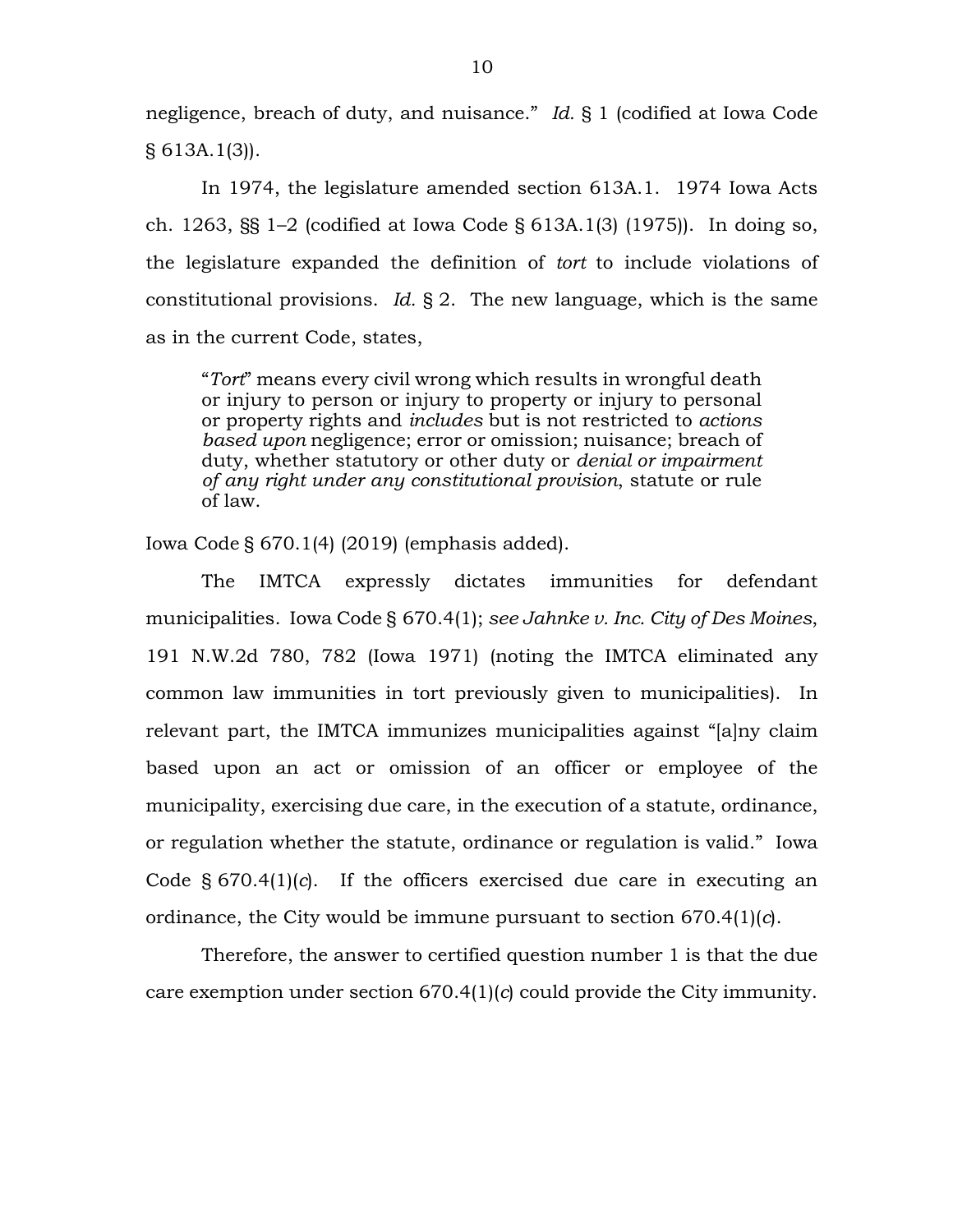negligence, breach of duty, and nuisance." *Id.* § 1 (codified at Iowa Code § 613A.1(3)).

In 1974, the legislature amended section 613A.1. 1974 Iowa Acts ch. 1263, §§ 1–2 (codified at Iowa Code § 613A.1(3) (1975)). In doing so, the legislature expanded the definition of *tort* to include violations of constitutional provisions. *Id.* § 2. The new language, which is the same as in the current Code, states,

"*Tort*" means every civil wrong which results in wrongful death or injury to person or injury to property or injury to personal or property rights and *includes* but is not restricted to *actions based upon* negligence; error or omission; nuisance; breach of duty, whether statutory or other duty or *denial or impairment of any right under any constitutional provision*, statute or rule of law.

Iowa Code § 670.1(4) (2019) (emphasis added).

The IMTCA expressly dictates immunities for defendant municipalities. Iowa Code § 670.4(1); *see Jahnke v. Inc. City of Des Moines*, 191 N.W.2d 780, 782 (Iowa 1971) (noting the IMTCA eliminated any common law immunities in tort previously given to municipalities). In relevant part, the IMTCA immunizes municipalities against "[a]ny claim based upon an act or omission of an officer or employee of the municipality, exercising due care, in the execution of a statute, ordinance, or regulation whether the statute, ordinance or regulation is valid." Iowa Code § 670.4(1)(*c*). If the officers exercised due care in executing an ordinance, the City would be immune pursuant to section 670.4(1)(*c*).

Therefore, the answer to certified question number 1 is that the due care exemption under section 670.4(1)(*c*) could provide the City immunity.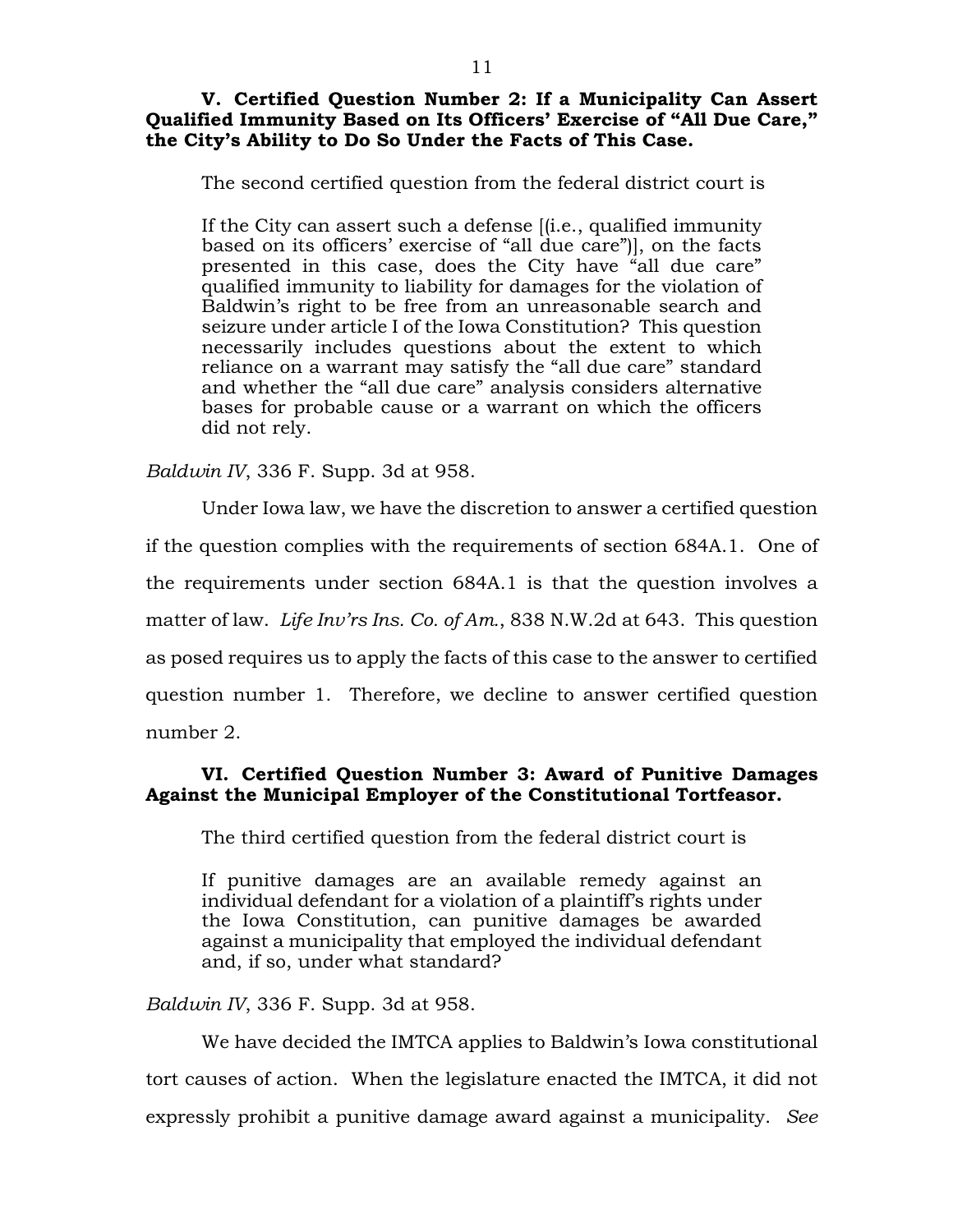## **V. Certified Question Number 2: If a Municipality Can Assert Qualified Immunity Based on Its Officers' Exercise of "All Due Care," the City's Ability to Do So Under the Facts of This Case.**

The second certified question from the federal district court is

If the City can assert such a defense [(i.e., qualified immunity based on its officers' exercise of "all due care")], on the facts presented in this case, does the City have "all due care" qualified immunity to liability for damages for the violation of Baldwin's right to be free from an unreasonable search and seizure under article I of the Iowa Constitution? This question necessarily includes questions about the extent to which reliance on a warrant may satisfy the "all due care" standard and whether the "all due care" analysis considers alternative bases for probable cause or a warrant on which the officers did not rely.

*Baldwin IV*, 336 F. Supp. 3d at 958.

Under Iowa law, we have the discretion to answer a certified question if the question complies with the requirements of section 684A.1. One of the requirements under section 684A.1 is that the question involves a matter of law. *Life Inv'rs Ins. Co. of Am.*, 838 N.W.2d at 643. This question as posed requires us to apply the facts of this case to the answer to certified question number 1. Therefore, we decline to answer certified question number 2.

# **VI. Certified Question Number 3: Award of Punitive Damages Against the Municipal Employer of the Constitutional Tortfeasor.**

The third certified question from the federal district court is

If punitive damages are an available remedy against an individual defendant for a violation of a plaintiff's rights under the Iowa Constitution, can punitive damages be awarded against a municipality that employed the individual defendant and, if so, under what standard?

*Baldwin IV*, 336 F. Supp. 3d at 958.

We have decided the IMTCA applies to Baldwin's Iowa constitutional tort causes of action. When the legislature enacted the IMTCA, it did not expressly prohibit a punitive damage award against a municipality. *See*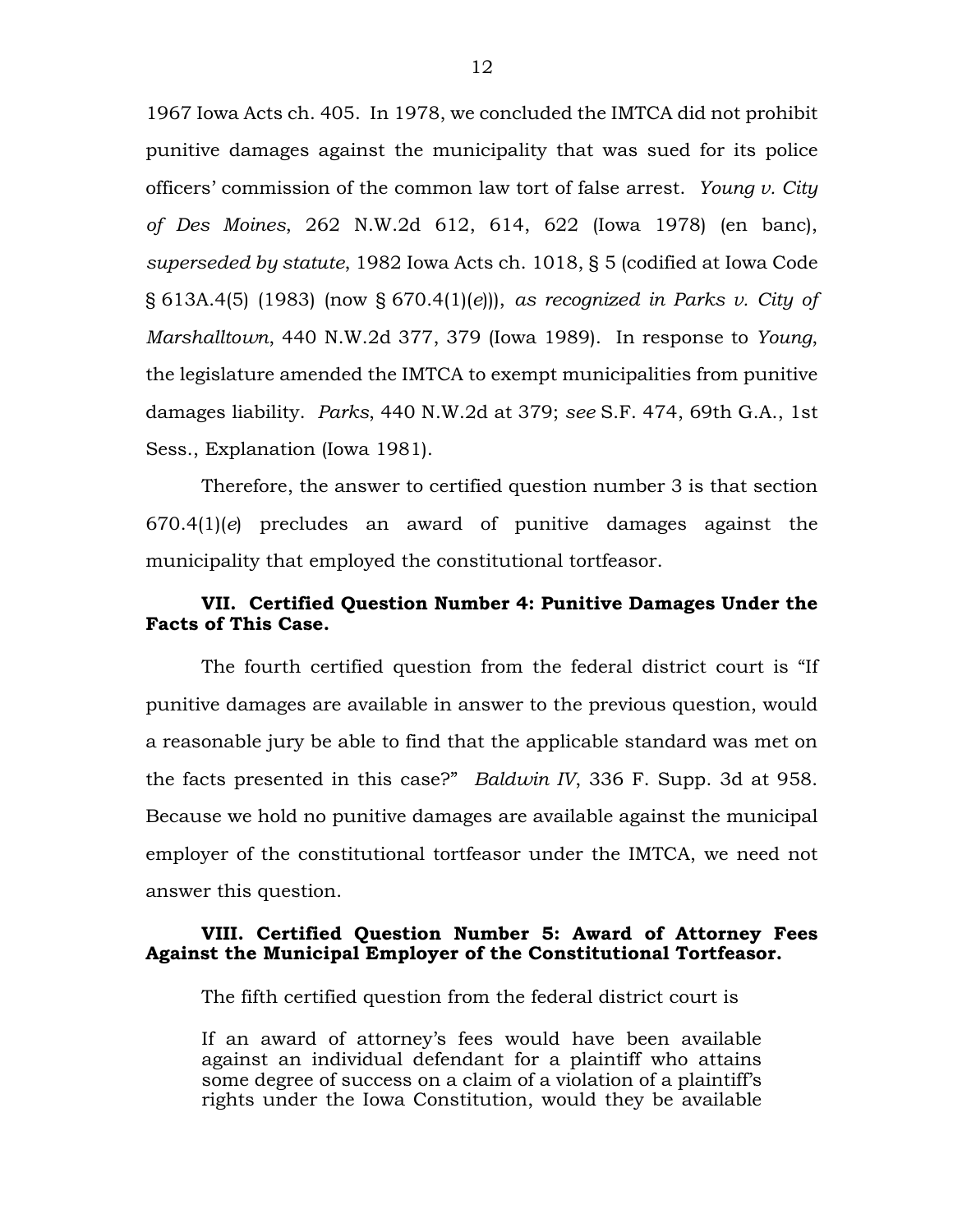1967 Iowa Acts ch. 405. In 1978, we concluded the IMTCA did not prohibit punitive damages against the municipality that was sued for its police officers' commission of the common law tort of false arrest. *Young v. City of Des Moines*, 262 N.W.2d 612, 614, 622 (Iowa 1978) (en banc), *superseded by statute*, 1982 Iowa Acts ch. 1018, § 5 (codified at Iowa Code § 613A.4(5) (1983) (now § 670.4(1)(*e*))), *as recognized in Parks v. City of Marshalltown*, 440 N.W.2d 377, 379 (Iowa 1989). In response to *Young*, the legislature amended the IMTCA to exempt municipalities from punitive damages liability. *Parks*, 440 N.W.2d at 379; *see* S.F. 474, 69th G.A., 1st Sess., Explanation (Iowa 1981).

Therefore, the answer to certified question number 3 is that section 670.4(1)(*e*) precludes an award of punitive damages against the municipality that employed the constitutional tortfeasor.

# **VII. Certified Question Number 4: Punitive Damages Under the Facts of This Case.**

The fourth certified question from the federal district court is "If punitive damages are available in answer to the previous question, would a reasonable jury be able to find that the applicable standard was met on the facts presented in this case?" *Baldwin IV*, 336 F. Supp. 3d at 958. Because we hold no punitive damages are available against the municipal employer of the constitutional tortfeasor under the IMTCA, we need not answer this question.

# **VIII. Certified Question Number 5: Award of Attorney Fees Against the Municipal Employer of the Constitutional Tortfeasor.**

The fifth certified question from the federal district court is

If an award of attorney's fees would have been available against an individual defendant for a plaintiff who attains some degree of success on a claim of a violation of a plaintiff's rights under the Iowa Constitution, would they be available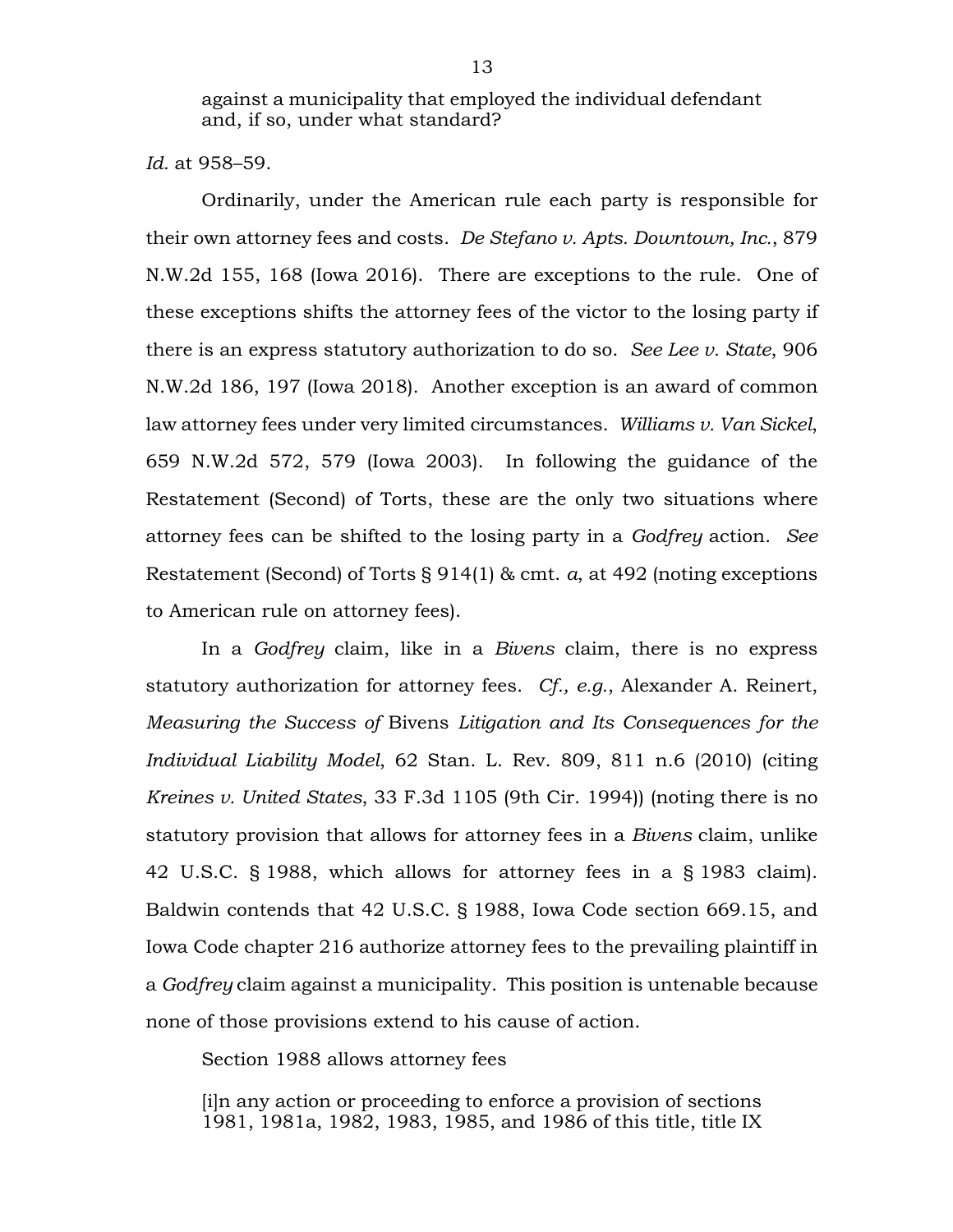against a municipality that employed the individual defendant and, if so, under what standard?

*Id.* at 958–59.

Ordinarily, under the American rule each party is responsible for their own attorney fees and costs. *De Stefano v. Apts. Downtown, Inc.*, 879 N.W.2d 155, 168 (Iowa 2016). There are exceptions to the rule. One of these exceptions shifts the attorney fees of the victor to the losing party if there is an express statutory authorization to do so. *See Lee v. State*, 906 N.W.2d 186, 197 (Iowa 2018). Another exception is an award of common law attorney fees under very limited circumstances. *Williams v. Van Sickel*, 659 N.W.2d 572, 579 (Iowa 2003). In following the guidance of the Restatement (Second) of Torts, these are the only two situations where attorney fees can be shifted to the losing party in a *Godfrey* action. *See* Restatement (Second) of Torts § 914(1) & cmt. *a*, at 492 (noting exceptions to American rule on attorney fees).

In a *Godfrey* claim, like in a *Bivens* claim, there is no express statutory authorization for attorney fees. *Cf., e.g.*, Alexander A. Reinert, *Measuring the Success of* Bivens *Litigation and Its Consequences for the Individual Liability Model*, 62 Stan. L. Rev. 809, 811 n.6 (2010) (citing *Kreines v. United States*, 33 F.3d 1105 (9th Cir. 1994)) (noting there is no statutory provision that allows for attorney fees in a *Bivens* claim, unlike 42 U.S.C. § 1988, which allows for attorney fees in a § 1983 claim). Baldwin contends that 42 U.S.C. § 1988, Iowa Code section 669.15, and Iowa Code chapter 216 authorize attorney fees to the prevailing plaintiff in a *Godfrey* claim against a municipality. This position is untenable because none of those provisions extend to his cause of action.

Section 1988 allows attorney fees

[i]n any action or proceeding to enforce a provision of sections 1981, 1981a, 1982, 1983, 1985, and 1986 of this title, title IX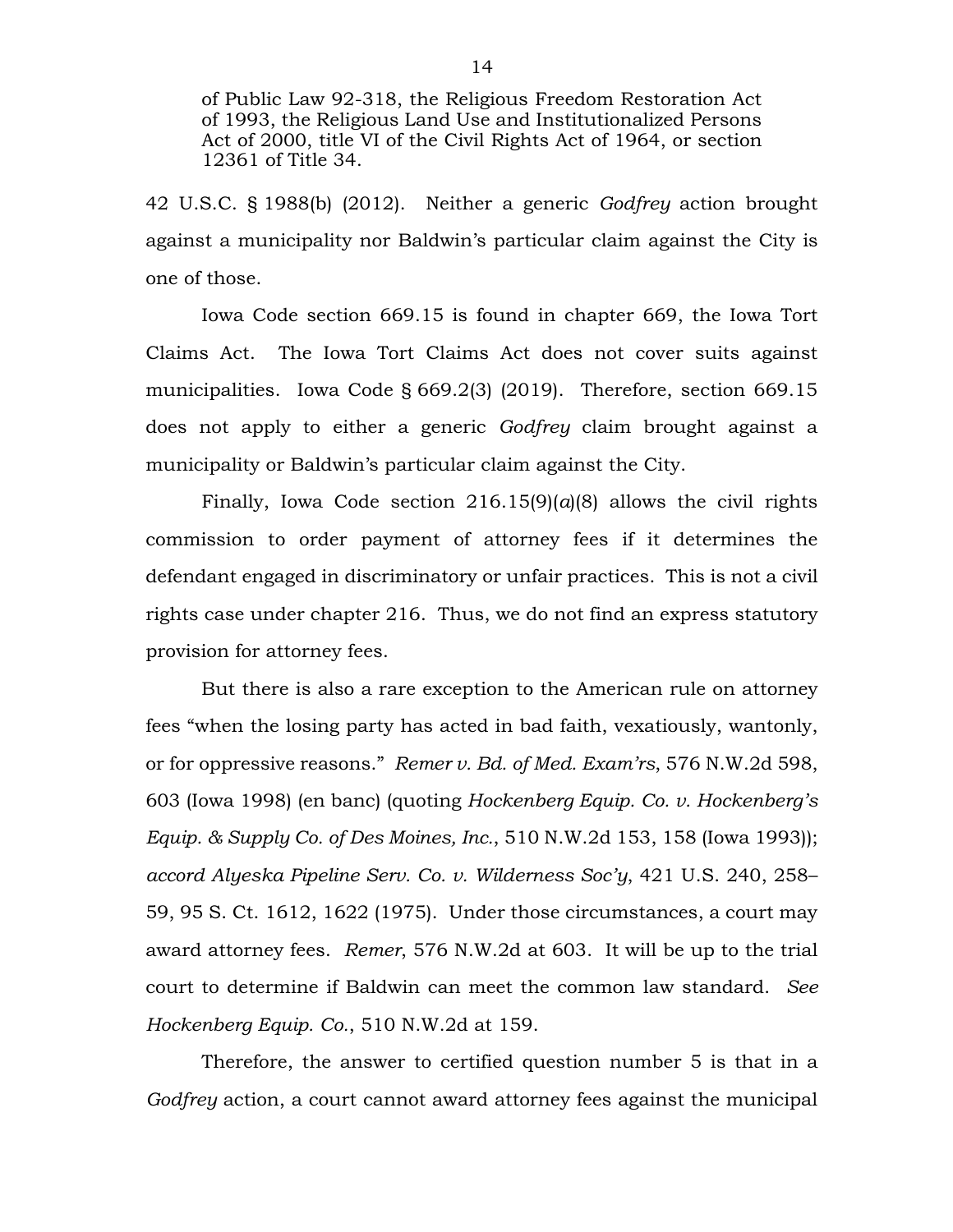of Public Law 92-318, the Religious Freedom Restoration Act of 1993, the Religious Land Use and Institutionalized Persons Act of 2000, title VI of the Civil Rights Act of 1964, or section 12361 of Title 34.

42 U.S.C. § 1988(b) (2012). Neither a generic *Godfrey* action brought against a municipality nor Baldwin's particular claim against the City is one of those.

Iowa Code section 669.15 is found in chapter 669, the Iowa Tort Claims Act. The Iowa Tort Claims Act does not cover suits against municipalities. Iowa Code § 669.2(3) (2019). Therefore, section 669.15 does not apply to either a generic *Godfrey* claim brought against a municipality or Baldwin's particular claim against the City.

Finally, Iowa Code section  $216.15(9)(a)(8)$  allows the civil rights commission to order payment of attorney fees if it determines the defendant engaged in discriminatory or unfair practices. This is not a civil rights case under chapter 216. Thus, we do not find an express statutory provision for attorney fees.

But there is also a rare exception to the American rule on attorney fees "when the losing party has acted in bad faith, vexatiously, wantonly, or for oppressive reasons." *Remer v. Bd. of Med. Exam'rs*, 576 N.W.2d 598, 603 (Iowa 1998) (en banc) (quoting *Hockenberg Equip. Co. v. Hockenberg's Equip. & Supply Co. of Des Moines, Inc.*, 510 N.W.2d 153, 158 (Iowa 1993)); *accord Alyeska Pipeline Serv. Co. v. Wilderness Soc'y*, 421 U.S. 240, 258– 59, 95 S. Ct. 1612, 1622 (1975). Under those circumstances, a court may award attorney fees. *Remer*, 576 N.W.2d at 603. It will be up to the trial court to determine if Baldwin can meet the common law standard. *See Hockenberg Equip. Co.*, 510 N.W.2d at 159.

Therefore, the answer to certified question number 5 is that in a *Godfrey* action, a court cannot award attorney fees against the municipal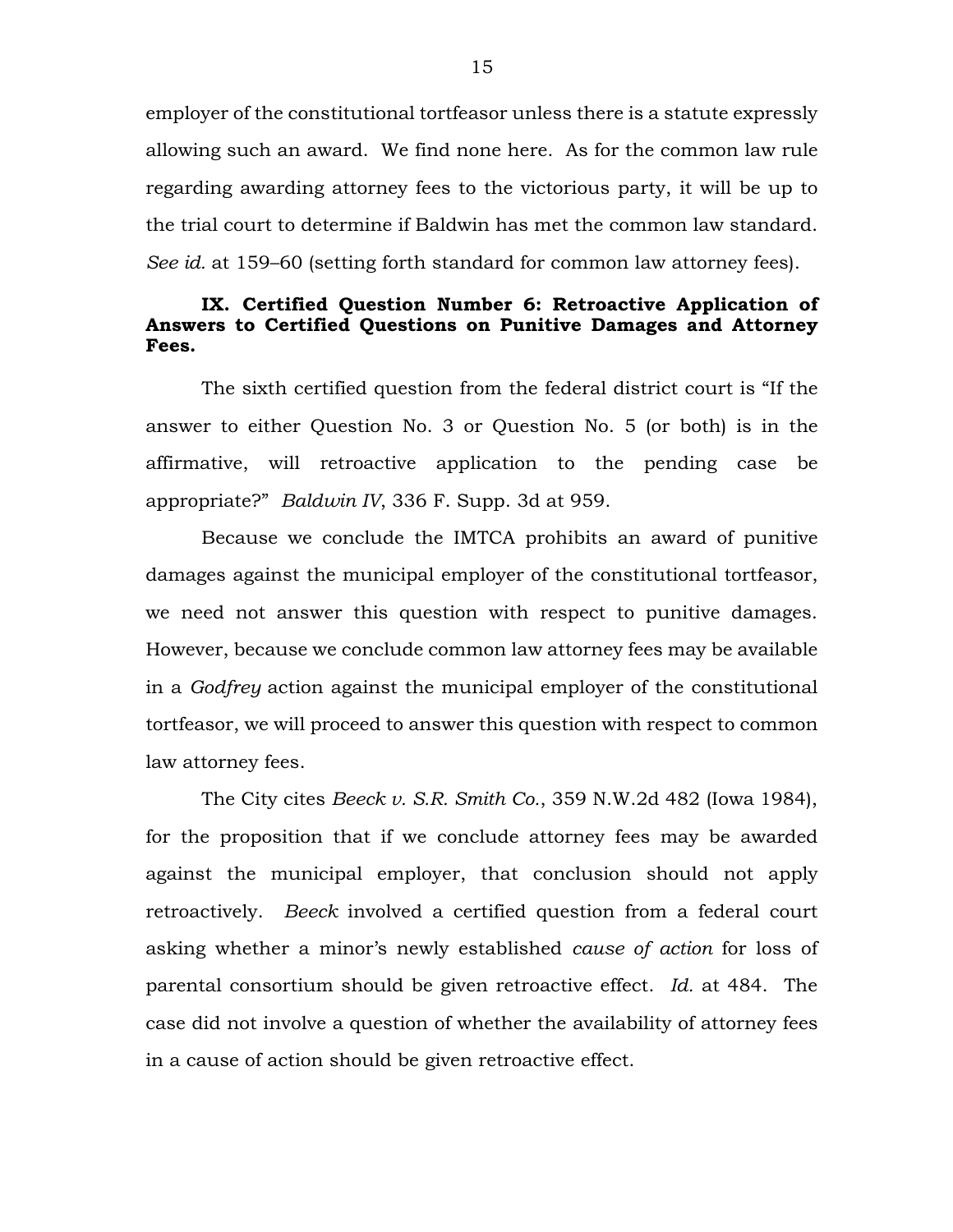employer of the constitutional tortfeasor unless there is a statute expressly allowing such an award. We find none here. As for the common law rule regarding awarding attorney fees to the victorious party, it will be up to the trial court to determine if Baldwin has met the common law standard. *See id.* at 159–60 (setting forth standard for common law attorney fees).

## **IX. Certified Question Number 6: Retroactive Application of Answers to Certified Questions on Punitive Damages and Attorney Fees.**

The sixth certified question from the federal district court is "If the answer to either Question No. 3 or Question No. 5 (or both) is in the affirmative, will retroactive application to the pending case be appropriate?" *Baldwin IV*, 336 F. Supp. 3d at 959.

Because we conclude the IMTCA prohibits an award of punitive damages against the municipal employer of the constitutional tortfeasor, we need not answer this question with respect to punitive damages. However, because we conclude common law attorney fees may be available in a *Godfrey* action against the municipal employer of the constitutional tortfeasor, we will proceed to answer this question with respect to common law attorney fees.

The City cites *Beeck v. S.R. Smith Co.*, 359 N.W.2d 482 (Iowa 1984), for the proposition that if we conclude attorney fees may be awarded against the municipal employer, that conclusion should not apply retroactively. *Beeck* involved a certified question from a federal court asking whether a minor's newly established *cause of action* for loss of parental consortium should be given retroactive effect. *Id.* at 484. The case did not involve a question of whether the availability of attorney fees in a cause of action should be given retroactive effect.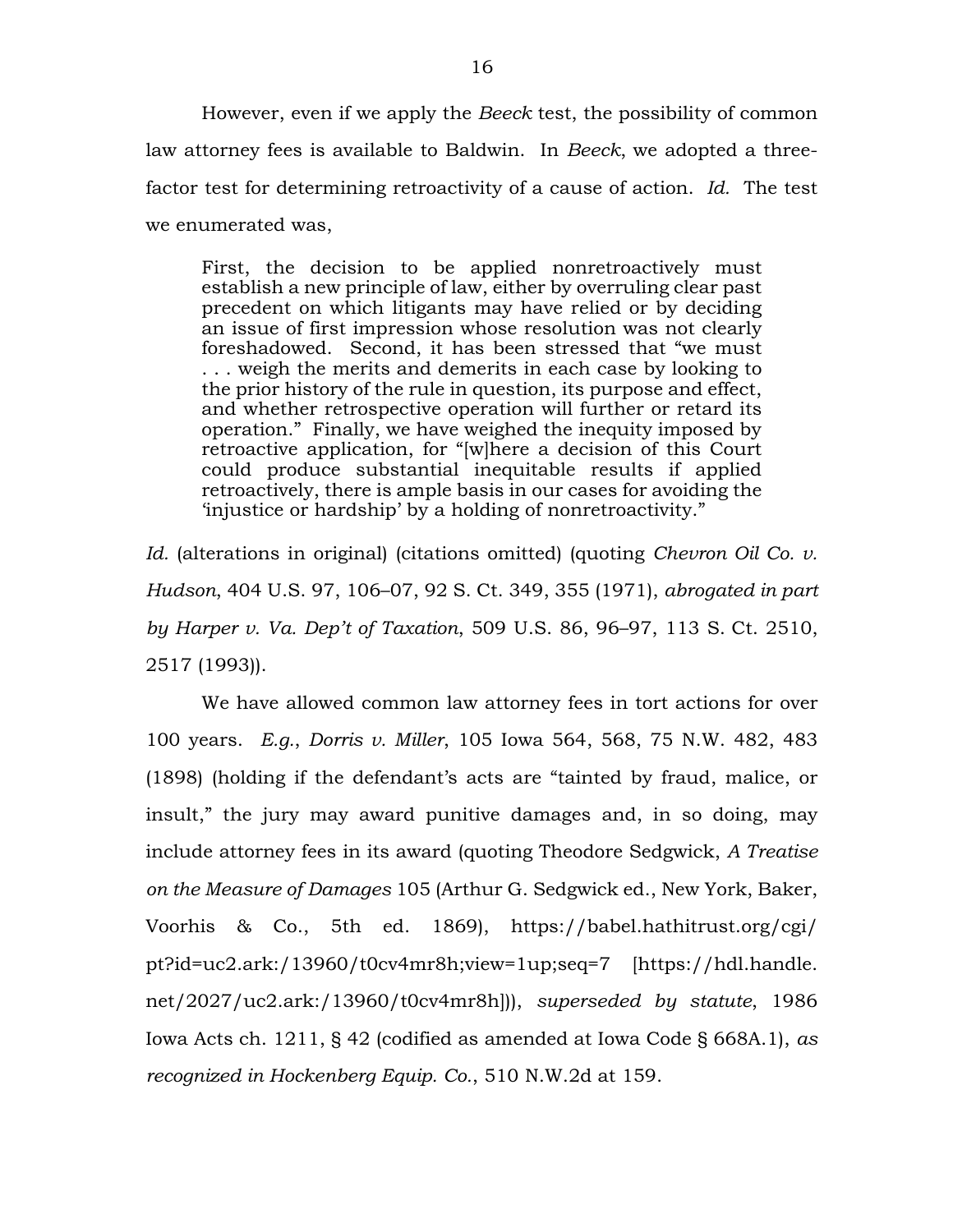However, even if we apply the *Beeck* test, the possibility of common law attorney fees is available to Baldwin. In *Beeck*, we adopted a threefactor test for determining retroactivity of a cause of action. *Id.* The test we enumerated was,

First, the decision to be applied nonretroactively must establish a new principle of law, either by overruling clear past precedent on which litigants may have relied or by deciding an issue of first impression whose resolution was not clearly foreshadowed. Second, it has been stressed that "we must . . . weigh the merits and demerits in each case by looking to the prior history of the rule in question, its purpose and effect, and whether retrospective operation will further or retard its operation." Finally, we have weighed the inequity imposed by retroactive application, for "[w]here a decision of this Court could produce substantial inequitable results if applied retroactively, there is ample basis in our cases for avoiding the 'injustice or hardship' by a holding of nonretroactivity."

*Id.* (alterations in original) (citations omitted) (quoting *Chevron Oil Co. v. Hudson*, 404 U.S. 97, 106–07, 92 S. Ct. 349, 355 (1971), *abrogated in part by Harper v. Va. Dep't of Taxation*, 509 U.S. 86, 96–97, 113 S. Ct. 2510, 2517 (1993)).

We have allowed common law attorney fees in tort actions for over 100 years. *E.g.*, *Dorris v. Miller*, 105 Iowa 564, 568, 75 N.W. 482, 483 (1898) (holding if the defendant's acts are "tainted by fraud, malice, or insult," the jury may award punitive damages and, in so doing, may include attorney fees in its award (quoting Theodore Sedgwick, *A Treatise on the Measure of Damages* 105 (Arthur G. Sedgwick ed., New York, Baker, Voorhis & Co., 5th ed. 1869), https://babel.hathitrust.org/cgi/ pt?id=uc2.ark:/13960/t0cv4mr8h;view=1up;seq=7 [https://hdl.handle. net/2027/uc2.ark:/13960/t0cv4mr8h])), *superseded by statute*, 1986 Iowa Acts ch. 1211, § 42 (codified as amended at Iowa Code § 668A.1), *as recognized in Hockenberg Equip. Co.*, 510 N.W.2d at 159.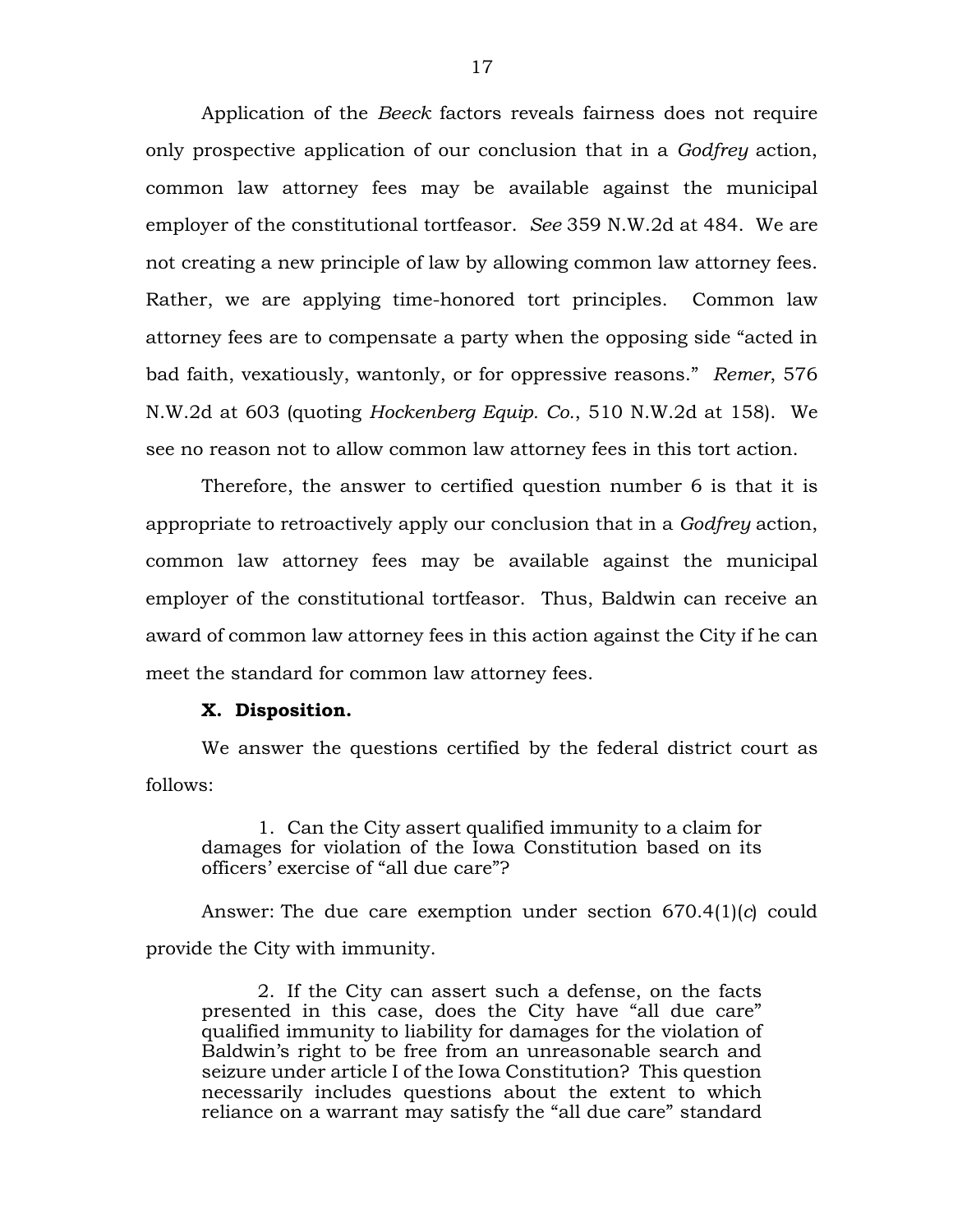Application of the *Beeck* factors reveals fairness does not require only prospective application of our conclusion that in a *Godfrey* action, common law attorney fees may be available against the municipal employer of the constitutional tortfeasor. *See* 359 N.W.2d at 484. We are not creating a new principle of law by allowing common law attorney fees. Rather, we are applying time-honored tort principles. Common law attorney fees are to compensate a party when the opposing side "acted in bad faith, vexatiously, wantonly, or for oppressive reasons." *Remer*, 576 N.W.2d at 603 (quoting *Hockenberg Equip. Co.*, 510 N.W.2d at 158). We see no reason not to allow common law attorney fees in this tort action.

Therefore, the answer to certified question number 6 is that it is appropriate to retroactively apply our conclusion that in a *Godfrey* action, common law attorney fees may be available against the municipal employer of the constitutional tortfeasor. Thus, Baldwin can receive an award of common law attorney fees in this action against the City if he can meet the standard for common law attorney fees.

#### **X. Disposition.**

We answer the questions certified by the federal district court as follows:

1. Can the City assert qualified immunity to a claim for damages for violation of the Iowa Constitution based on its officers' exercise of "all due care"?

Answer: The due care exemption under section 670.4(1)(*c*) could provide the City with immunity.

2. If the City can assert such a defense, on the facts presented in this case, does the City have "all due care" qualified immunity to liability for damages for the violation of Baldwin's right to be free from an unreasonable search and seizure under article I of the Iowa Constitution? This question necessarily includes questions about the extent to which reliance on a warrant may satisfy the "all due care" standard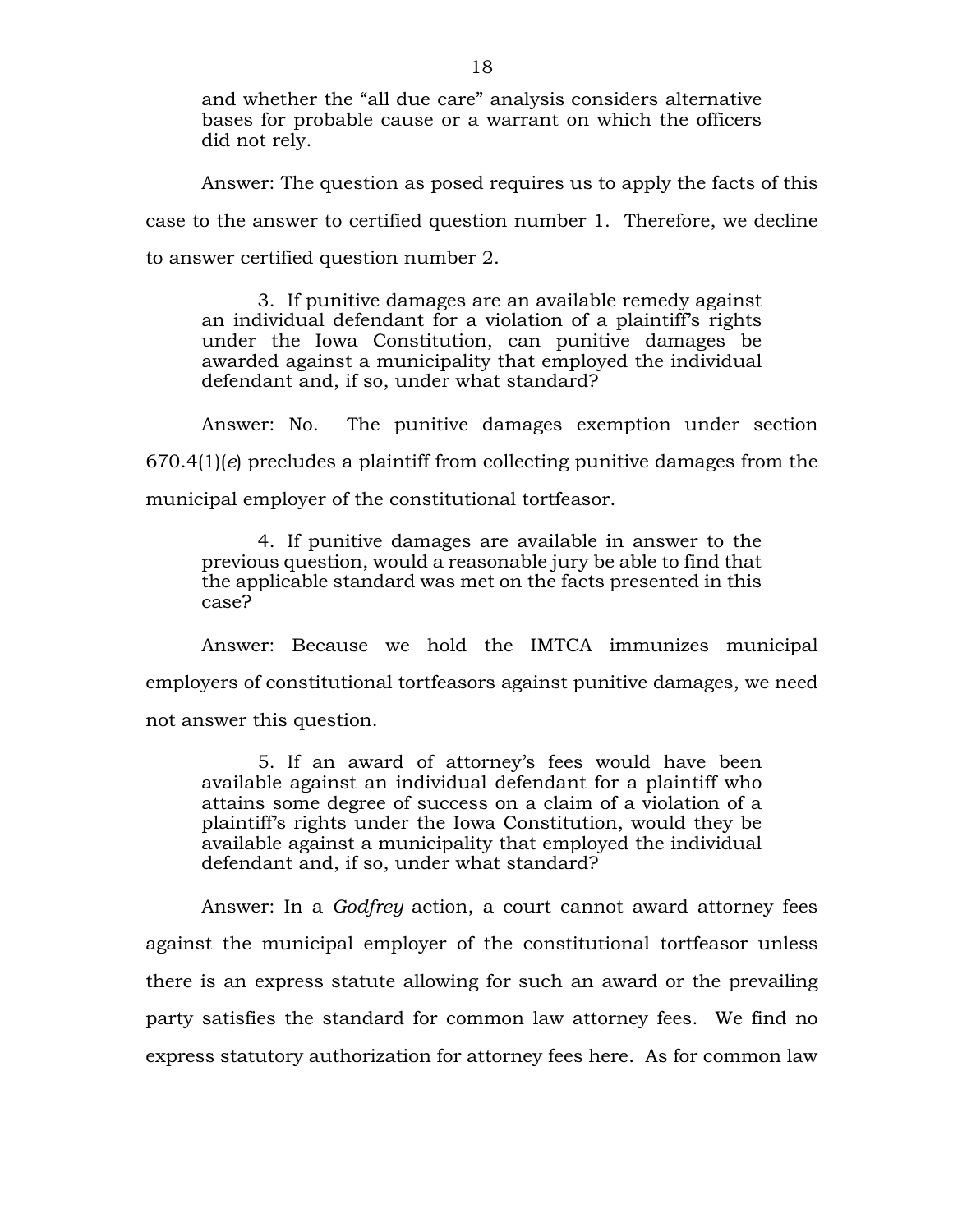and whether the "all due care" analysis considers alternative bases for probable cause or a warrant on which the officers did not rely.

Answer: The question as posed requires us to apply the facts of this case to the answer to certified question number 1. Therefore, we decline to answer certified question number 2.

3. If punitive damages are an available remedy against an individual defendant for a violation of a plaintiff's rights under the Iowa Constitution, can punitive damages be awarded against a municipality that employed the individual defendant and, if so, under what standard?

Answer: No. The punitive damages exemption under section 670.4(1)(*e*) precludes a plaintiff from collecting punitive damages from the municipal employer of the constitutional tortfeasor.

4. If punitive damages are available in answer to the previous question, would a reasonable jury be able to find that the applicable standard was met on the facts presented in this case?

Answer: Because we hold the IMTCA immunizes municipal employers of constitutional tortfeasors against punitive damages, we need not answer this question.

5. If an award of attorney's fees would have been available against an individual defendant for a plaintiff who attains some degree of success on a claim of a violation of a plaintiff's rights under the Iowa Constitution, would they be available against a municipality that employed the individual defendant and, if so, under what standard?

Answer: In a *Godfrey* action, a court cannot award attorney fees against the municipal employer of the constitutional tortfeasor unless there is an express statute allowing for such an award or the prevailing party satisfies the standard for common law attorney fees. We find no express statutory authorization for attorney fees here. As for common law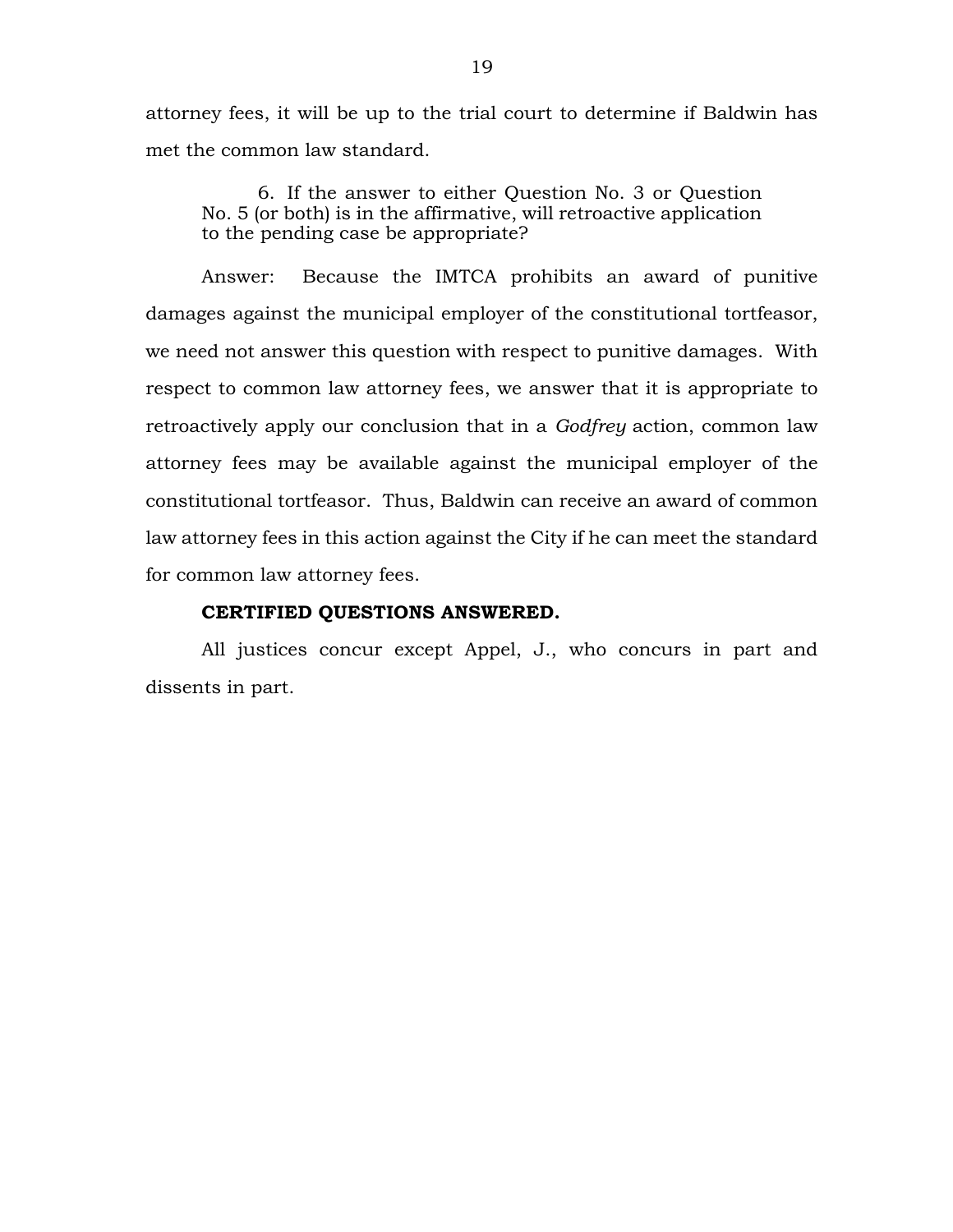attorney fees, it will be up to the trial court to determine if Baldwin has met the common law standard.

6. If the answer to either Question No. 3 or Question No. 5 (or both) is in the affirmative, will retroactive application to the pending case be appropriate?

Answer: Because the IMTCA prohibits an award of punitive damages against the municipal employer of the constitutional tortfeasor, we need not answer this question with respect to punitive damages. With respect to common law attorney fees, we answer that it is appropriate to retroactively apply our conclusion that in a *Godfrey* action, common law attorney fees may be available against the municipal employer of the constitutional tortfeasor. Thus, Baldwin can receive an award of common law attorney fees in this action against the City if he can meet the standard for common law attorney fees.

#### **CERTIFIED QUESTIONS ANSWERED.**

All justices concur except Appel, J., who concurs in part and dissents in part.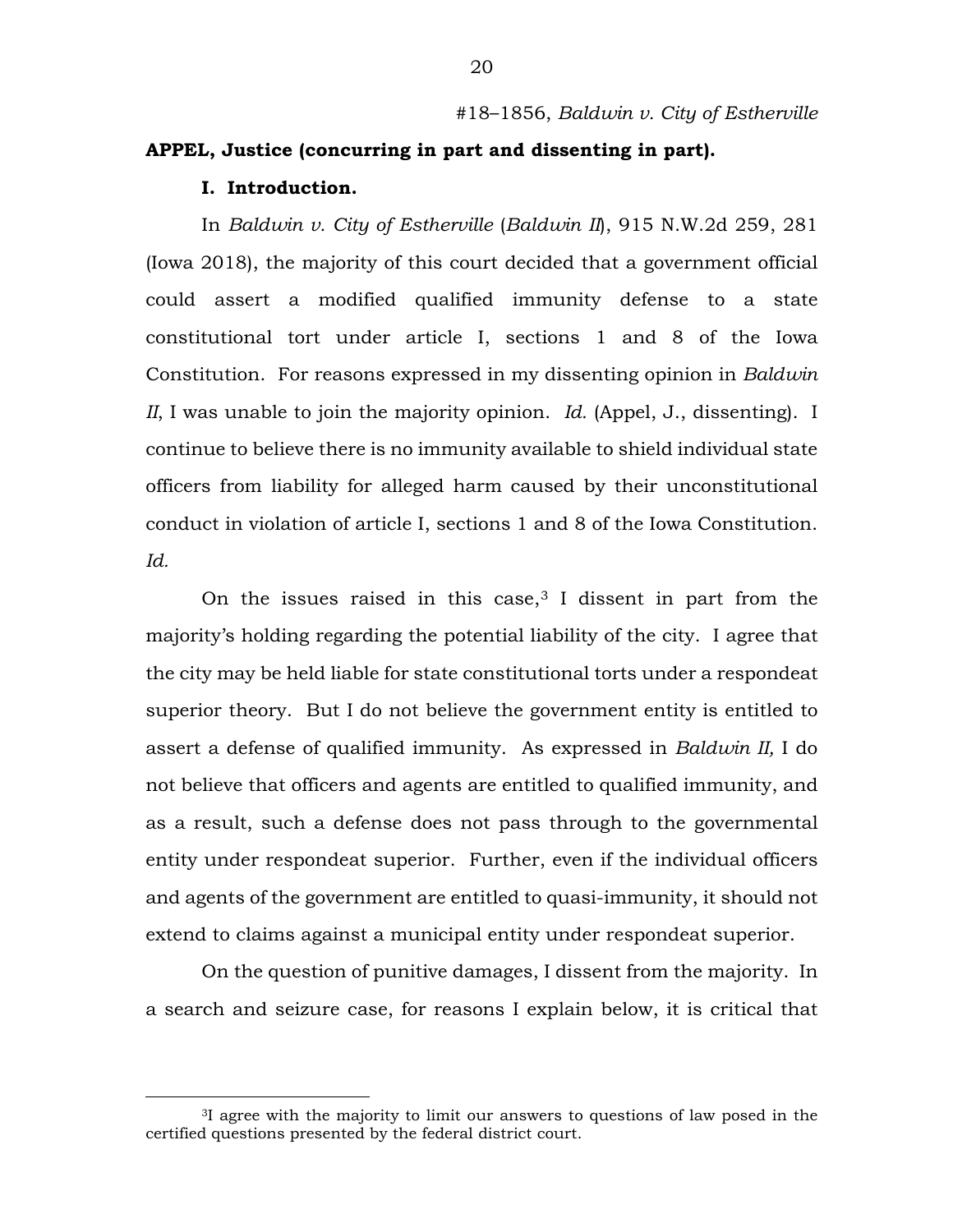### #18–1856, *Baldwin v. City of Estherville*

# **APPEL, Justice (concurring in part and dissenting in part).**

#### **I. Introduction.**

In *Baldwin v. City of Estherville* (*Baldwin II*), 915 N.W.2d 259, 281 (Iowa 2018), the majority of this court decided that a government official could assert a modified qualified immunity defense to a state constitutional tort under article I, sections 1 and 8 of the Iowa Constitution. For reasons expressed in my dissenting opinion in *Baldwin II*, I was unable to join the majority opinion. *Id.* (Appel, J., dissenting). I continue to believe there is no immunity available to shield individual state officers from liability for alleged harm caused by their unconstitutional conduct in violation of article I, sections 1 and 8 of the Iowa Constitution. *Id.*

On the issues raised in this case,  $3$  I dissent in part from the majority's holding regarding the potential liability of the city. I agree that the city may be held liable for state constitutional torts under a respondeat superior theory. But I do not believe the government entity is entitled to assert a defense of qualified immunity. As expressed in *Baldwin II,* I do not believe that officers and agents are entitled to qualified immunity, and as a result, such a defense does not pass through to the governmental entity under respondeat superior. Further, even if the individual officers and agents of the government are entitled to quasi-immunity, it should not extend to claims against a municipal entity under respondeat superior.

On the question of punitive damages, I dissent from the majority. In a search and seizure case, for reasons I explain below, it is critical that

<span id="page-19-0"></span> <sup>3</sup>I agree with the majority to limit our answers to questions of law posed in the certified questions presented by the federal district court.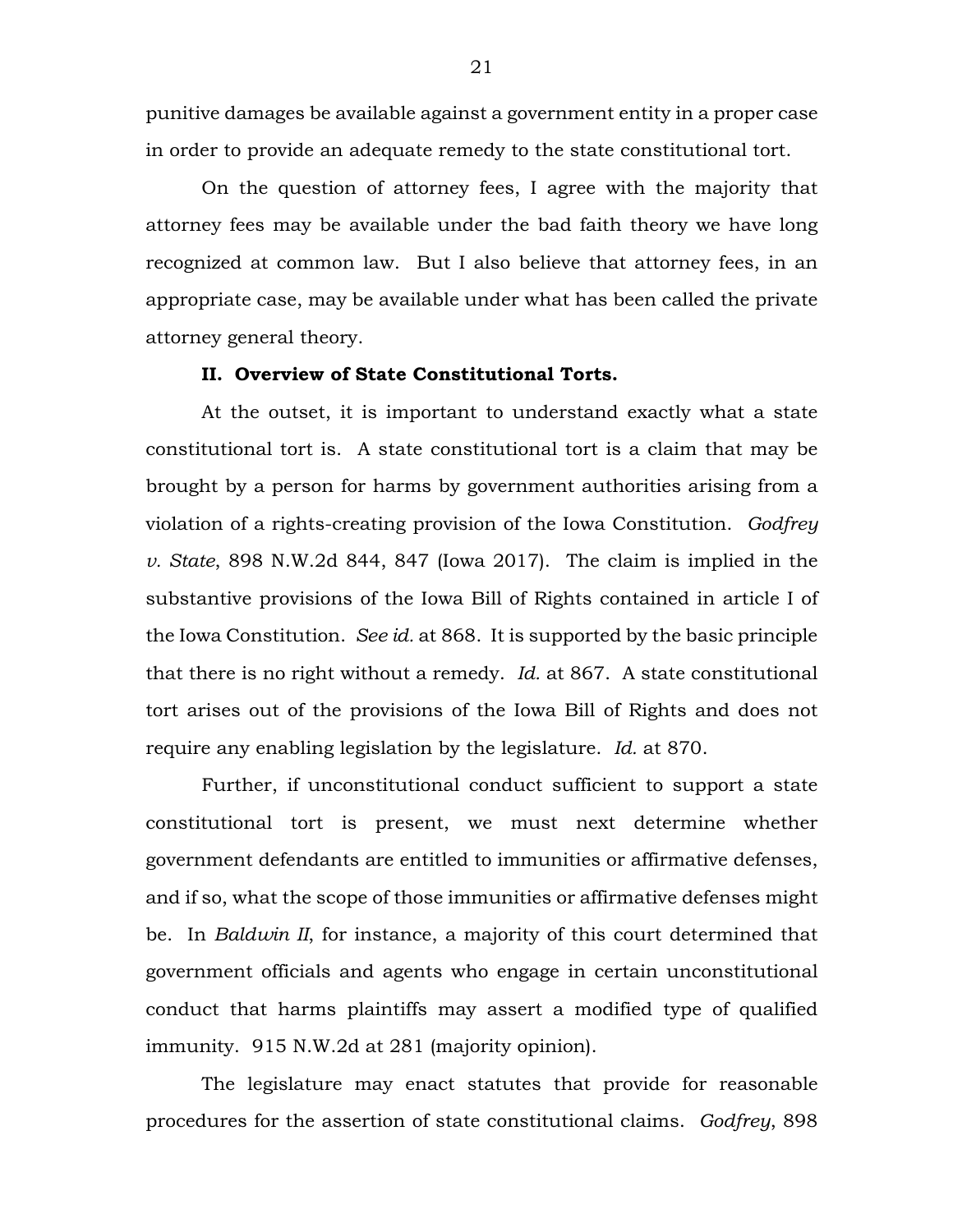punitive damages be available against a government entity in a proper case in order to provide an adequate remedy to the state constitutional tort.

On the question of attorney fees, I agree with the majority that attorney fees may be available under the bad faith theory we have long recognized at common law. But I also believe that attorney fees, in an appropriate case, may be available under what has been called the private attorney general theory.

## **II. Overview of State Constitutional Torts.**

At the outset, it is important to understand exactly what a state constitutional tort is. A state constitutional tort is a claim that may be brought by a person for harms by government authorities arising from a violation of a rights-creating provision of the Iowa Constitution. *Godfrey v. State*, 898 N.W.2d 844, 847 (Iowa 2017). The claim is implied in the substantive provisions of the Iowa Bill of Rights contained in article I of the Iowa Constitution. *See id.* at 868. It is supported by the basic principle that there is no right without a remedy. *Id.* at 867. A state constitutional tort arises out of the provisions of the Iowa Bill of Rights and does not require any enabling legislation by the legislature. *Id.* at 870.

Further, if unconstitutional conduct sufficient to support a state constitutional tort is present, we must next determine whether government defendants are entitled to immunities or affirmative defenses, and if so, what the scope of those immunities or affirmative defenses might be.In *Baldwin II*, for instance, a majority of this court determined that government officials and agents who engage in certain unconstitutional conduct that harms plaintiffs may assert a modified type of qualified immunity. 915 N.W.2d at 281 (majority opinion).

The legislature may enact statutes that provide for reasonable procedures for the assertion of state constitutional claims. *Godfrey*, 898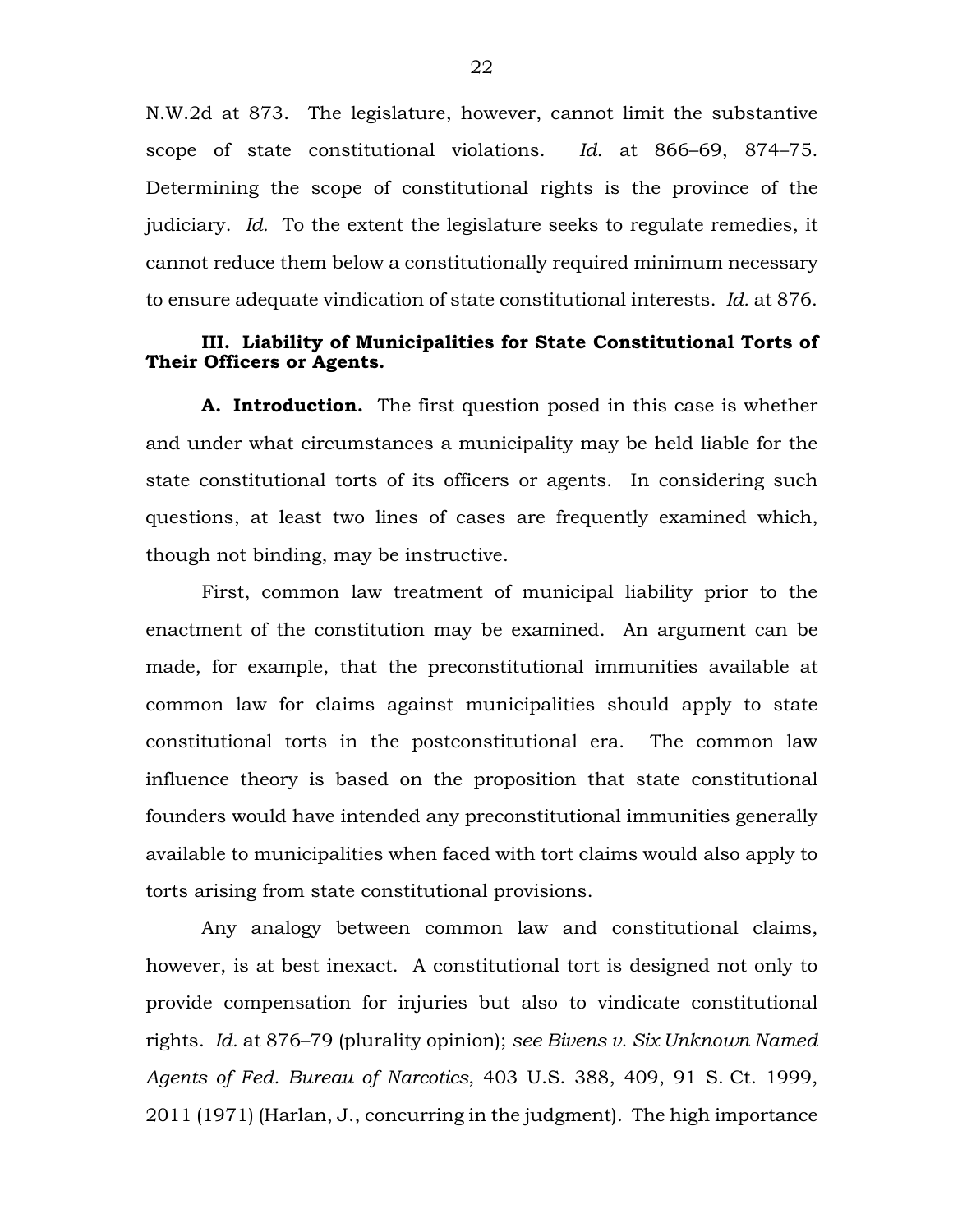N.W.2d at 873. The legislature, however, cannot limit the substantive scope of state constitutional violations. *Id.* at 866–69, 874–75. Determining the scope of constitutional rights is the province of the judiciary. *Id.* To the extent the legislature seeks to regulate remedies, it cannot reduce them below a constitutionally required minimum necessary to ensure adequate vindication of state constitutional interests. *Id.* at 876.

# **III. Liability of Municipalities for State Constitutional Torts of Their Officers or Agents.**

**A. Introduction.** The first question posed in this case is whether and under what circumstances a municipality may be held liable for the state constitutional torts of its officers or agents. In considering such questions, at least two lines of cases are frequently examined which, though not binding, may be instructive.

First, common law treatment of municipal liability prior to the enactment of the constitution may be examined. An argument can be made, for example, that the preconstitutional immunities available at common law for claims against municipalities should apply to state constitutional torts in the postconstitutional era. The common law influence theory is based on the proposition that state constitutional founders would have intended any preconstitutional immunities generally available to municipalities when faced with tort claims would also apply to torts arising from state constitutional provisions.

Any analogy between common law and constitutional claims, however, is at best inexact. A constitutional tort is designed not only to provide compensation for injuries but also to vindicate constitutional rights. *Id.* at 876–79 (plurality opinion); *see Bivens v. Six Unknown Named Agents of Fed. Bureau of Narcotics*, 403 U.S. 388, 409, 91 S. Ct. 1999, 2011 (1971) (Harlan, J., concurring in the judgment). The high importance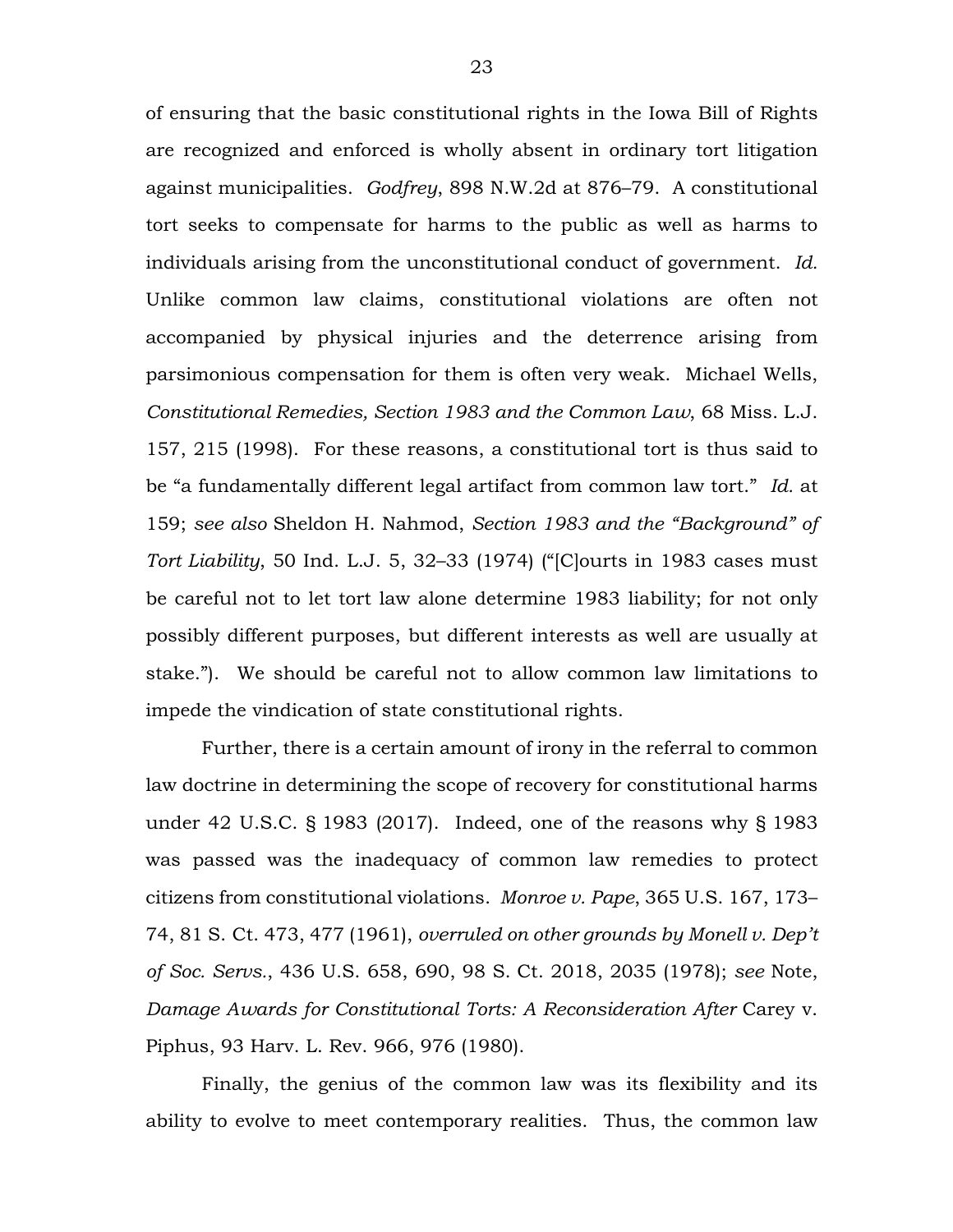of ensuring that the basic constitutional rights in the Iowa Bill of Rights are recognized and enforced is wholly absent in ordinary tort litigation against municipalities. *Godfrey*, 898 N.W.2d at 876–79. A constitutional tort seeks to compensate for harms to the public as well as harms to individuals arising from the unconstitutional conduct of government. *Id.* Unlike common law claims, constitutional violations are often not accompanied by physical injuries and the deterrence arising from parsimonious compensation for them is often very weak. Michael Wells, *Constitutional Remedies, Section 1983 and the Common Law*, 68 Miss. L.J. 157, 215 (1998). For these reasons, a constitutional tort is thus said to be "a fundamentally different legal artifact from common law tort." *Id.* at 159; *see also* Sheldon H. Nahmod, *Section 1983 and the "Background" of Tort Liability*, 50 Ind. L.J. 5, 32–33 (1974) ("[C]ourts in 1983 cases must be careful not to let tort law alone determine 1983 liability; for not only possibly different purposes, but different interests as well are usually at stake."). We should be careful not to allow common law limitations to impede the vindication of state constitutional rights.

Further, there is a certain amount of irony in the referral to common law doctrine in determining the scope of recovery for constitutional harms under 42 U.S.C. § 1983 (2017). Indeed, one of the reasons why § 1983 was passed was the inadequacy of common law remedies to protect citizens from constitutional violations. *Monroe v. Pape*, 365 U.S. 167, 173– 74, 81 S. Ct. 473, 477 (1961), *overruled on other grounds by Monell v. Dep't of Soc. Servs.*, 436 U.S. 658, 690, 98 S. Ct. 2018, 2035 (1978); *see* Note, *Damage Awards for Constitutional Torts: A Reconsideration After* Carey v. Piphus, 93 Harv. L. Rev. 966, 976 (1980).

Finally, the genius of the common law was its flexibility and its ability to evolve to meet contemporary realities. Thus, the common law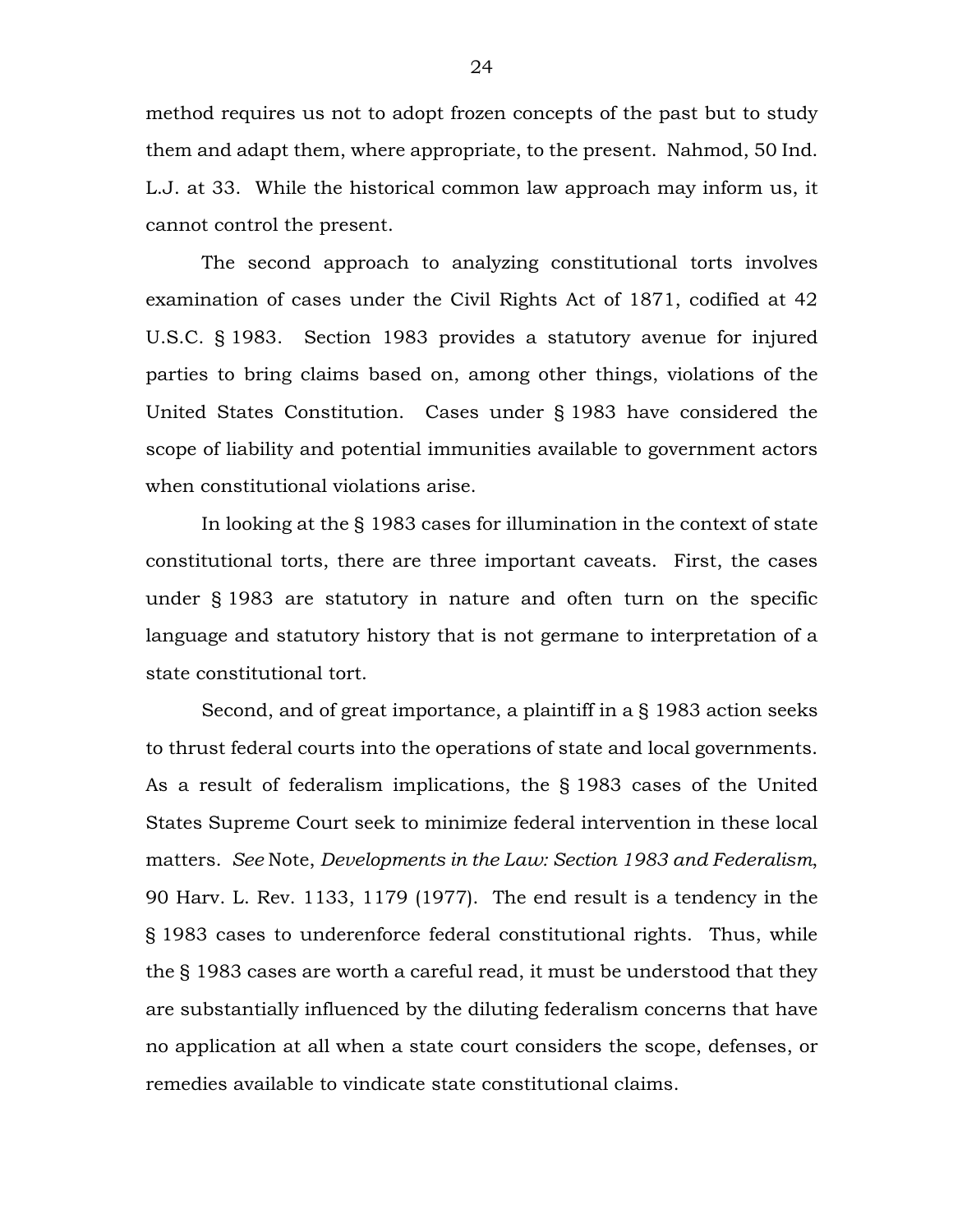method requires us not to adopt frozen concepts of the past but to study them and adapt them, where appropriate, to the present. Nahmod, 50 Ind. L.J. at 33. While the historical common law approach may inform us, it cannot control the present.

The second approach to analyzing constitutional torts involves examination of cases under the Civil Rights Act of 1871, codified at 42 U.S.C. § 1983. Section 1983 provides a statutory avenue for injured parties to bring claims based on, among other things, violations of the United States Constitution. Cases under § 1983 have considered the scope of liability and potential immunities available to government actors when constitutional violations arise.

In looking at the § 1983 cases for illumination in the context of state constitutional torts, there are three important caveats. First, the cases under § 1983 are statutory in nature and often turn on the specific language and statutory history that is not germane to interpretation of a state constitutional tort.

Second, and of great importance, a plaintiff in a § 1983 action seeks to thrust federal courts into the operations of state and local governments. As a result of federalism implications, the § 1983 cases of the United States Supreme Court seek to minimize federal intervention in these local matters. *See* Note, *Developments in the Law: Section 1983 and Federalism*, 90 Harv. L. Rev. 1133, 1179 (1977). The end result is a tendency in the § 1983 cases to underenforce federal constitutional rights. Thus, while the § 1983 cases are worth a careful read, it must be understood that they are substantially influenced by the diluting federalism concerns that have no application at all when a state court considers the scope, defenses, or remedies available to vindicate state constitutional claims.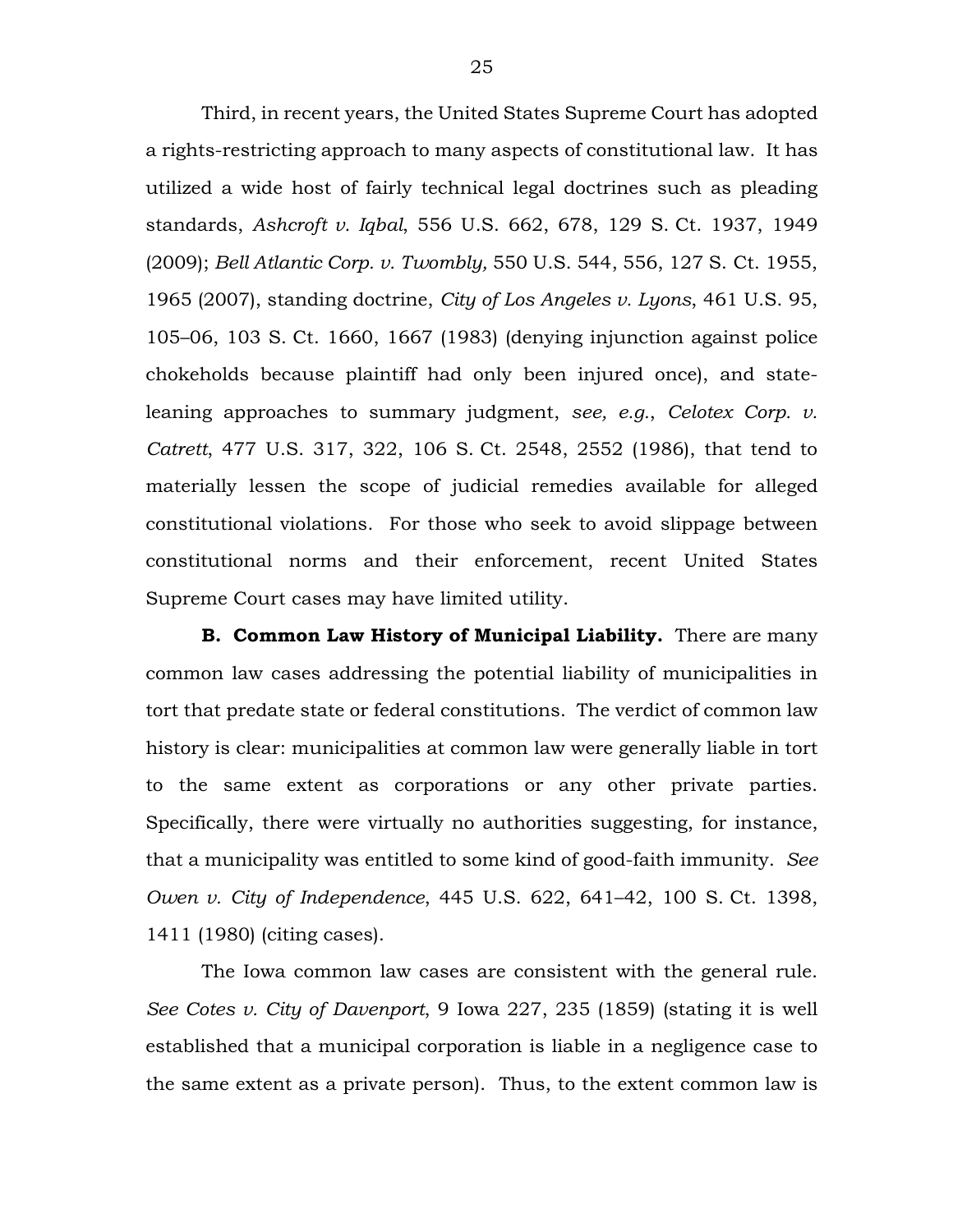Third, in recent years, the United States Supreme Court has adopted a rights-restricting approach to many aspects of constitutional law. It has utilized a wide host of fairly technical legal doctrines such as pleading standards, *Ashcroft v. Iqbal*, 556 U.S. 662, 678, 129 S. Ct. 1937, 1949 (2009); *Bell Atlantic Corp. v. Twombly,* 550 U.S. 544, 556, 127 S. Ct. 1955, 1965 (2007), standing doctrine, *City of Los Angeles v. Lyons*, 461 U.S. 95, 105–06, 103 S. Ct. 1660, 1667 (1983) (denying injunction against police chokeholds because plaintiff had only been injured once), and stateleaning approaches to summary judgment, *see, e.g.*, *Celotex Corp. v. Catrett*, 477 U.S. 317, 322, 106 S. Ct. 2548, 2552 (1986), that tend to materially lessen the scope of judicial remedies available for alleged constitutional violations. For those who seek to avoid slippage between constitutional norms and their enforcement, recent United States Supreme Court cases may have limited utility.

**B. Common Law History of Municipal Liability.** There are many common law cases addressing the potential liability of municipalities in tort that predate state or federal constitutions. The verdict of common law history is clear: municipalities at common law were generally liable in tort to the same extent as corporations or any other private parties. Specifically, there were virtually no authorities suggesting, for instance, that a municipality was entitled to some kind of good-faith immunity. *See Owen v. City of Independence*, 445 U.S. 622, 641–42, 100 S. Ct. 1398, 1411 (1980) (citing cases).

The Iowa common law cases are consistent with the general rule. *See Cotes v. City of Davenport*, 9 Iowa 227, 235 (1859) (stating it is well established that a municipal corporation is liable in a negligence case to the same extent as a private person). Thus, to the extent common law is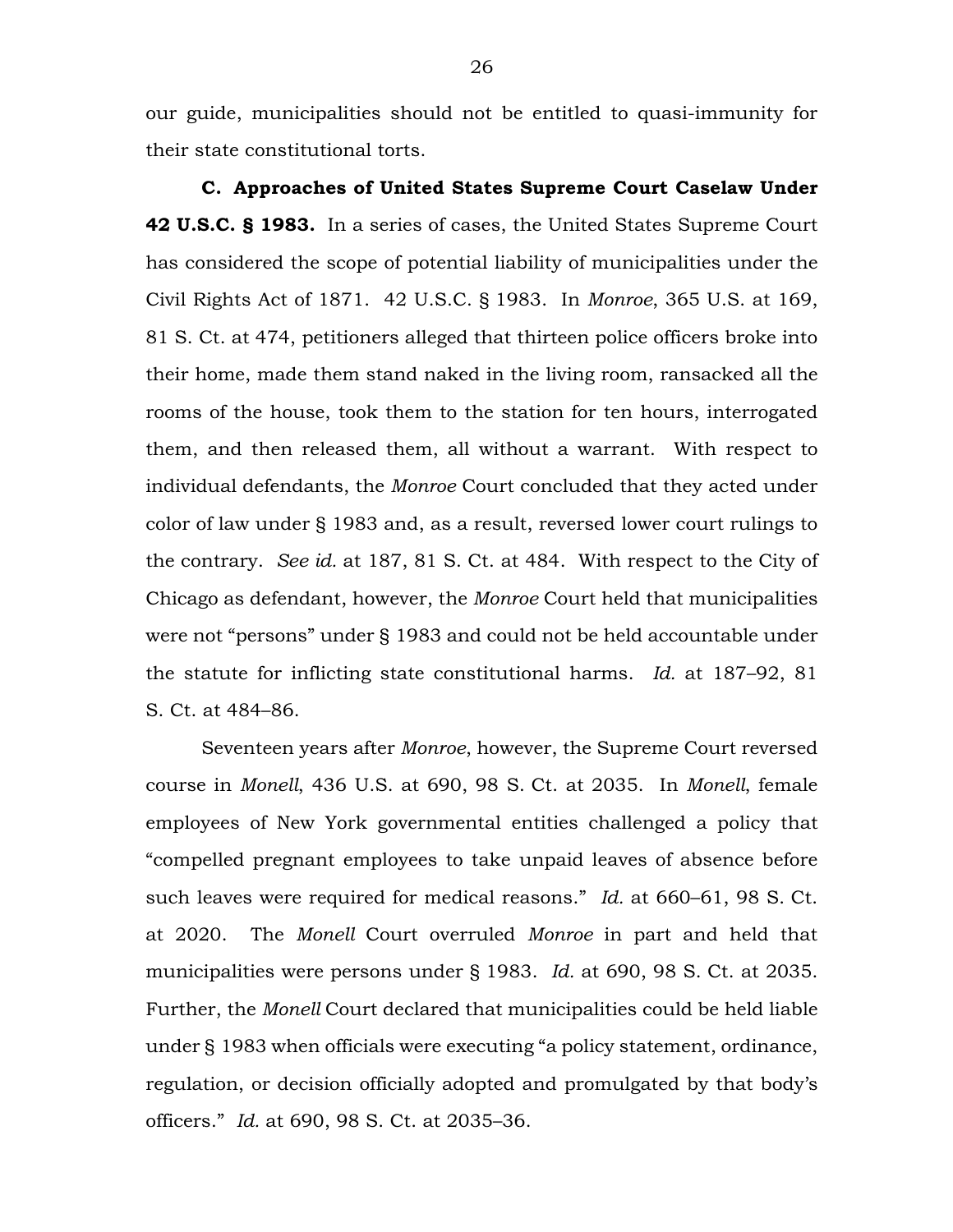our guide, municipalities should not be entitled to quasi-immunity for their state constitutional torts.

**C. Approaches of United States Supreme Court Caselaw Under 42 U.S.C. § 1983.** In a series of cases, the United States Supreme Court has considered the scope of potential liability of municipalities under the Civil Rights Act of 1871. 42 U.S.C. § 1983. In *Monroe*, 365 U.S. at 169, 81 S. Ct. at 474, petitioners alleged that thirteen police officers broke into their home, made them stand naked in the living room, ransacked all the rooms of the house, took them to the station for ten hours, interrogated them, and then released them, all without a warrant. With respect to individual defendants, the *Monroe* Court concluded that they acted under color of law under § 1983 and, as a result, reversed lower court rulings to the contrary. *See id.* at 187, 81 S. Ct. at 484. With respect to the City of Chicago as defendant, however, the *Monroe* Court held that municipalities were not "persons" under § 1983 and could not be held accountable under the statute for inflicting state constitutional harms. *Id.* at 187–92, 81 S. Ct. at 484–86.

Seventeen years after *Monroe*, however, the Supreme Court reversed course in *Monell*, 436 U.S. at 690, 98 S. Ct. at 2035. In *Monell*, female employees of New York governmental entities challenged a policy that "compelled pregnant employees to take unpaid leaves of absence before such leaves were required for medical reasons." *Id.* at 660–61, 98 S. Ct. at 2020. The *Monell* Court overruled *Monroe* in part and held that municipalities were persons under § 1983. *Id.* at 690, 98 S. Ct. at 2035. Further, the *Monell* Court declared that municipalities could be held liable under § 1983 when officials were executing "a policy statement, ordinance, regulation, or decision officially adopted and promulgated by that body's officers." *Id.* at 690, 98 S. Ct. at 2035–36.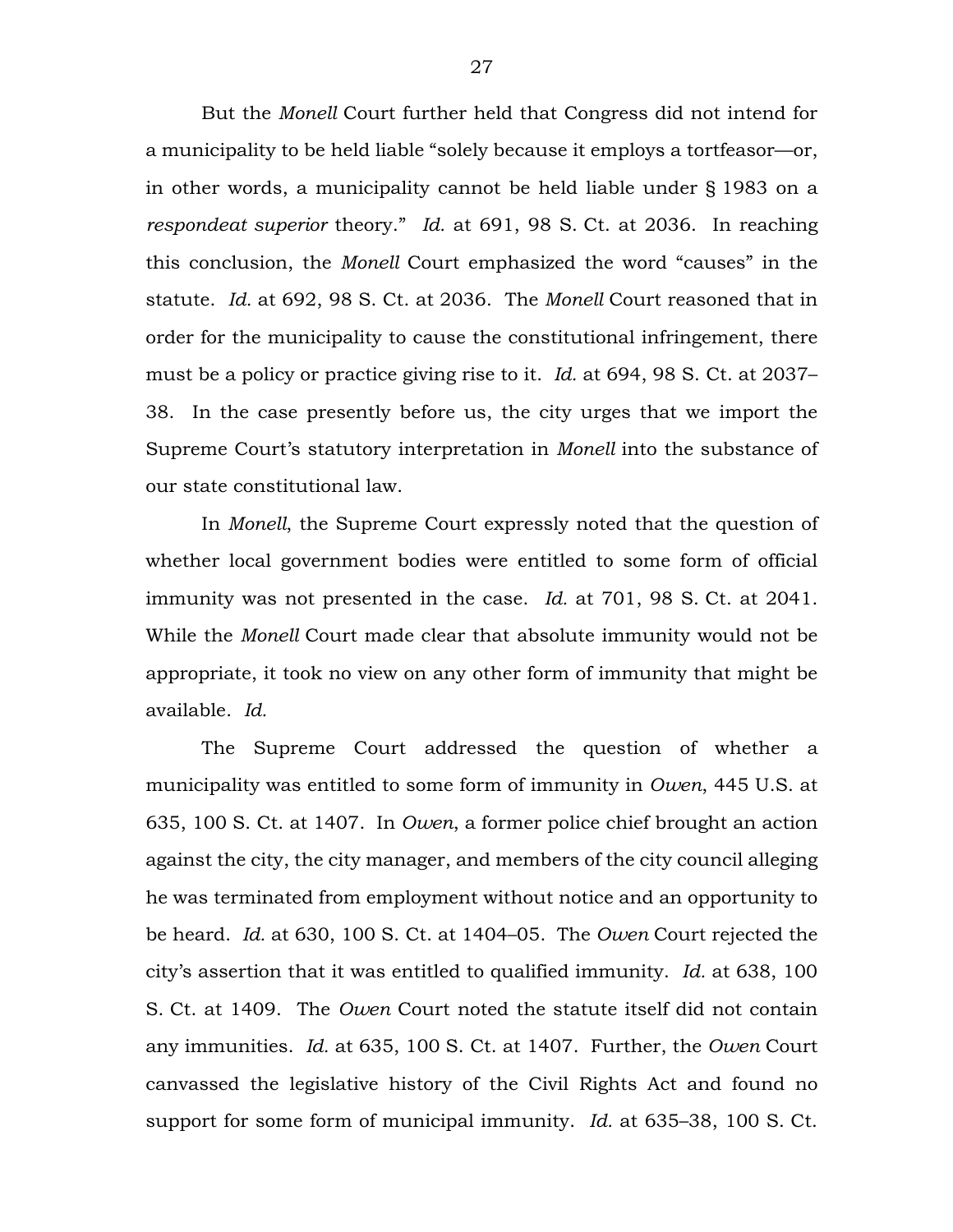But the *Monell* Court further held that Congress did not intend for a municipality to be held liable "solely because it employs a tortfeasor—or, in other words, a municipality cannot be held liable under § 1983 on a *respondeat superior* theory." *Id.* at 691, 98 S. Ct. at 2036. In reaching this conclusion, the *Monell* Court emphasized the word "causes" in the statute. *Id.* at 692, 98 S. Ct. at 2036. The *Monell* Court reasoned that in order for the municipality to cause the constitutional infringement, there must be a policy or practice giving rise to it. *Id.* at 694, 98 S. Ct. at 2037– 38. In the case presently before us, the city urges that we import the Supreme Court's statutory interpretation in *Monell* into the substance of our state constitutional law.

In *Monell*, the Supreme Court expressly noted that the question of whether local government bodies were entitled to some form of official immunity was not presented in the case. *Id.* at 701, 98 S. Ct. at 2041. While the *Monell* Court made clear that absolute immunity would not be appropriate, it took no view on any other form of immunity that might be available. *Id.*

The Supreme Court addressed the question of whether a municipality was entitled to some form of immunity in *Owen*, 445 U.S. at 635, 100 S. Ct. at 1407. In *Owen*, a former police chief brought an action against the city, the city manager, and members of the city council alleging he was terminated from employment without notice and an opportunity to be heard. *Id.* at 630, 100 S. Ct. at 1404–05. The *Owen* Court rejected the city's assertion that it was entitled to qualified immunity. *Id.* at 638, 100 S. Ct. at 1409. The *Owen* Court noted the statute itself did not contain any immunities. *Id.* at 635, 100 S. Ct. at 1407. Further, the *Owen* Court canvassed the legislative history of the Civil Rights Act and found no support for some form of municipal immunity. *Id.* at 635–38, 100 S. Ct.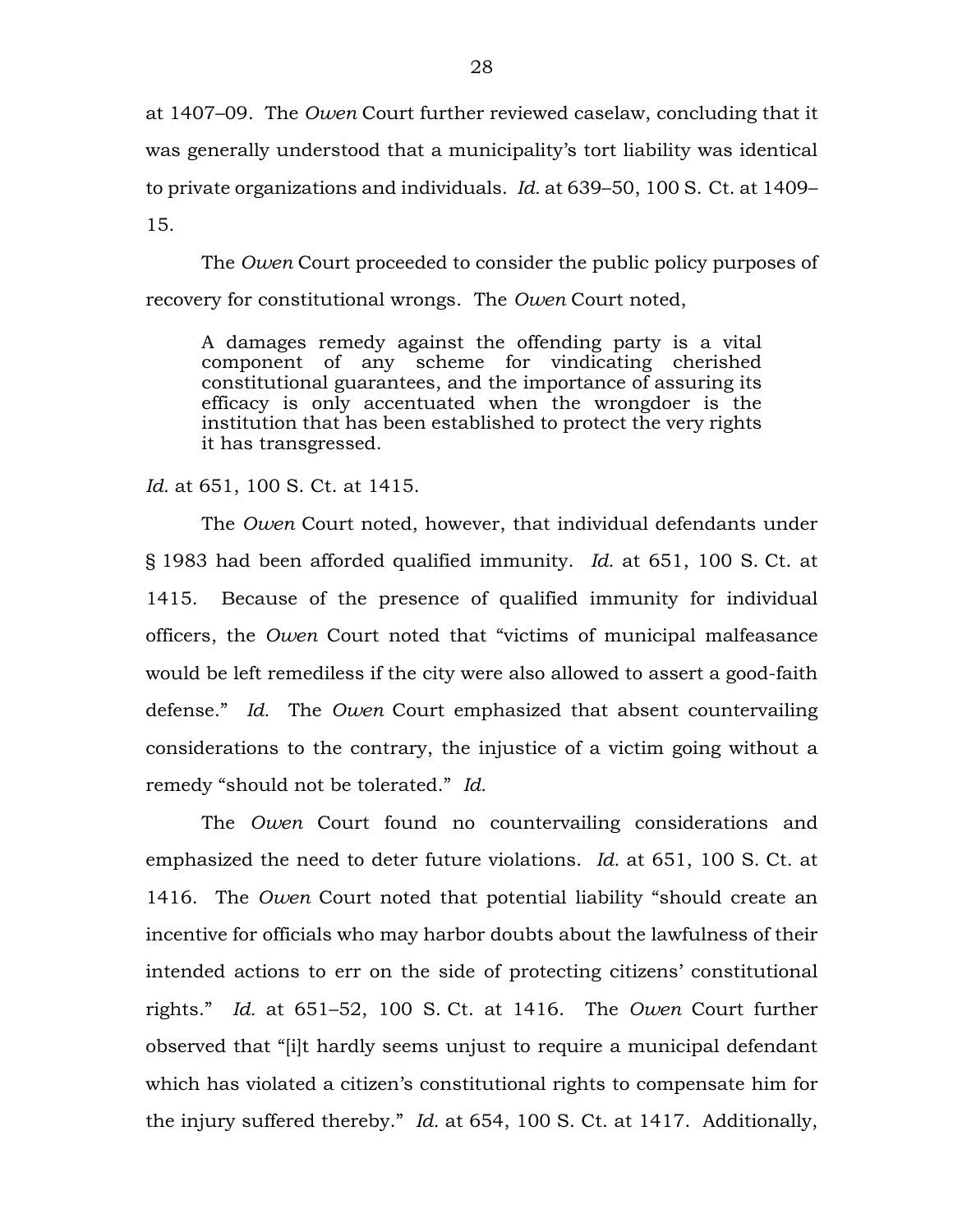at 1407–09. The *Owen* Court further reviewed caselaw, concluding that it was generally understood that a municipality's tort liability was identical to private organizations and individuals. *Id.* at 639–50, 100 S. Ct. at 1409– 15.

The *Owen* Court proceeded to consider the public policy purposes of recovery for constitutional wrongs. The *Owen* Court noted,

A damages remedy against the offending party is a vital component of any scheme for vindicating cherished constitutional guarantees, and the importance of assuring its efficacy is only accentuated when the wrongdoer is the institution that has been established to protect the very rights it has transgressed.

*Id.* at 651, 100 S. Ct. at 1415.

The *Owen* Court noted, however, that individual defendants under § 1983 had been afforded qualified immunity. *Id.* at 651, 100 S. Ct. at 1415. Because of the presence of qualified immunity for individual officers, the *Owen* Court noted that "victims of municipal malfeasance would be left remediless if the city were also allowed to assert a good-faith defense." *Id.* The *Owen* Court emphasized that absent countervailing considerations to the contrary, the injustice of a victim going without a remedy "should not be tolerated." *Id.*

The *Owen* Court found no countervailing considerations and emphasized the need to deter future violations. *Id.* at 651, 100 S. Ct. at 1416. The *Owen* Court noted that potential liability "should create an incentive for officials who may harbor doubts about the lawfulness of their intended actions to err on the side of protecting citizens' constitutional rights." *Id.* at 651–52, 100 S. Ct. at 1416. The *Owen* Court further observed that "[i]t hardly seems unjust to require a municipal defendant which has violated a citizen's constitutional rights to compensate him for the injury suffered thereby." *Id.* at 654, 100 S. Ct. at 1417. Additionally,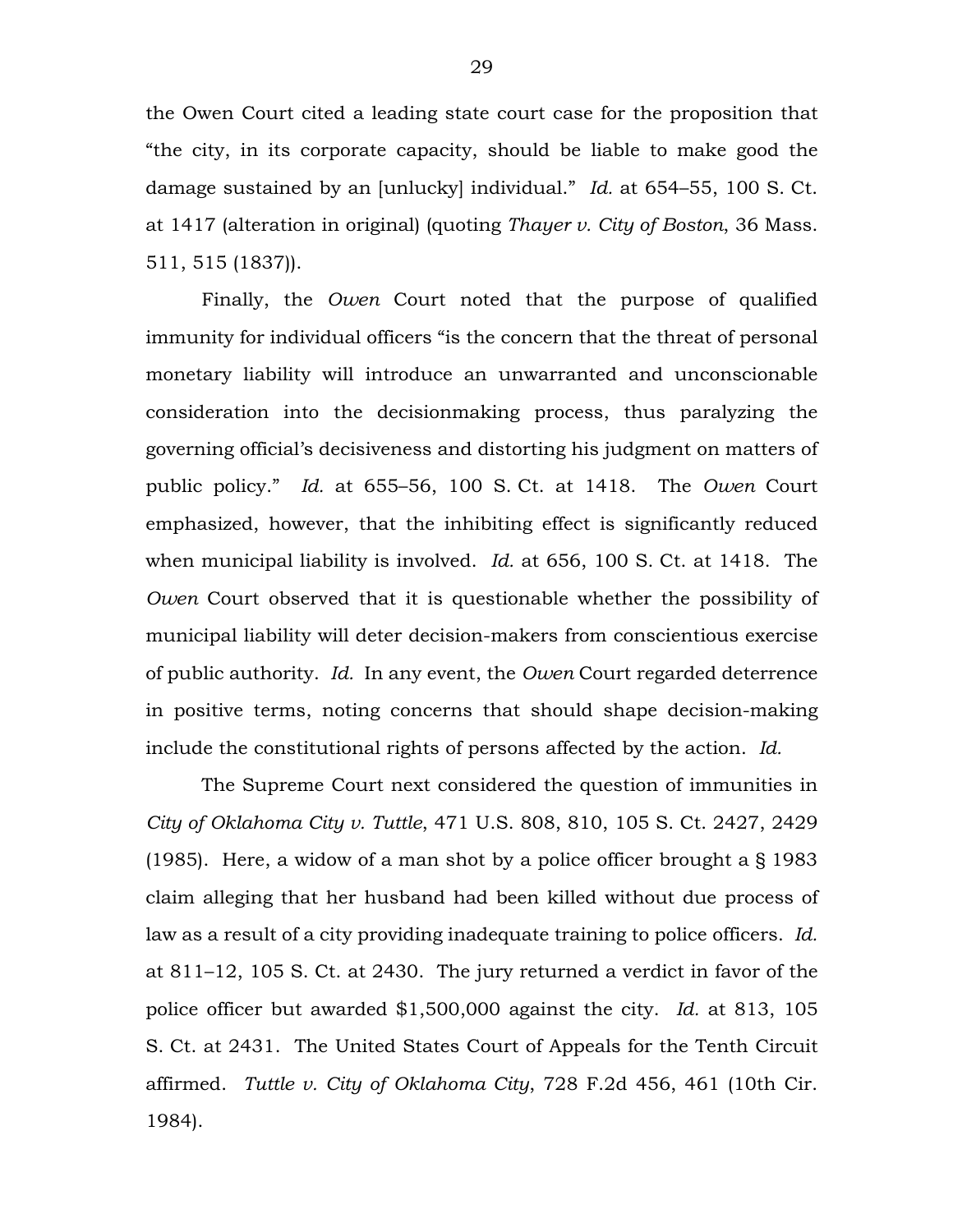the Owen Court cited a leading state court case for the proposition that "the city, in its corporate capacity, should be liable to make good the damage sustained by an [unlucky] individual." *Id.* at 654–55, 100 S. Ct. at 1417 (alteration in original) (quoting *Thayer v. City of Boston*, 36 Mass. 511, 515 (1837)).

Finally, the *Owen* Court noted that the purpose of qualified immunity for individual officers "is the concern that the threat of personal monetary liability will introduce an unwarranted and unconscionable consideration into the decisionmaking process, thus paralyzing the governing official's decisiveness and distorting his judgment on matters of public policy." *Id.* at 655–56, 100 S. Ct. at 1418. The *Owen* Court emphasized, however, that the inhibiting effect is significantly reduced when municipal liability is involved. *Id.* at 656, 100 S. Ct. at 1418. The *Owen* Court observed that it is questionable whether the possibility of municipal liability will deter decision-makers from conscientious exercise of public authority. *Id.* In any event, the *Owen* Court regarded deterrence in positive terms, noting concerns that should shape decision-making include the constitutional rights of persons affected by the action. *Id.*

The Supreme Court next considered the question of immunities in *City of Oklahoma City v. Tuttle*, 471 U.S. 808, 810, 105 S. Ct. 2427, 2429 (1985). Here, a widow of a man shot by a police officer brought a § 1983 claim alleging that her husband had been killed without due process of law as a result of a city providing inadequate training to police officers. *Id.* at 811–12, 105 S. Ct. at 2430. The jury returned a verdict in favor of the police officer but awarded \$1,500,000 against the city. *Id.* at 813, 105 S. Ct. at 2431. The United States Court of Appeals for the Tenth Circuit affirmed. *Tuttle v. City of Oklahoma City*, 728 F.2d 456, 461 (10th Cir. 1984).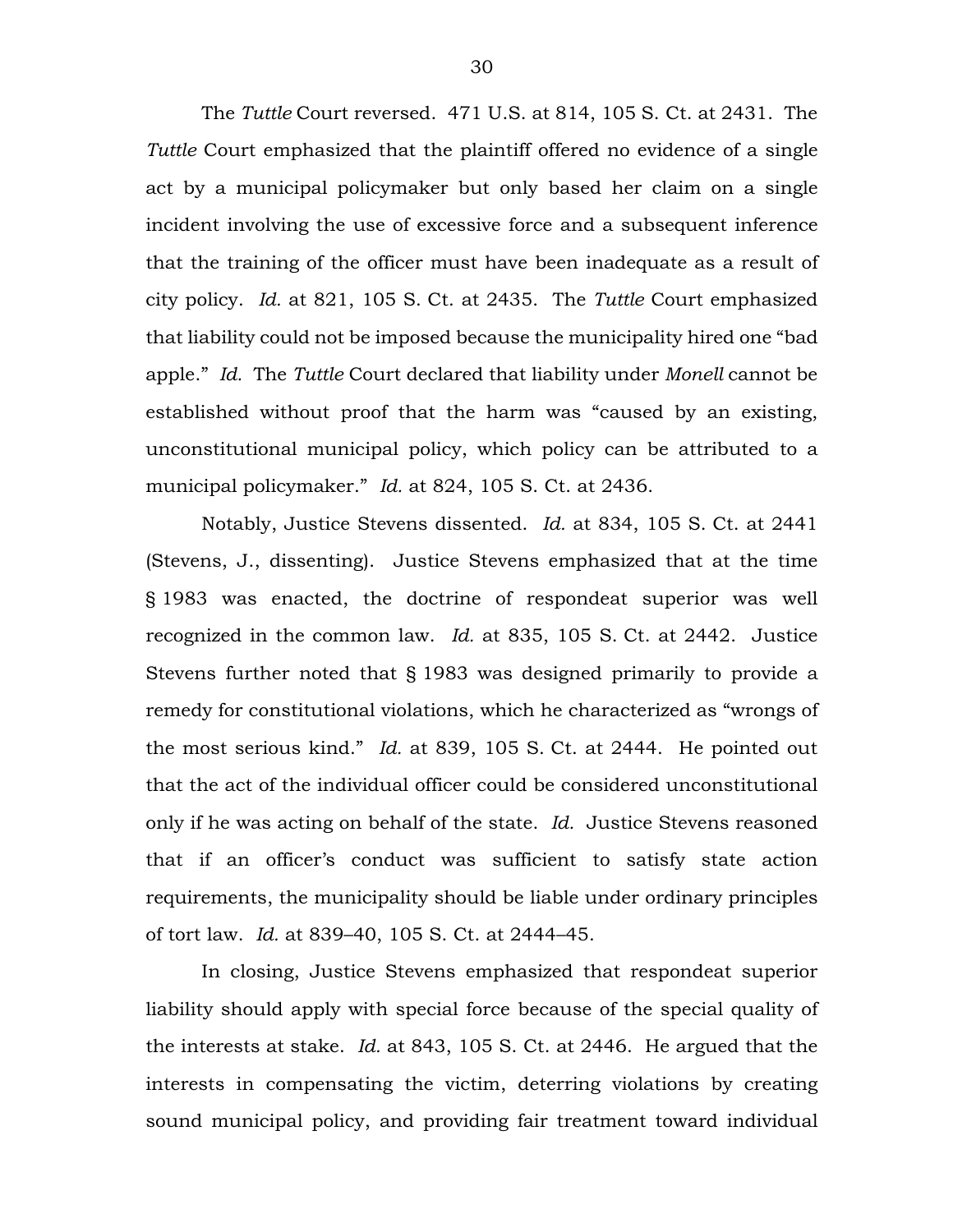The *Tuttle* Court reversed. 471 U.S. at 814, 105 S. Ct. at 2431. The *Tuttle* Court emphasized that the plaintiff offered no evidence of a single act by a municipal policymaker but only based her claim on a single incident involving the use of excessive force and a subsequent inference that the training of the officer must have been inadequate as a result of city policy. *Id.* at 821, 105 S. Ct. at 2435. The *Tuttle* Court emphasized that liability could not be imposed because the municipality hired one "bad apple." *Id.* The *Tuttle* Court declared that liability under *Monell* cannot be established without proof that the harm was "caused by an existing, unconstitutional municipal policy, which policy can be attributed to a municipal policymaker." *Id.* at 824, 105 S. Ct. at 2436.

Notably, Justice Stevens dissented. *Id.* at 834, 105 S. Ct. at 2441 (Stevens, J., dissenting). Justice Stevens emphasized that at the time § 1983 was enacted, the doctrine of respondeat superior was well recognized in the common law. *Id.* at 835, 105 S. Ct. at 2442. Justice Stevens further noted that § 1983 was designed primarily to provide a remedy for constitutional violations, which he characterized as "wrongs of the most serious kind." *Id.* at 839, 105 S. Ct. at 2444. He pointed out that the act of the individual officer could be considered unconstitutional only if he was acting on behalf of the state. *Id.* Justice Stevens reasoned that if an officer's conduct was sufficient to satisfy state action requirements, the municipality should be liable under ordinary principles of tort law. *Id.* at 839–40, 105 S. Ct. at 2444–45.

In closing, Justice Stevens emphasized that respondeat superior liability should apply with special force because of the special quality of the interests at stake. *Id.* at 843, 105 S. Ct. at 2446. He argued that the interests in compensating the victim, deterring violations by creating sound municipal policy, and providing fair treatment toward individual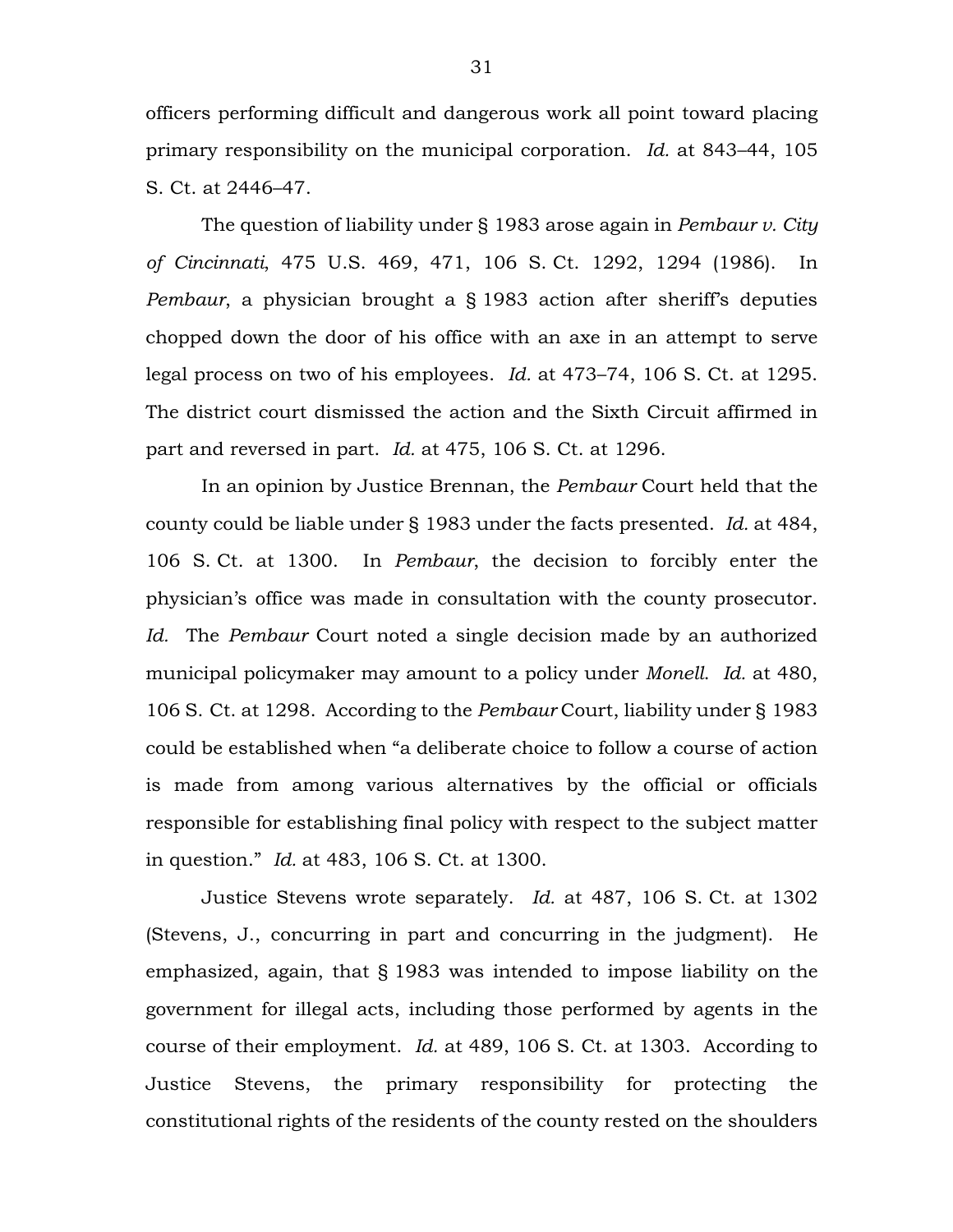officers performing difficult and dangerous work all point toward placing primary responsibility on the municipal corporation. *Id.* at 843–44, 105 S. Ct. at 2446–47.

The question of liability under § 1983 arose again in *Pembaur v. City of Cincinnati*, 475 U.S. 469, 471, 106 S. Ct. 1292, 1294 (1986). In *Pembaur*, a physician brought a § 1983 action after sheriff's deputies chopped down the door of his office with an axe in an attempt to serve legal process on two of his employees. *Id.* at 473–74, 106 S. Ct. at 1295. The district court dismissed the action and the Sixth Circuit affirmed in part and reversed in part. *Id.* at 475, 106 S. Ct. at 1296.

In an opinion by Justice Brennan, the *Pembaur* Court held that the county could be liable under § 1983 under the facts presented. *Id.* at 484, 106 S. Ct. at 1300. In *Pembaur*, the decision to forcibly enter the physician's office was made in consultation with the county prosecutor. *Id.* The *Pembaur* Court noted a single decision made by an authorized municipal policymaker may amount to a policy under *Monell*. *Id.* at 480, 106 S. Ct. at 1298. According to the *Pembaur* Court, liability under § 1983 could be established when "a deliberate choice to follow a course of action is made from among various alternatives by the official or officials responsible for establishing final policy with respect to the subject matter in question." *Id.* at 483, 106 S. Ct. at 1300.

Justice Stevens wrote separately. *Id.* at 487, 106 S. Ct. at 1302 (Stevens, J., concurring in part and concurring in the judgment). He emphasized, again, that § 1983 was intended to impose liability on the government for illegal acts, including those performed by agents in the course of their employment. *Id.* at 489, 106 S. Ct. at 1303. According to Justice Stevens, the primary responsibility for protecting the constitutional rights of the residents of the county rested on the shoulders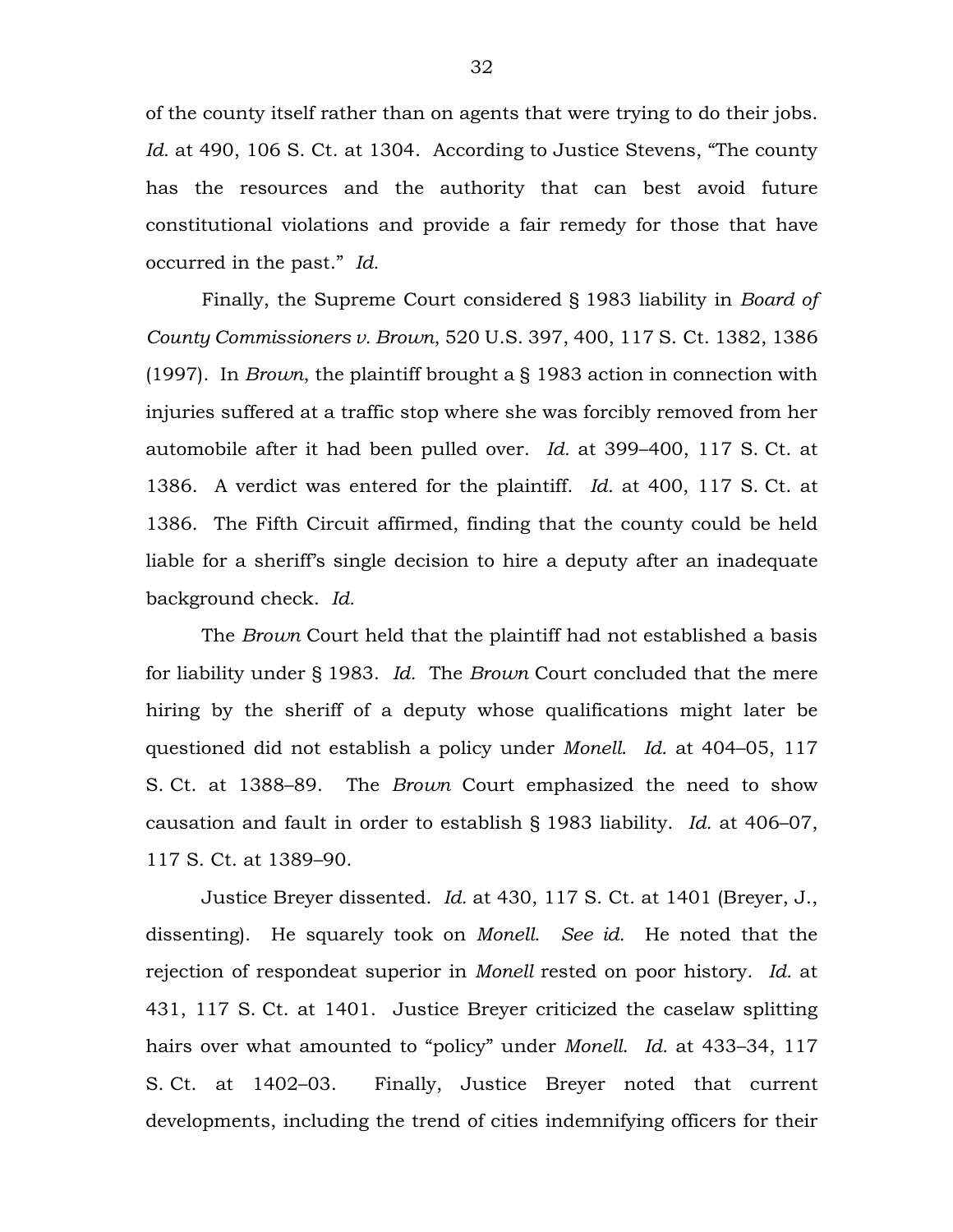of the county itself rather than on agents that were trying to do their jobs. *Id.* at 490, 106 S. Ct. at 1304. According to Justice Stevens, "The county has the resources and the authority that can best avoid future constitutional violations and provide a fair remedy for those that have occurred in the past." *Id.*

Finally, the Supreme Court considered § 1983 liability in *Board of County Commissioners v. Brown*, 520 U.S. 397, 400, 117 S. Ct. 1382, 1386 (1997). In *Brown*, the plaintiff brought a § 1983 action in connection with injuries suffered at a traffic stop where she was forcibly removed from her automobile after it had been pulled over. *Id.* at 399–400, 117 S. Ct. at 1386. A verdict was entered for the plaintiff. *Id.* at 400, 117 S. Ct. at 1386. The Fifth Circuit affirmed, finding that the county could be held liable for a sheriff's single decision to hire a deputy after an inadequate background check. *Id.*

The *Brown* Court held that the plaintiff had not established a basis for liability under § 1983. *Id.* The *Brown* Court concluded that the mere hiring by the sheriff of a deputy whose qualifications might later be questioned did not establish a policy under *Monell*. *Id.* at 404–05, 117 S. Ct. at 1388–89. The *Brown* Court emphasized the need to show causation and fault in order to establish § 1983 liability. *Id.* at 406–07, 117 S. Ct. at 1389–90.

Justice Breyer dissented. *Id.* at 430, 117 S. Ct. at 1401 (Breyer, J., dissenting). He squarely took on *Monell*. *See id.* He noted that the rejection of respondeat superior in *Monell* rested on poor history. *Id.* at 431, 117 S. Ct. at 1401. Justice Breyer criticized the caselaw splitting hairs over what amounted to "policy" under *Monell*. *Id.* at 433–34, 117 S. Ct. at 1402–03. Finally, Justice Breyer noted that current developments, including the trend of cities indemnifying officers for their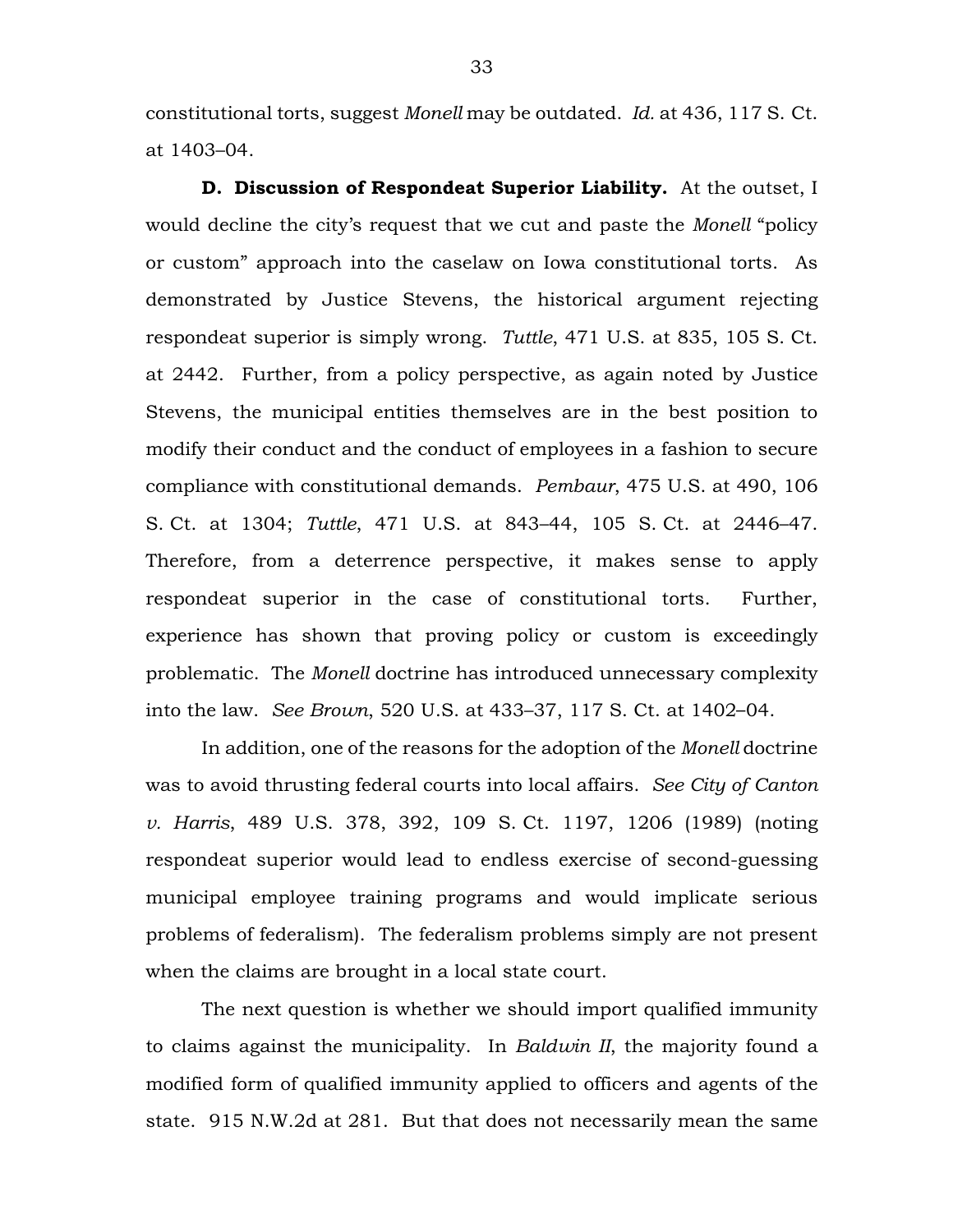constitutional torts, suggest *Monell* may be outdated. *Id.* at 436, 117 S. Ct. at 1403–04.

**D. Discussion of Respondeat Superior Liability.** At the outset, I would decline the city's request that we cut and paste the *Monell* "policy or custom" approach into the caselaw on Iowa constitutional torts. As demonstrated by Justice Stevens, the historical argument rejecting respondeat superior is simply wrong. *Tuttle*, 471 U.S. at 835, 105 S. Ct. at 2442. Further, from a policy perspective, as again noted by Justice Stevens, the municipal entities themselves are in the best position to modify their conduct and the conduct of employees in a fashion to secure compliance with constitutional demands. *Pembaur*, 475 U.S. at 490, 106 S. Ct. at 1304; *Tuttle*, 471 U.S. at 843–44, 105 S. Ct. at 2446–47. Therefore, from a deterrence perspective, it makes sense to apply respondeat superior in the case of constitutional torts. Further, experience has shown that proving policy or custom is exceedingly problematic. The *Monell* doctrine has introduced unnecessary complexity into the law. *See Brown*, 520 U.S. at 433–37, 117 S. Ct. at 1402–04.

In addition, one of the reasons for the adoption of the *Monell* doctrine was to avoid thrusting federal courts into local affairs. *See City of Canton v. Harris*, 489 U.S. 378, 392, 109 S. Ct. 1197, 1206 (1989) (noting respondeat superior would lead to endless exercise of second-guessing municipal employee training programs and would implicate serious problems of federalism). The federalism problems simply are not present when the claims are brought in a local state court.

The next question is whether we should import qualified immunity to claims against the municipality. In *Baldwin II*, the majority found a modified form of qualified immunity applied to officers and agents of the state. 915 N.W.2d at 281. But that does not necessarily mean the same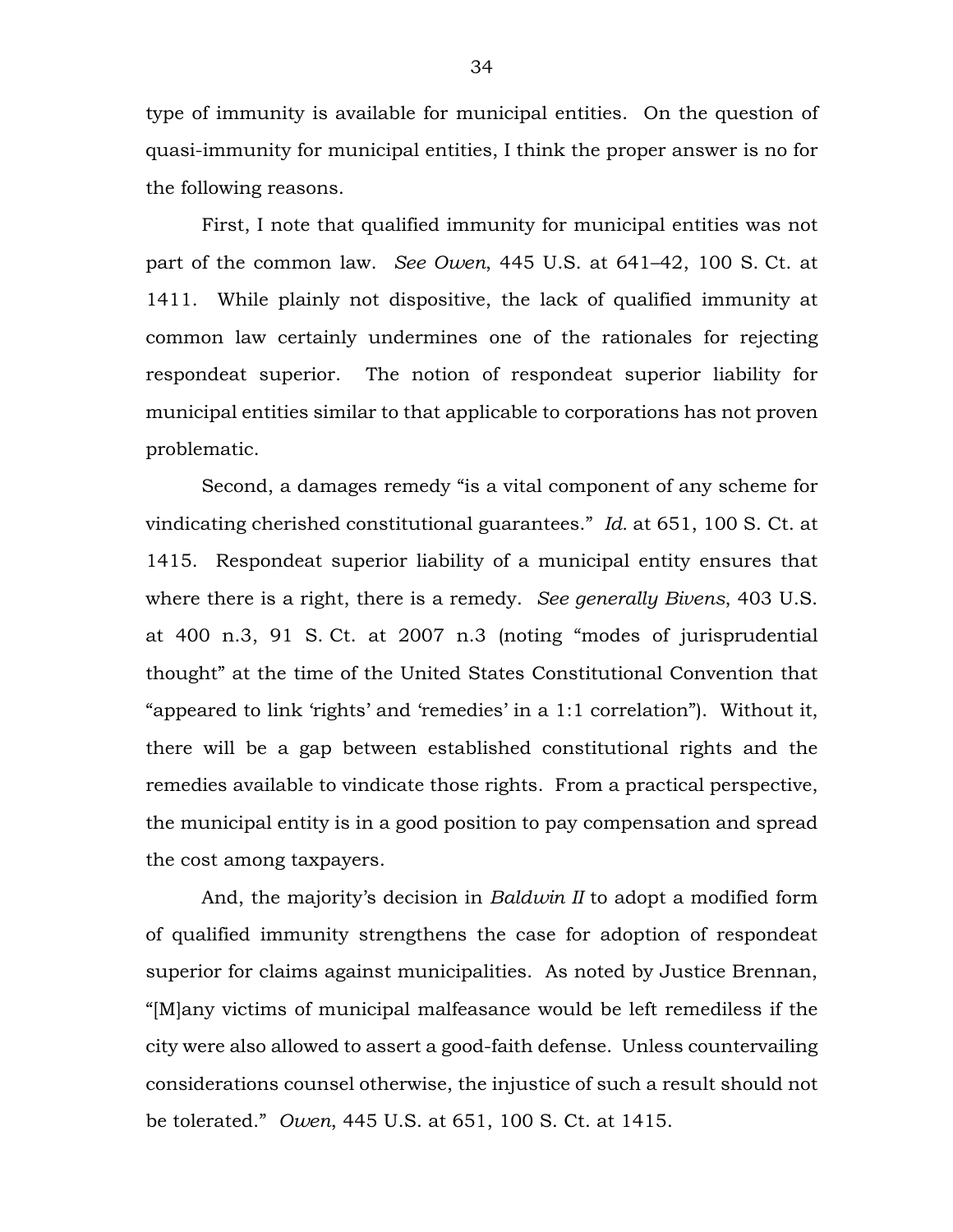type of immunity is available for municipal entities. On the question of quasi-immunity for municipal entities, I think the proper answer is no for the following reasons.

First, I note that qualified immunity for municipal entities was not part of the common law. *See Owen*, 445 U.S. at 641–42, 100 S. Ct. at 1411. While plainly not dispositive, the lack of qualified immunity at common law certainly undermines one of the rationales for rejecting respondeat superior. The notion of respondeat superior liability for municipal entities similar to that applicable to corporations has not proven problematic.

Second, a damages remedy "is a vital component of any scheme for vindicating cherished constitutional guarantees." *Id.* at 651, 100 S. Ct. at 1415. Respondeat superior liability of a municipal entity ensures that where there is a right, there is a remedy. *See generally Bivens*, 403 U.S. at 400 n.3, 91 S. Ct. at 2007 n.3 (noting "modes of jurisprudential thought" at the time of the United States Constitutional Convention that "appeared to link 'rights' and 'remedies' in a 1:1 correlation"). Without it, there will be a gap between established constitutional rights and the remedies available to vindicate those rights. From a practical perspective, the municipal entity is in a good position to pay compensation and spread the cost among taxpayers.

And, the majority's decision in *Baldwin II* to adopt a modified form of qualified immunity strengthens the case for adoption of respondeat superior for claims against municipalities. As noted by Justice Brennan, "[M]any victims of municipal malfeasance would be left remediless if the city were also allowed to assert a good-faith defense. Unless countervailing considerations counsel otherwise, the injustice of such a result should not be tolerated." *Owen*, 445 U.S. at 651, 100 S. Ct. at 1415.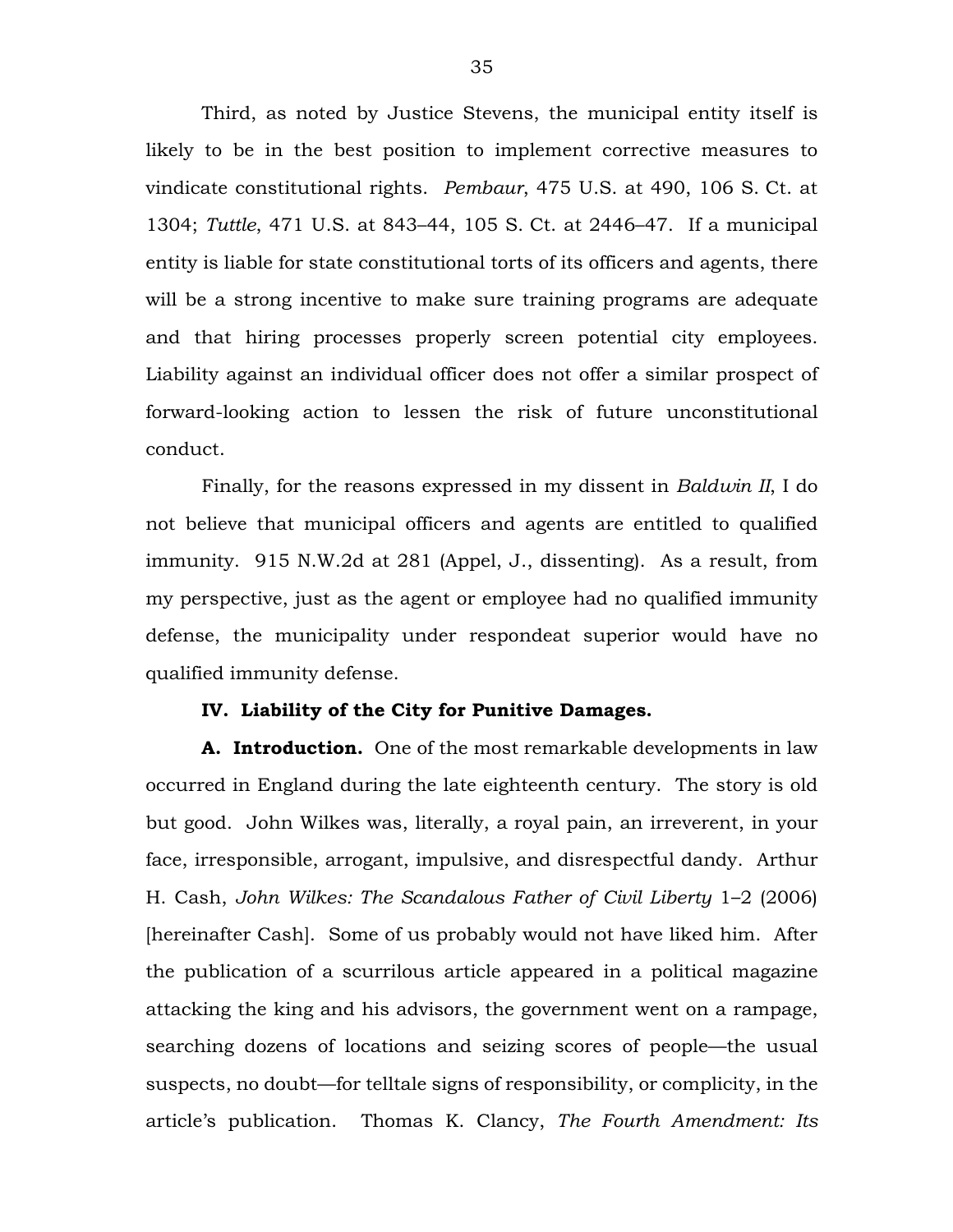Third, as noted by Justice Stevens, the municipal entity itself is likely to be in the best position to implement corrective measures to vindicate constitutional rights. *Pembaur*, 475 U.S. at 490, 106 S. Ct. at 1304; *Tuttle*, 471 U.S. at 843–44, 105 S. Ct. at 2446–47. If a municipal entity is liable for state constitutional torts of its officers and agents, there will be a strong incentive to make sure training programs are adequate and that hiring processes properly screen potential city employees. Liability against an individual officer does not offer a similar prospect of forward-looking action to lessen the risk of future unconstitutional conduct.

Finally, for the reasons expressed in my dissent in *Baldwin II*, I do not believe that municipal officers and agents are entitled to qualified immunity. 915 N.W.2d at 281 (Appel, J., dissenting). As a result, from my perspective, just as the agent or employee had no qualified immunity defense, the municipality under respondeat superior would have no qualified immunity defense.

# **IV. Liability of the City for Punitive Damages.**

**A. Introduction.** One of the most remarkable developments in law occurred in England during the late eighteenth century. The story is old but good. John Wilkes was, literally, a royal pain, an irreverent, in your face, irresponsible, arrogant, impulsive, and disrespectful dandy. Arthur H. Cash, *John Wilkes: The Scandalous Father of Civil Liberty* 1–2 (2006) [hereinafter Cash]. Some of us probably would not have liked him. After the publication of a scurrilous article appeared in a political magazine attacking the king and his advisors, the government went on a rampage, searching dozens of locations and seizing scores of people—the usual suspects, no doubt—for telltale signs of responsibility, or complicity, in the article's publication. Thomas K. Clancy, *The Fourth Amendment: Its*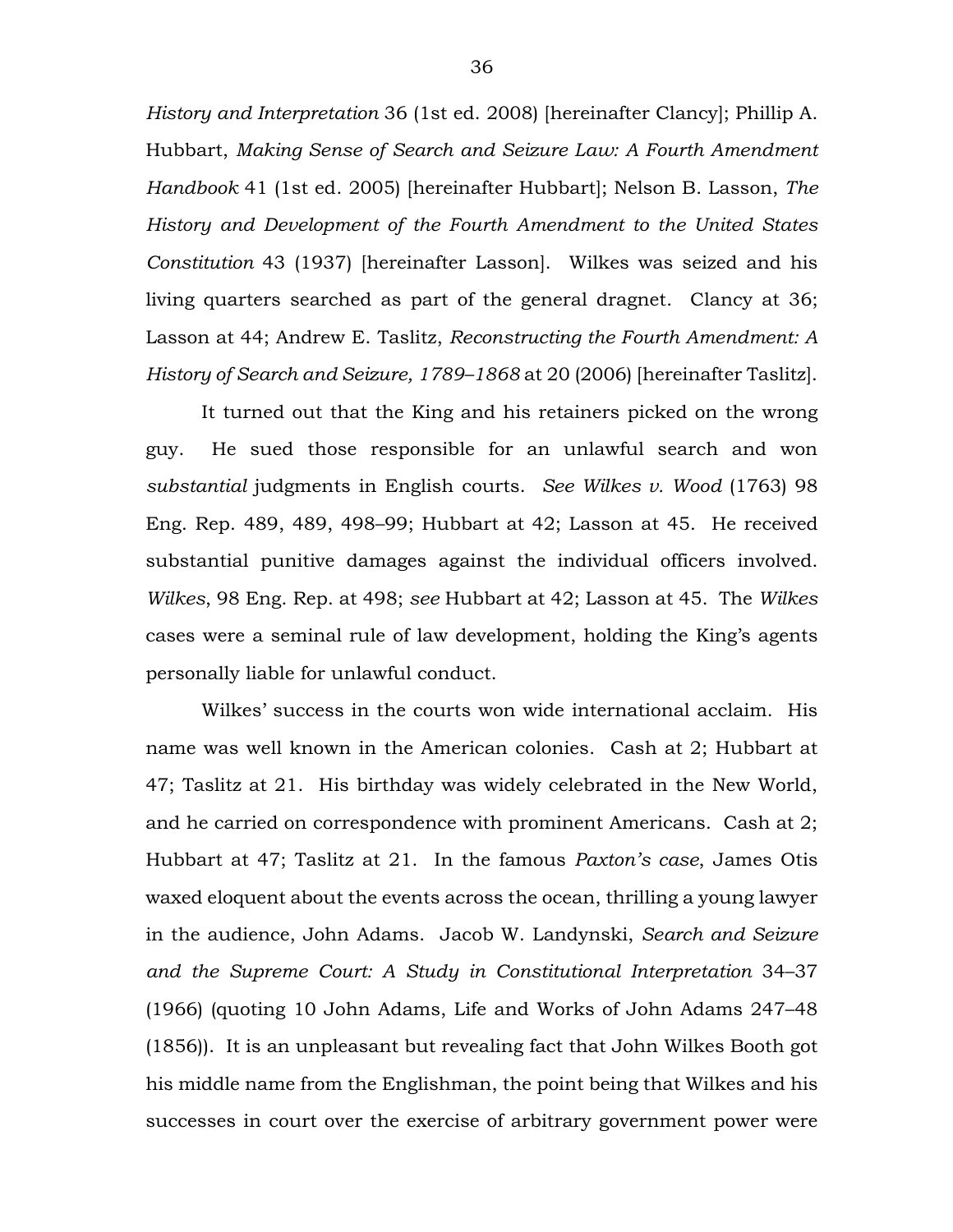*History and Interpretation* 36 (1st ed. 2008) [hereinafter Clancy]; Phillip A. Hubbart, *Making Sense of Search and Seizure Law: A Fourth Amendment Handbook* 41 (1st ed. 2005) [hereinafter Hubbart]; Nelson B. Lasson, *The History and Development of the Fourth Amendment to the United States Constitution* 43 (1937) [hereinafter Lasson]. Wilkes was seized and his living quarters searched as part of the general dragnet. Clancy at 36; Lasson at 44; Andrew E. Taslitz, *Reconstructing the Fourth Amendment: A History of Search and Seizure, 1789–1868* at 20 (2006) [hereinafter Taslitz].

It turned out that the King and his retainers picked on the wrong guy. He sued those responsible for an unlawful search and won *substantial* judgments in English courts. *See Wilkes v. Wood* (1763) 98 Eng. Rep. 489, 489, 498–99; Hubbart at 42; Lasson at 45. He received substantial punitive damages against the individual officers involved. *Wilkes*, 98 Eng. Rep. at 498; *see* Hubbart at 42; Lasson at 45. The *Wilkes* cases were a seminal rule of law development, holding the King's agents personally liable for unlawful conduct.

Wilkes' success in the courts won wide international acclaim. His name was well known in the American colonies. Cash at 2; Hubbart at 47; Taslitz at 21. His birthday was widely celebrated in the New World, and he carried on correspondence with prominent Americans. Cash at 2; Hubbart at 47; Taslitz at 21. In the famous *Paxton's case*, James Otis waxed eloquent about the events across the ocean, thrilling a young lawyer in the audience, John Adams. Jacob W. Landynski, *Search and Seizure and the Supreme Court: A Study in Constitutional Interpretation* 34–37 (1966) (quoting 10 John Adams, Life and Works of John Adams 247–48 (1856)). It is an unpleasant but revealing fact that John Wilkes Booth got his middle name from the Englishman, the point being that Wilkes and his successes in court over the exercise of arbitrary government power were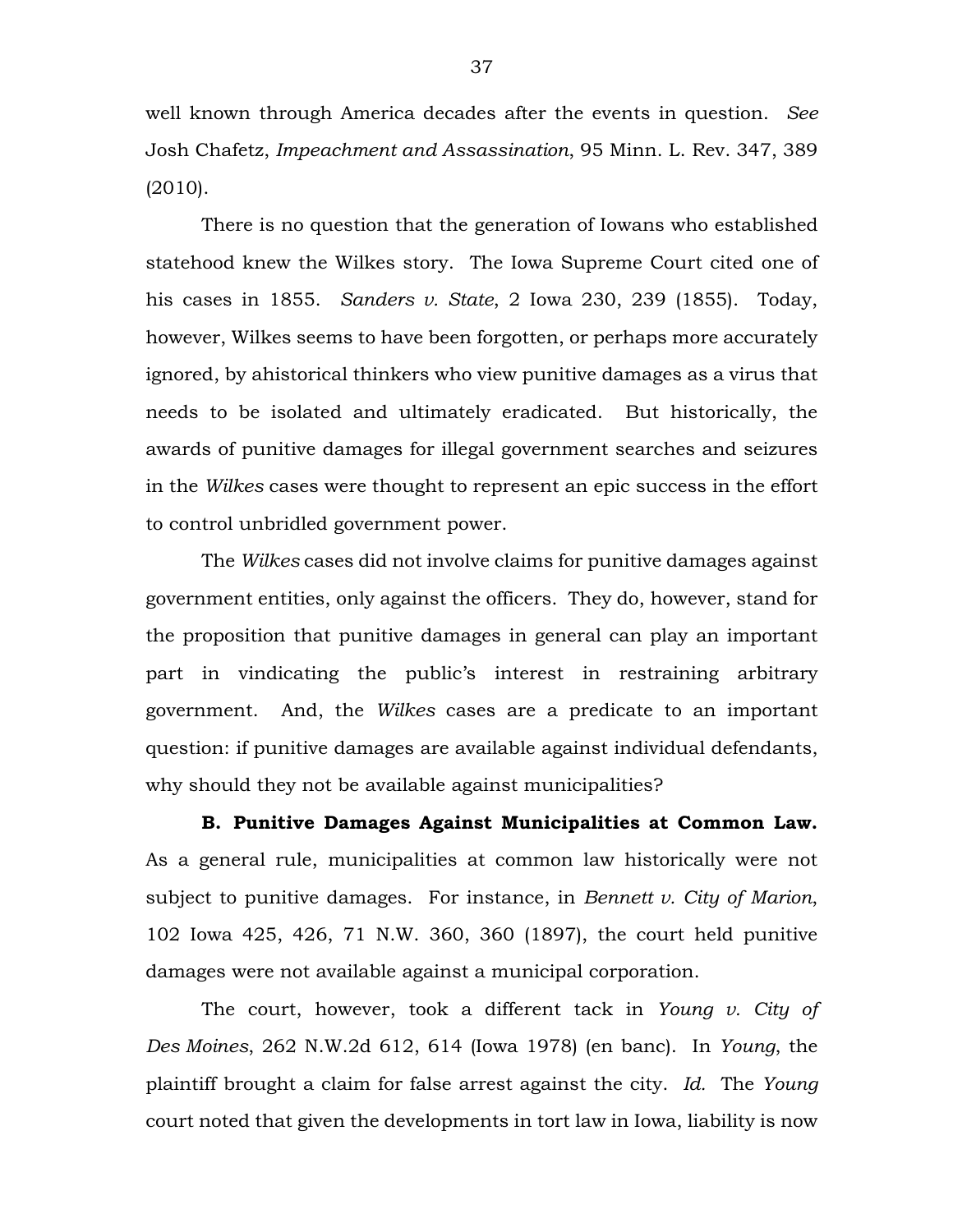well known through America decades after the events in question. *See* Josh Chafetz, *Impeachment and Assassination*, 95 Minn. L. Rev. 347, 389 (2010).

There is no question that the generation of Iowans who established statehood knew the Wilkes story. The Iowa Supreme Court cited one of his cases in 1855. *Sanders v. State*, 2 Iowa 230, 239 (1855). Today, however, Wilkes seems to have been forgotten, or perhaps more accurately ignored, by ahistorical thinkers who view punitive damages as a virus that needs to be isolated and ultimately eradicated. But historically, the awards of punitive damages for illegal government searches and seizures in the *Wilkes* cases were thought to represent an epic success in the effort to control unbridled government power.

The *Wilkes* cases did not involve claims for punitive damages against government entities, only against the officers. They do, however, stand for the proposition that punitive damages in general can play an important part in vindicating the public's interest in restraining arbitrary government. And, the *Wilkes* cases are a predicate to an important question: if punitive damages are available against individual defendants, why should they not be available against municipalities?

**B. Punitive Damages Against Municipalities at Common Law.** As a general rule, municipalities at common law historically were not subject to punitive damages. For instance, in *Bennett v. City of Marion*, 102 Iowa 425, 426, 71 N.W. 360, 360 (1897), the court held punitive damages were not available against a municipal corporation.

The court, however, took a different tack in *Young v. City of Des Moines*, 262 N.W.2d 612, 614 (Iowa 1978) (en banc). In *Young*, the plaintiff brought a claim for false arrest against the city. *Id.* The *Young* court noted that given the developments in tort law in Iowa, liability is now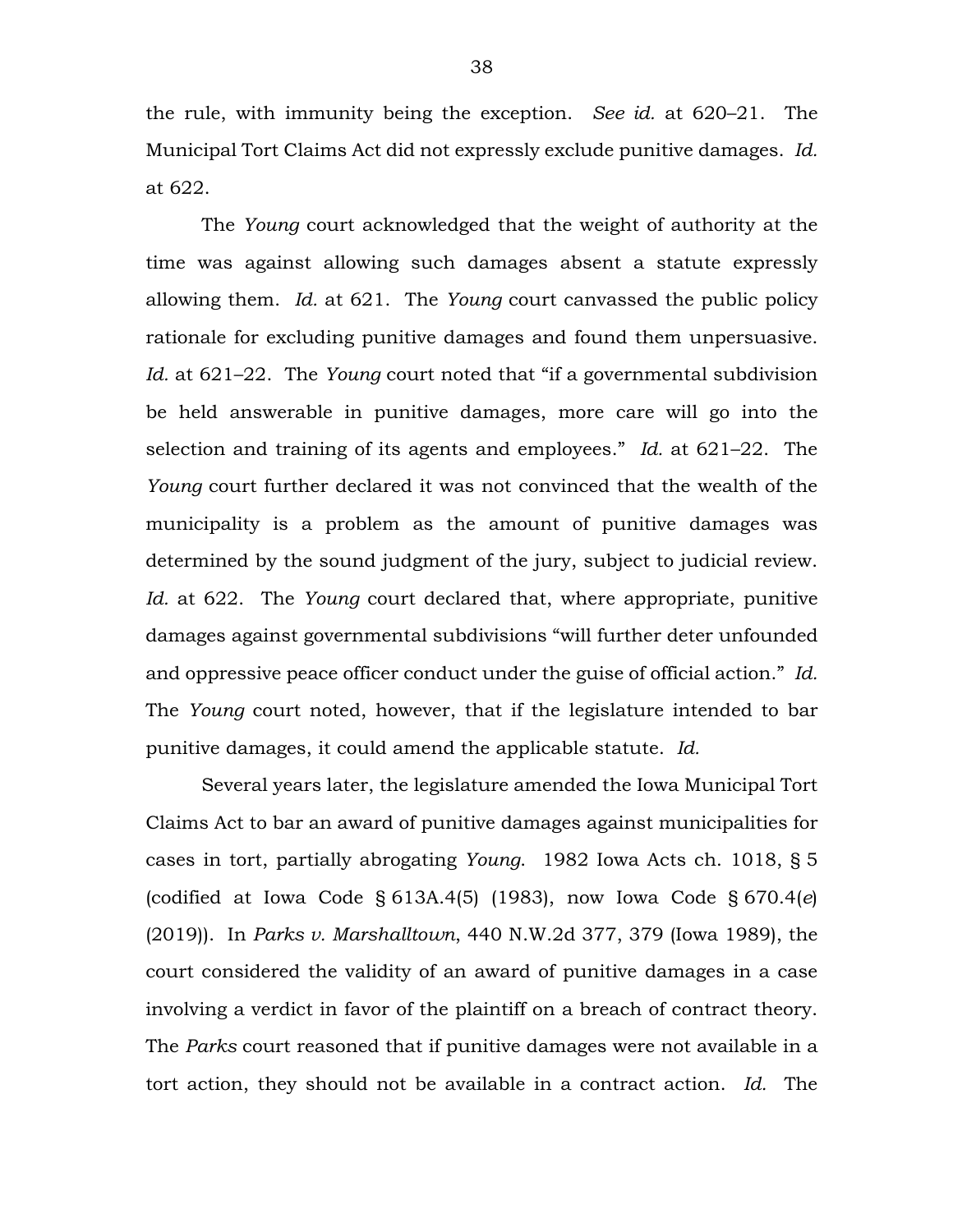the rule, with immunity being the exception. *See id.* at 620–21. The Municipal Tort Claims Act did not expressly exclude punitive damages. *Id.* at 622.

The *Young* court acknowledged that the weight of authority at the time was against allowing such damages absent a statute expressly allowing them. *Id.* at 621. The *Young* court canvassed the public policy rationale for excluding punitive damages and found them unpersuasive. *Id.* at 621–22. The *Young* court noted that "if a governmental subdivision be held answerable in punitive damages, more care will go into the selection and training of its agents and employees." *Id.* at 621–22. The *Young* court further declared it was not convinced that the wealth of the municipality is a problem as the amount of punitive damages was determined by the sound judgment of the jury, subject to judicial review. *Id.* at 622. The *Young* court declared that, where appropriate, punitive damages against governmental subdivisions "will further deter unfounded and oppressive peace officer conduct under the guise of official action." *Id.* The *Young* court noted, however, that if the legislature intended to bar punitive damages, it could amend the applicable statute. *Id.*

Several years later, the legislature amended the Iowa Municipal Tort Claims Act to bar an award of punitive damages against municipalities for cases in tort, partially abrogating *Young*. 1982 Iowa Acts ch. 1018, § 5 (codified at Iowa Code § 613A.4(5) (1983), now Iowa Code § 670.4(*e*) (2019)). In *Parks v. Marshalltown*, 440 N.W.2d 377, 379 (Iowa 1989), the court considered the validity of an award of punitive damages in a case involving a verdict in favor of the plaintiff on a breach of contract theory. The *Parks* court reasoned that if punitive damages were not available in a tort action, they should not be available in a contract action. *Id.* The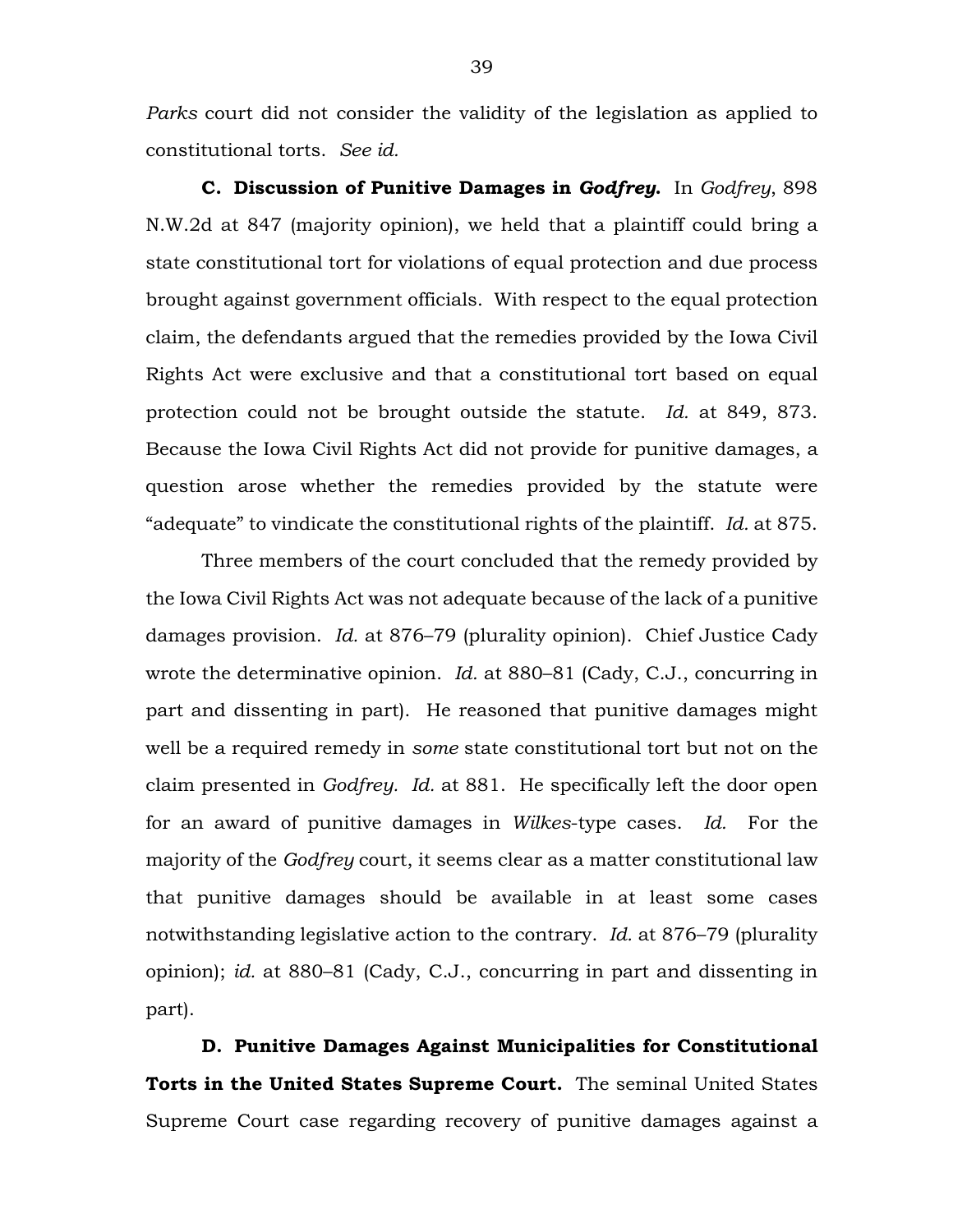*Parks* court did not consider the validity of the legislation as applied to constitutional torts. *See id.*

**C. Discussion of Punitive Damages in** *Godfrey***.** In *Godfrey*, 898 N.W.2d at 847 (majority opinion), we held that a plaintiff could bring a state constitutional tort for violations of equal protection and due process brought against government officials. With respect to the equal protection claim, the defendants argued that the remedies provided by the Iowa Civil Rights Act were exclusive and that a constitutional tort based on equal protection could not be brought outside the statute. *Id.* at 849, 873. Because the Iowa Civil Rights Act did not provide for punitive damages, a question arose whether the remedies provided by the statute were "adequate" to vindicate the constitutional rights of the plaintiff. *Id.* at 875.

Three members of the court concluded that the remedy provided by the Iowa Civil Rights Act was not adequate because of the lack of a punitive damages provision. *Id.* at 876–79 (plurality opinion). Chief Justice Cady wrote the determinative opinion. *Id.* at 880–81 (Cady, C.J., concurring in part and dissenting in part). He reasoned that punitive damages might well be a required remedy in *some* state constitutional tort but not on the claim presented in *Godfrey. Id.* at 881. He specifically left the door open for an award of punitive damages in *Wilkes*-type cases. *Id.* For the majority of the *Godfrey* court, it seems clear as a matter constitutional law that punitive damages should be available in at least some cases notwithstanding legislative action to the contrary. *Id.* at 876–79 (plurality opinion); *id.* at 880–81 (Cady, C.J., concurring in part and dissenting in part).

**D. Punitive Damages Against Municipalities for Constitutional Torts in the United States Supreme Court.** The seminal United States Supreme Court case regarding recovery of punitive damages against a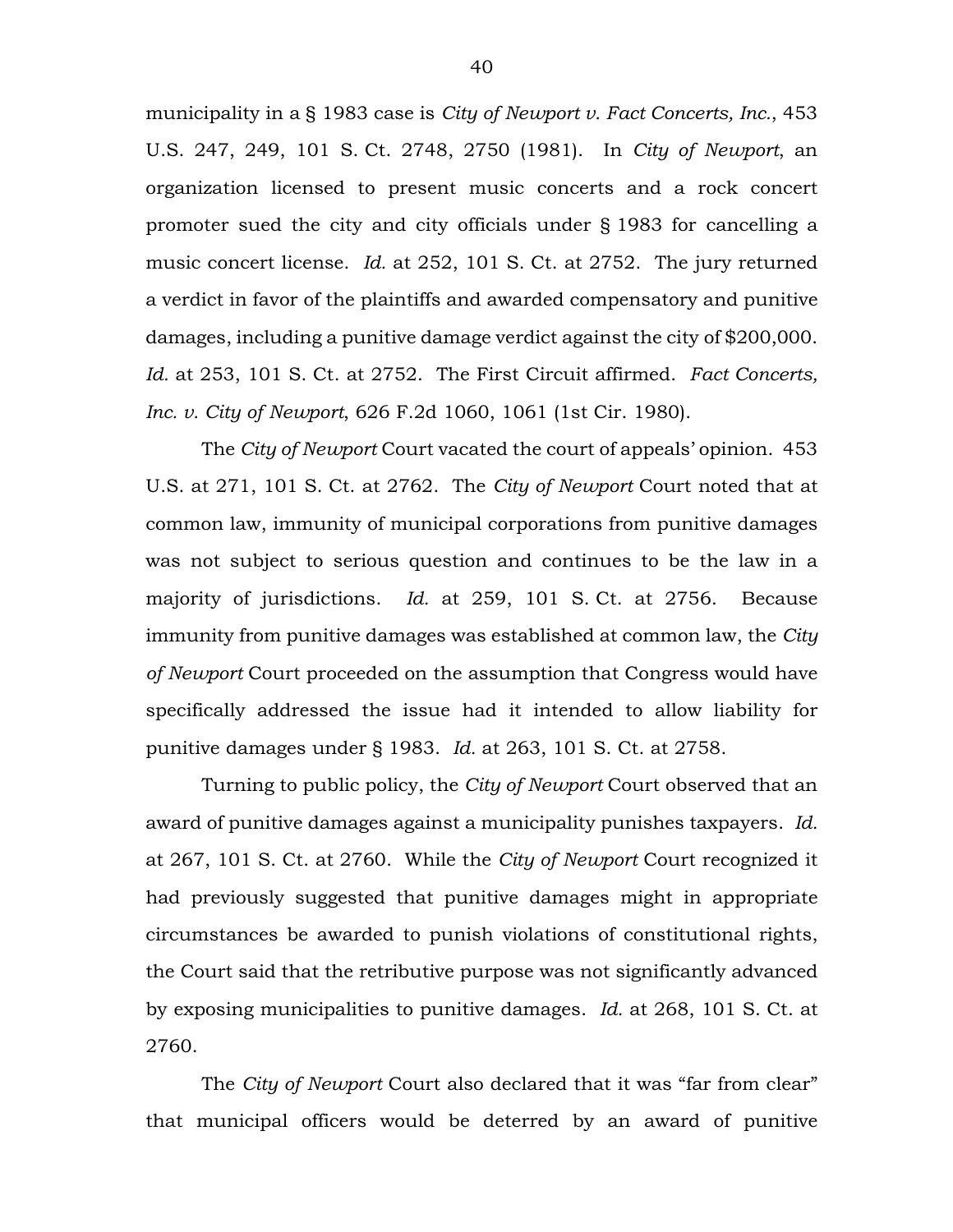municipality in a § 1983 case is *City of Newport v. Fact Concerts, Inc.*, 453 U.S. 247, 249, 101 S. Ct. 2748, 2750 (1981). In *City of Newport*, an organization licensed to present music concerts and a rock concert promoter sued the city and city officials under § 1983 for cancelling a music concert license. *Id.* at 252, 101 S. Ct. at 2752. The jury returned a verdict in favor of the plaintiffs and awarded compensatory and punitive damages, including a punitive damage verdict against the city of \$200,000. *Id.* at 253, 101 S. Ct. at 2752. The First Circuit affirmed. *Fact Concerts, Inc. v. City of Newport*, 626 F.2d 1060, 1061 (1st Cir. 1980).

The *City of Newport* Court vacated the court of appeals' opinion. 453 U.S. at 271, 101 S. Ct. at 2762. The *City of Newport* Court noted that at common law, immunity of municipal corporations from punitive damages was not subject to serious question and continues to be the law in a majority of jurisdictions. *Id.* at 259, 101 S. Ct. at 2756. Because immunity from punitive damages was established at common law, the *City of Newport* Court proceeded on the assumption that Congress would have specifically addressed the issue had it intended to allow liability for punitive damages under § 1983. *Id.* at 263, 101 S. Ct. at 2758.

Turning to public policy, the *City of Newport* Court observed that an award of punitive damages against a municipality punishes taxpayers. *Id.* at 267, 101 S. Ct. at 2760. While the *City of Newport* Court recognized it had previously suggested that punitive damages might in appropriate circumstances be awarded to punish violations of constitutional rights, the Court said that the retributive purpose was not significantly advanced by exposing municipalities to punitive damages. *Id.* at 268, 101 S. Ct. at 2760.

The *City of Newport* Court also declared that it was "far from clear" that municipal officers would be deterred by an award of punitive

40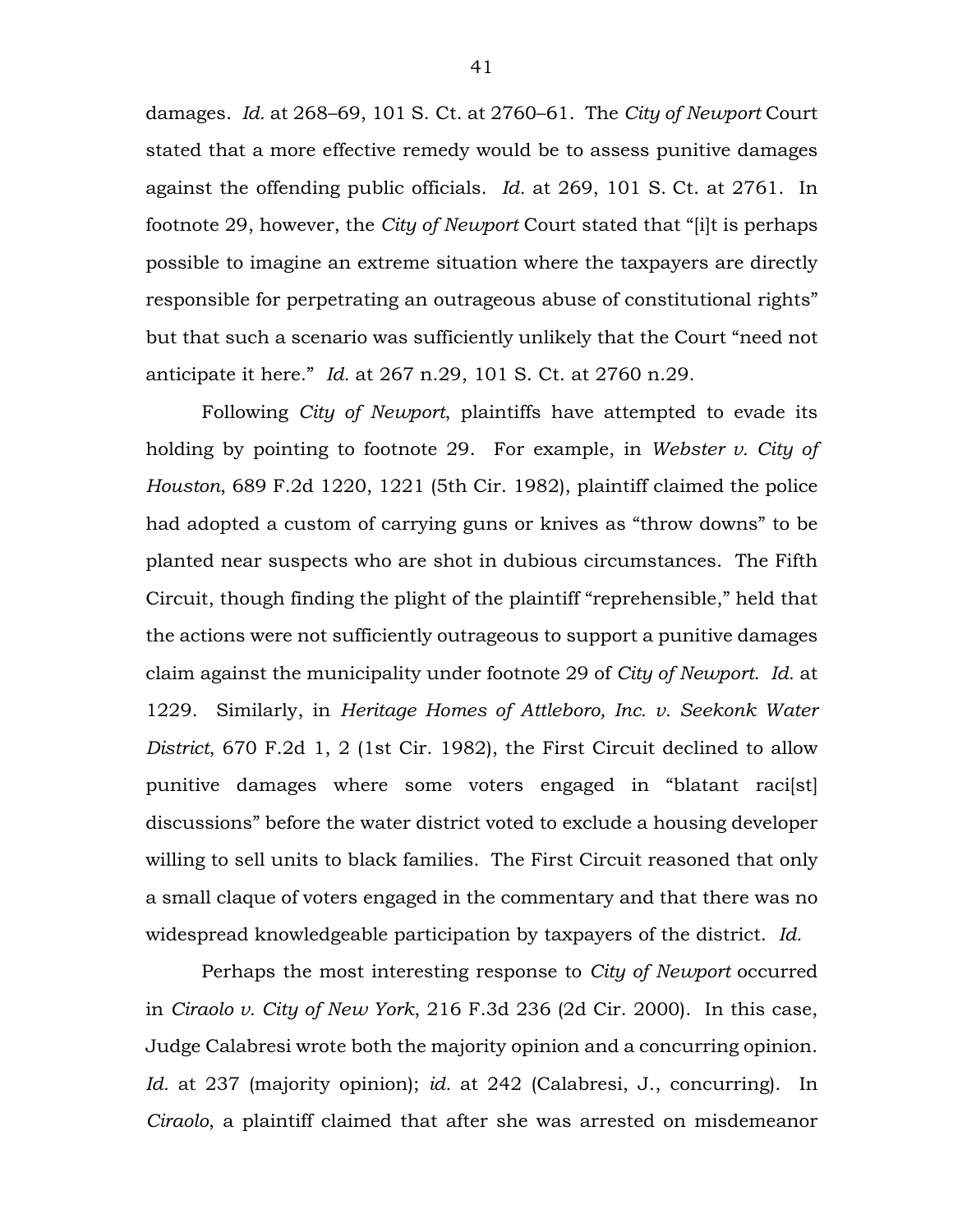damages. *Id.* at 268–69, 101 S. Ct. at 2760–61. The *City of Newport* Court stated that a more effective remedy would be to assess punitive damages against the offending public officials. *Id.* at 269, 101 S. Ct. at 2761. In footnote 29, however, the *City of Newport* Court stated that "[i]t is perhaps possible to imagine an extreme situation where the taxpayers are directly responsible for perpetrating an outrageous abuse of constitutional rights" but that such a scenario was sufficiently unlikely that the Court "need not anticipate it here." *Id.* at 267 n.29, 101 S. Ct. at 2760 n.29.

Following *City of Newport*, plaintiffs have attempted to evade its holding by pointing to footnote 29. For example, in *Webster v. City of Houston*, 689 F.2d 1220, 1221 (5th Cir. 1982), plaintiff claimed the police had adopted a custom of carrying guns or knives as "throw downs" to be planted near suspects who are shot in dubious circumstances. The Fifth Circuit, though finding the plight of the plaintiff "reprehensible," held that the actions were not sufficiently outrageous to support a punitive damages claim against the municipality under footnote 29 of *City of Newport*. *Id.* at 1229. Similarly, in *Heritage Homes of Attleboro, Inc. v. Seekonk Water District*, 670 F.2d 1, 2 (1st Cir. 1982), the First Circuit declined to allow punitive damages where some voters engaged in "blatant raci[st] discussions" before the water district voted to exclude a housing developer willing to sell units to black families. The First Circuit reasoned that only a small claque of voters engaged in the commentary and that there was no widespread knowledgeable participation by taxpayers of the district. *Id.*

Perhaps the most interesting response to *City of Newport* occurred in *Ciraolo v. City of New York*, 216 F.3d 236 (2d Cir. 2000). In this case, Judge Calabresi wrote both the majority opinion and a concurring opinion. *Id.* at 237 (majority opinion); *id.* at 242 (Calabresi, J., concurring). In *Ciraolo*, a plaintiff claimed that after she was arrested on misdemeanor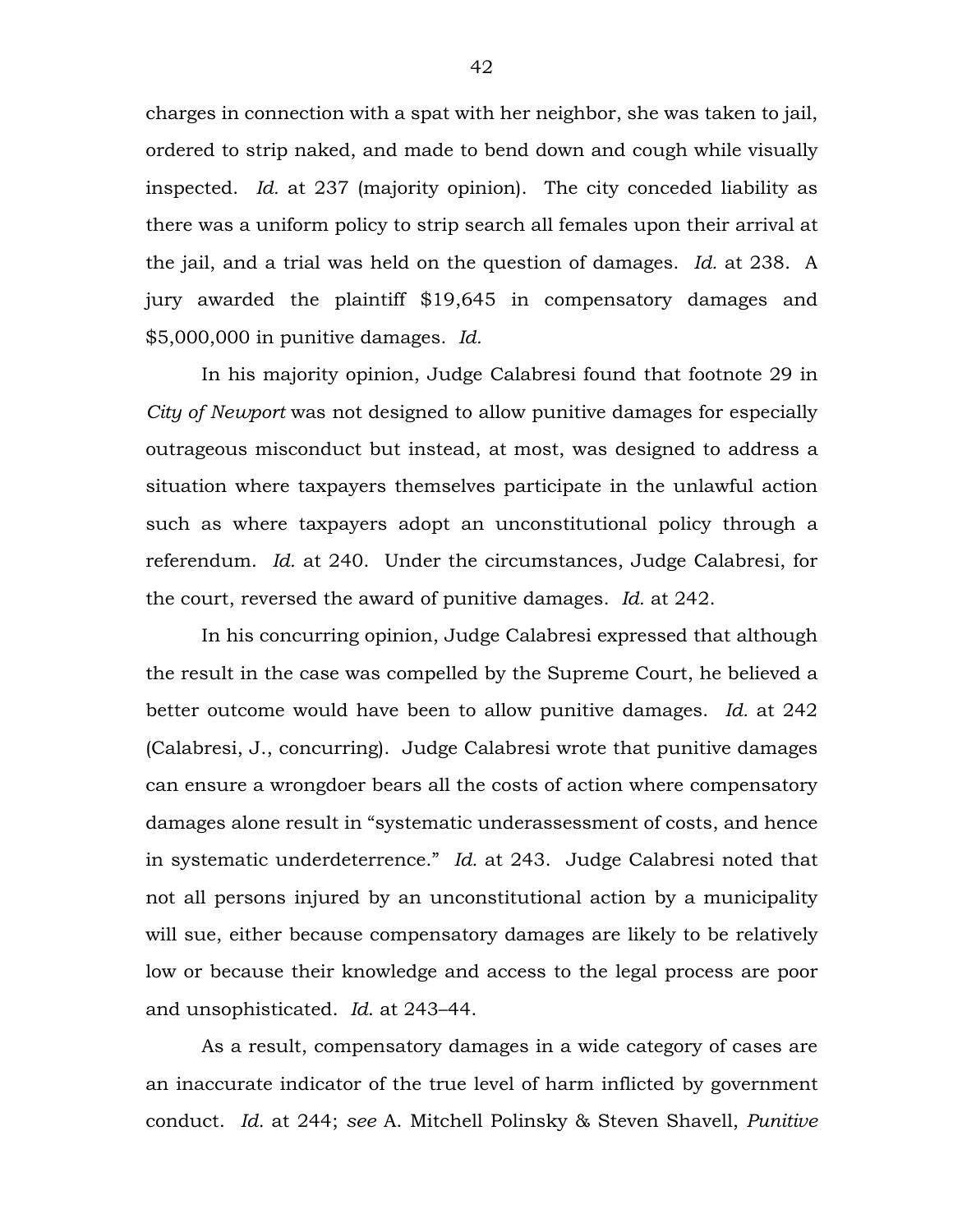charges in connection with a spat with her neighbor, she was taken to jail, ordered to strip naked, and made to bend down and cough while visually inspected. *Id.* at 237 (majority opinion). The city conceded liability as there was a uniform policy to strip search all females upon their arrival at the jail, and a trial was held on the question of damages. *Id.* at 238. A jury awarded the plaintiff \$19,645 in compensatory damages and \$5,000,000 in punitive damages. *Id.*

In his majority opinion, Judge Calabresi found that footnote 29 in *City of Newport* was not designed to allow punitive damages for especially outrageous misconduct but instead, at most, was designed to address a situation where taxpayers themselves participate in the unlawful action such as where taxpayers adopt an unconstitutional policy through a referendum. *Id.* at 240. Under the circumstances, Judge Calabresi, for the court, reversed the award of punitive damages. *Id.* at 242.

In his concurring opinion, Judge Calabresi expressed that although the result in the case was compelled by the Supreme Court, he believed a better outcome would have been to allow punitive damages. *Id.* at 242 (Calabresi, J., concurring). Judge Calabresi wrote that punitive damages can ensure a wrongdoer bears all the costs of action where compensatory damages alone result in "systematic underassessment of costs, and hence in systematic underdeterrence." *Id.* at 243. Judge Calabresi noted that not all persons injured by an unconstitutional action by a municipality will sue, either because compensatory damages are likely to be relatively low or because their knowledge and access to the legal process are poor and unsophisticated. *Id*. at 243–44.

As a result, compensatory damages in a wide category of cases are an inaccurate indicator of the true level of harm inflicted by government conduct. *Id.* at 244; *see* A. Mitchell Polinsky & Steven Shavell, *Punitive*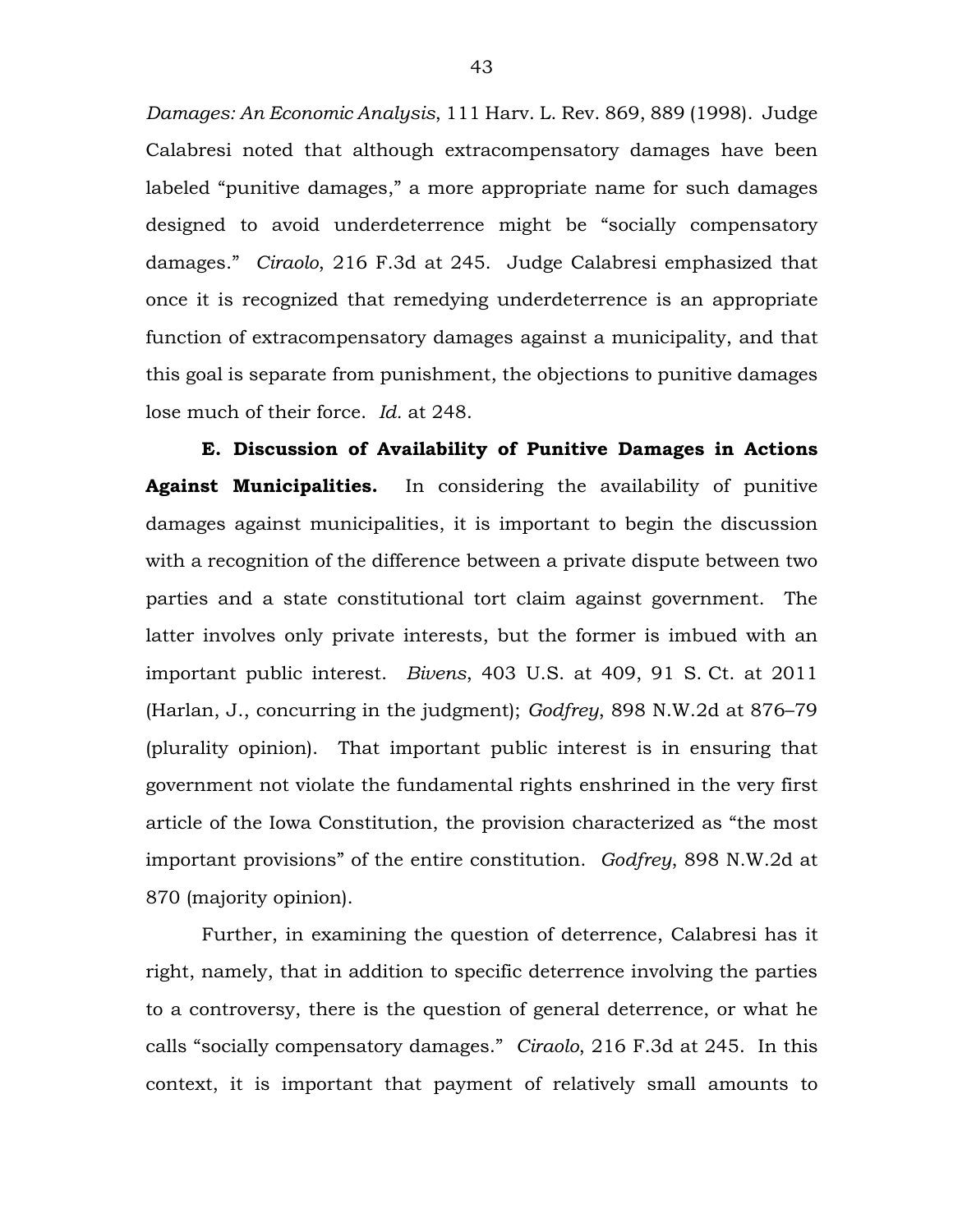*Damages: An Economic Analysis*, 111 Harv. L. Rev. 869, 889 (1998). Judge Calabresi noted that although extracompensatory damages have been labeled "punitive damages," a more appropriate name for such damages designed to avoid underdeterrence might be "socially compensatory damages." *Ciraolo*, 216 F.3d at 245. Judge Calabresi emphasized that once it is recognized that remedying underdeterrence is an appropriate function of extracompensatory damages against a municipality, and that this goal is separate from punishment, the objections to punitive damages lose much of their force. *Id.* at 248.

**E. Discussion of Availability of Punitive Damages in Actions Against Municipalities.** In considering the availability of punitive damages against municipalities, it is important to begin the discussion with a recognition of the difference between a private dispute between two parties and a state constitutional tort claim against government. The latter involves only private interests, but the former is imbued with an important public interest. *Bivens*, 403 U.S. at 409, 91 S. Ct. at 2011 (Harlan, J., concurring in the judgment); *Godfrey*, 898 N.W.2d at 876–79 (plurality opinion). That important public interest is in ensuring that government not violate the fundamental rights enshrined in the very first article of the Iowa Constitution, the provision characterized as "the most important provisions" of the entire constitution. *Godfrey*, 898 N.W.2d at 870 (majority opinion).

Further, in examining the question of deterrence, Calabresi has it right, namely, that in addition to specific deterrence involving the parties to a controversy, there is the question of general deterrence, or what he calls "socially compensatory damages." *Ciraolo*, 216 F.3d at 245. In this context, it is important that payment of relatively small amounts to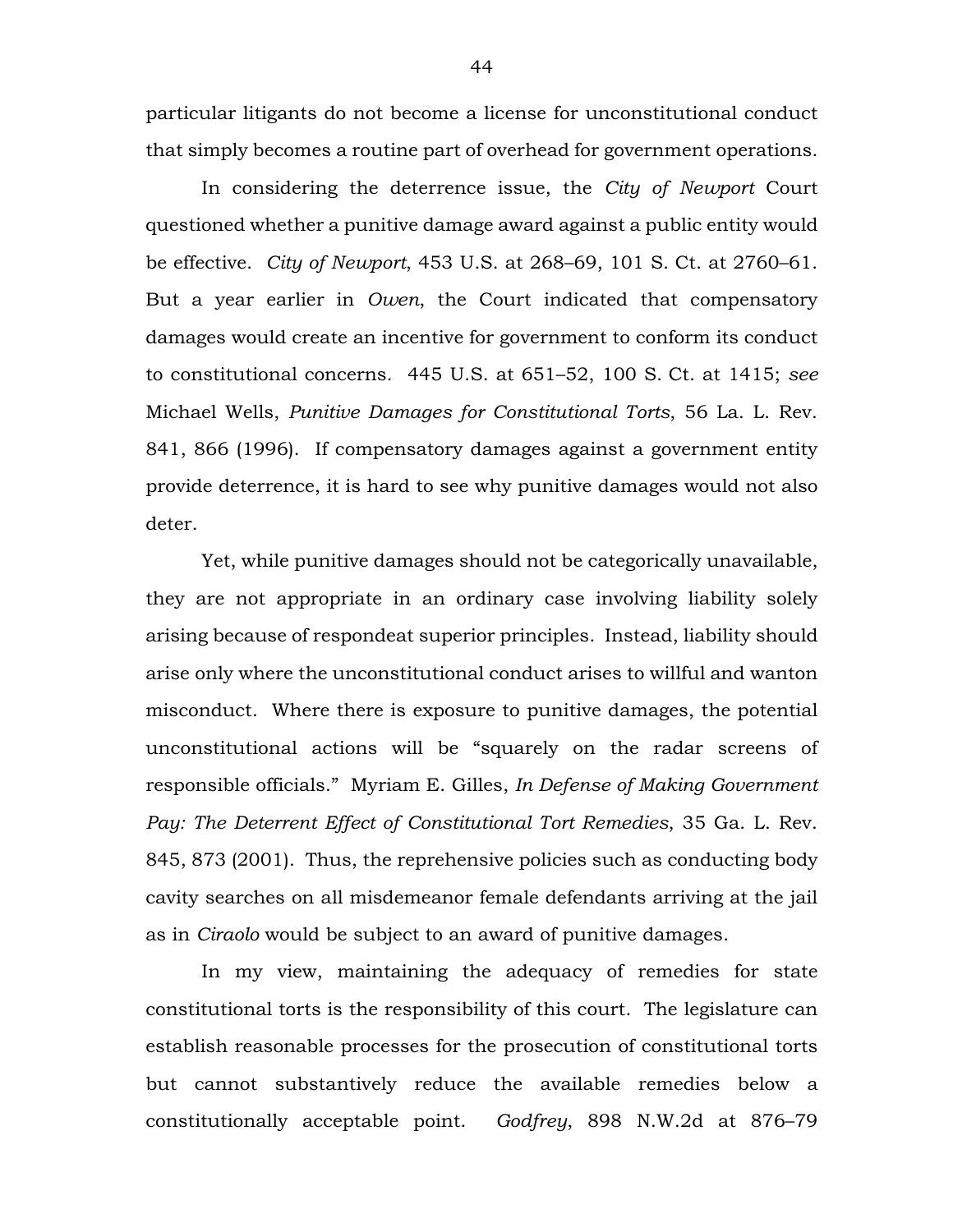particular litigants do not become a license for unconstitutional conduct that simply becomes a routine part of overhead for government operations.

In considering the deterrence issue, the *City of Newport* Court questioned whether a punitive damage award against a public entity would be effective. *City of Newport*, 453 U.S. at 268–69, 101 S. Ct. at 2760–61. But a year earlier in *Owen*, the Court indicated that compensatory damages would create an incentive for government to conform its conduct to constitutional concerns. 445 U.S. at 651–52, 100 S. Ct. at 1415; *see* Michael Wells, *Punitive Damages for Constitutional Torts*, 56 La. L. Rev. 841, 866 (1996). If compensatory damages against a government entity provide deterrence, it is hard to see why punitive damages would not also deter.

Yet, while punitive damages should not be categorically unavailable, they are not appropriate in an ordinary case involving liability solely arising because of respondeat superior principles. Instead, liability should arise only where the unconstitutional conduct arises to willful and wanton misconduct. Where there is exposure to punitive damages, the potential unconstitutional actions will be "squarely on the radar screens of responsible officials." Myriam E. Gilles, *In Defense of Making Government Pay: The Deterrent Effect of Constitutional Tort Remedies*, 35 Ga. L. Rev. 845, 873 (2001). Thus, the reprehensive policies such as conducting body cavity searches on all misdemeanor female defendants arriving at the jail as in *Ciraolo* would be subject to an award of punitive damages.

In my view, maintaining the adequacy of remedies for state constitutional torts is the responsibility of this court. The legislature can establish reasonable processes for the prosecution of constitutional torts but cannot substantively reduce the available remedies below a constitutionally acceptable point. *Godfrey*, 898 N.W.2d at 876–79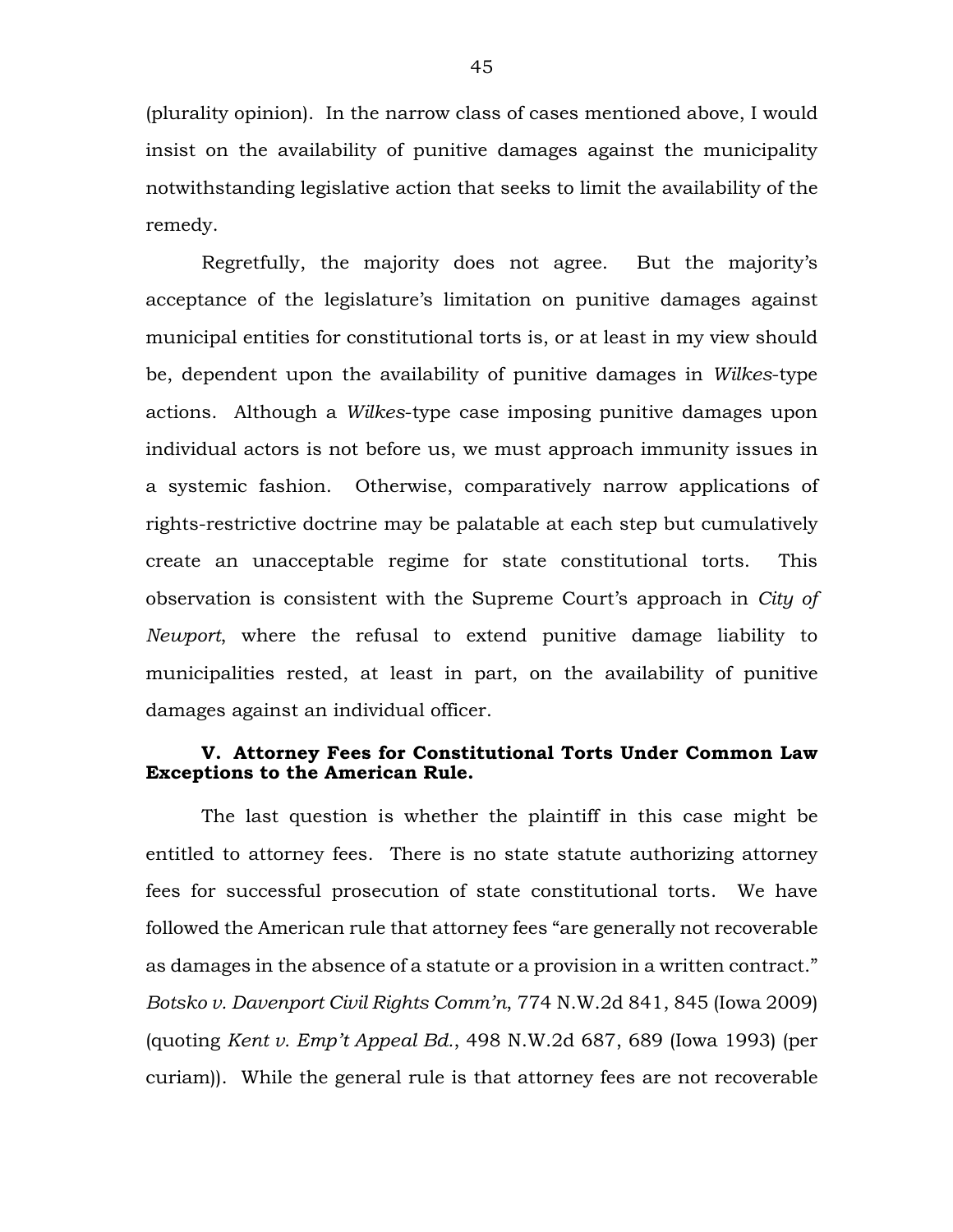(plurality opinion). In the narrow class of cases mentioned above, I would insist on the availability of punitive damages against the municipality notwithstanding legislative action that seeks to limit the availability of the remedy.

Regretfully, the majority does not agree. But the majority's acceptance of the legislature's limitation on punitive damages against municipal entities for constitutional torts is, or at least in my view should be, dependent upon the availability of punitive damages in *Wilkes*-type actions. Although a *Wilkes*-type case imposing punitive damages upon individual actors is not before us, we must approach immunity issues in a systemic fashion. Otherwise, comparatively narrow applications of rights-restrictive doctrine may be palatable at each step but cumulatively create an unacceptable regime for state constitutional torts. This observation is consistent with the Supreme Court's approach in *City of Newport*, where the refusal to extend punitive damage liability to municipalities rested, at least in part, on the availability of punitive damages against an individual officer.

# **V. Attorney Fees for Constitutional Torts Under Common Law Exceptions to the American Rule.**

The last question is whether the plaintiff in this case might be entitled to attorney fees. There is no state statute authorizing attorney fees for successful prosecution of state constitutional torts. We have followed the American rule that attorney fees "are generally not recoverable as damages in the absence of a statute or a provision in a written contract." *Botsko v. Davenport Civil Rights Comm'n*, 774 N.W.2d 841, 845 (Iowa 2009) (quoting *Kent v. Emp't Appeal Bd.*, 498 N.W.2d 687, 689 (Iowa 1993) (per curiam)). While the general rule is that attorney fees are not recoverable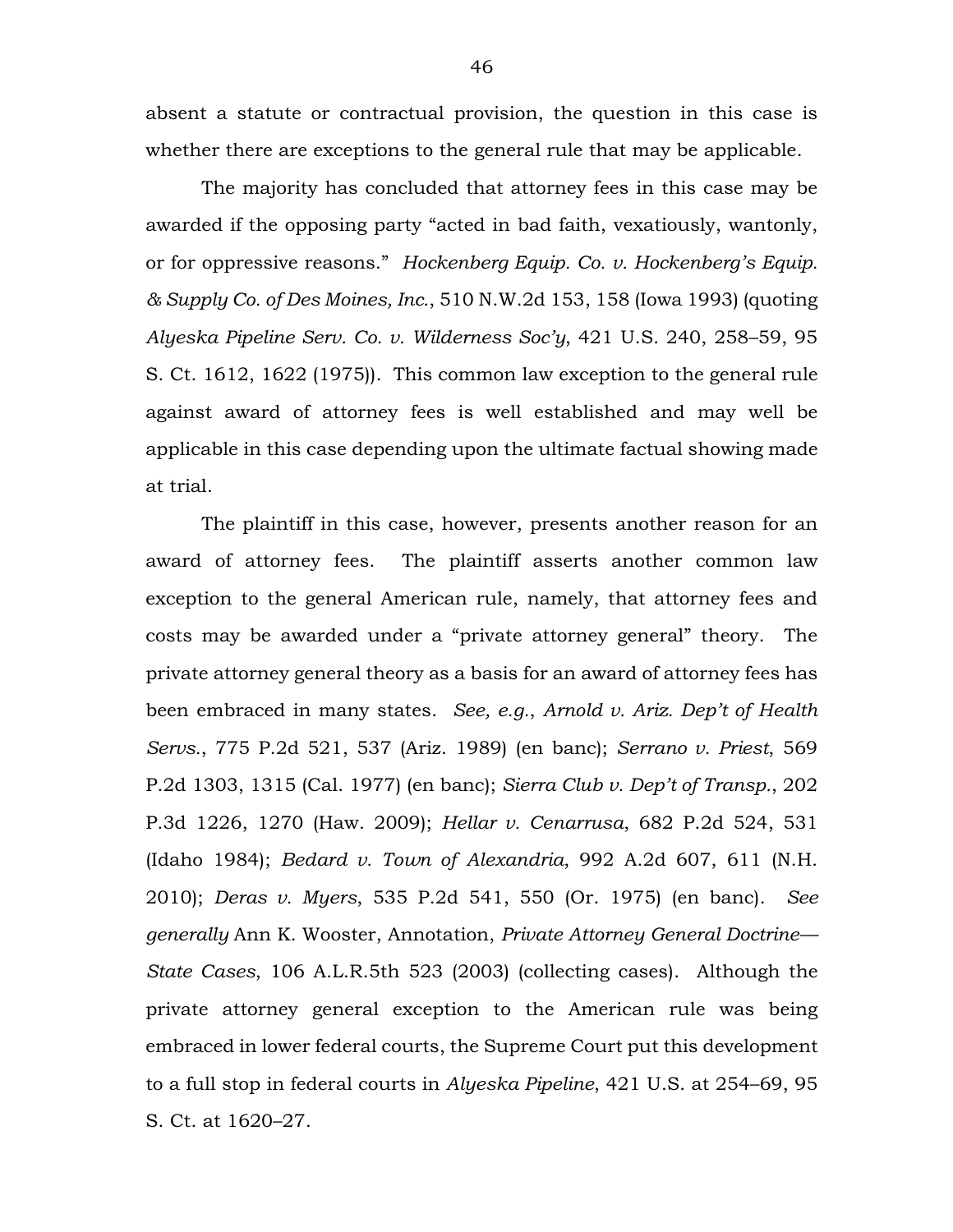absent a statute or contractual provision, the question in this case is whether there are exceptions to the general rule that may be applicable.

The majority has concluded that attorney fees in this case may be awarded if the opposing party "acted in bad faith, vexatiously, wantonly, or for oppressive reasons." *Hockenberg Equip. Co. v. Hockenberg's Equip. & Supply Co. of Des Moines, Inc.*, 510 N.W.2d 153, 158 (Iowa 1993) (quoting *Alyeska Pipeline Serv. Co. v. Wilderness Soc'y*, 421 U.S. 240, 258–59, 95 S. Ct. 1612, 1622 (1975)). This common law exception to the general rule against award of attorney fees is well established and may well be applicable in this case depending upon the ultimate factual showing made at trial.

The plaintiff in this case, however, presents another reason for an award of attorney fees. The plaintiff asserts another common law exception to the general American rule, namely, that attorney fees and costs may be awarded under a "private attorney general" theory. The private attorney general theory as a basis for an award of attorney fees has been embraced in many states. *See, e.g.*, *Arnold v. Ariz. Dep't of Health Servs.*, 775 P.2d 521, 537 (Ariz. 1989) (en banc); *Serrano v. Priest*, 569 P.2d 1303, 1315 (Cal. 1977) (en banc); *Sierra Club v. Dep't of Transp.*, 202 P.3d 1226, 1270 (Haw. 2009); *Hellar v. Cenarrusa*, 682 P.2d 524, 531 (Idaho 1984); *Bedard v. Town of Alexandria*, 992 A.2d 607, 611 (N.H. 2010); *Deras v. Myers*, 535 P.2d 541, 550 (Or. 1975) (en banc). *See generally* Ann K. Wooster, Annotation, *Private Attorney General Doctrine— State Cases*, 106 A.L.R.5th 523 (2003) (collecting cases). Although the private attorney general exception to the American rule was being embraced in lower federal courts, the Supreme Court put this development to a full stop in federal courts in *Alyeska Pipeline*, 421 U.S. at 254–69, 95 S. Ct. at 1620–27.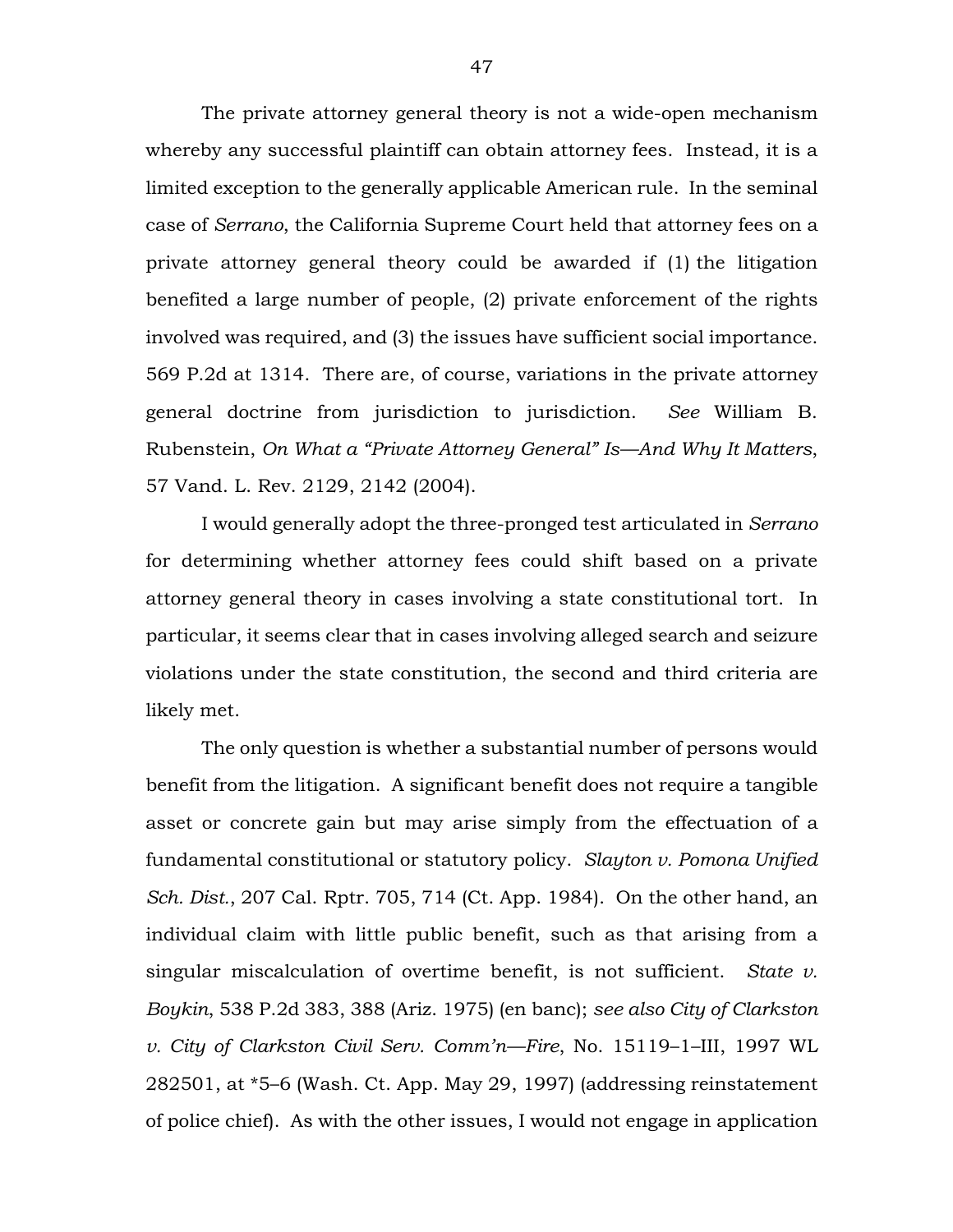The private attorney general theory is not a wide-open mechanism whereby any successful plaintiff can obtain attorney fees. Instead, it is a limited exception to the generally applicable American rule. In the seminal case of *Serrano*, the California Supreme Court held that attorney fees on a private attorney general theory could be awarded if (1) the litigation benefited a large number of people, (2) private enforcement of the rights involved was required, and (3) the issues have sufficient social importance. 569 P.2d at 1314. There are, of course, variations in the private attorney general doctrine from jurisdiction to jurisdiction. *See* William B. Rubenstein, *On What a "Private Attorney General" Is—And Why It Matters*, 57 Vand. L. Rev. 2129, 2142 (2004).

I would generally adopt the three-pronged test articulated in *Serrano* for determining whether attorney fees could shift based on a private attorney general theory in cases involving a state constitutional tort. In particular, it seems clear that in cases involving alleged search and seizure violations under the state constitution, the second and third criteria are likely met.

The only question is whether a substantial number of persons would benefit from the litigation. A significant benefit does not require a tangible asset or concrete gain but may arise simply from the effectuation of a fundamental constitutional or statutory policy. *Slayton v. Pomona Unified Sch. Dist.*, 207 Cal. Rptr. 705, 714 (Ct. App. 1984). On the other hand, an individual claim with little public benefit, such as that arising from a singular miscalculation of overtime benefit, is not sufficient. *State v. Boykin*, 538 P.2d 383, 388 (Ariz. 1975) (en banc); *see also City of Clarkston v. City of Clarkston Civil Serv. Comm'n—Fire*, No. 15119–1–III, 1997 WL 282501, at \*5–6 (Wash. Ct. App. May 29, 1997) (addressing reinstatement of police chief). As with the other issues, I would not engage in application